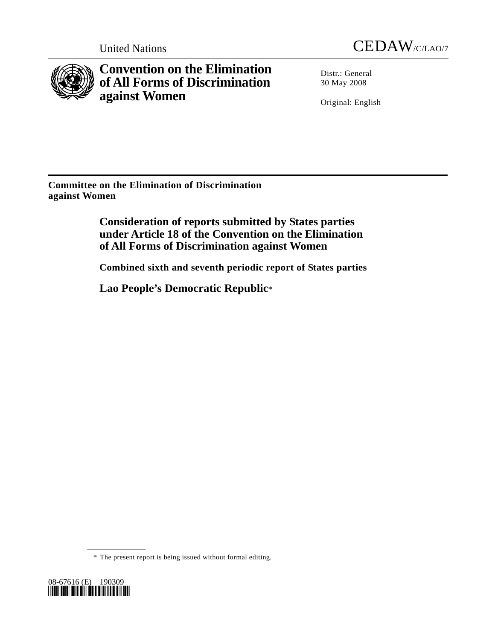



**Convention on the Elimination of All Forms of Discrimination against Women** 

Distr.: General 30 May 2008

Original: English

**Committee on the Elimination of Discrimination against Women** 

> **Consideration of reports submitted by States parties under Article 18 of the Convention on the Elimination of All Forms of Discrimination against Women**

 **Combined sixth and seventh periodic report of States parties** 

 **Lao People's Democratic Republic**\*

\* The present report is being issued without formal editing.

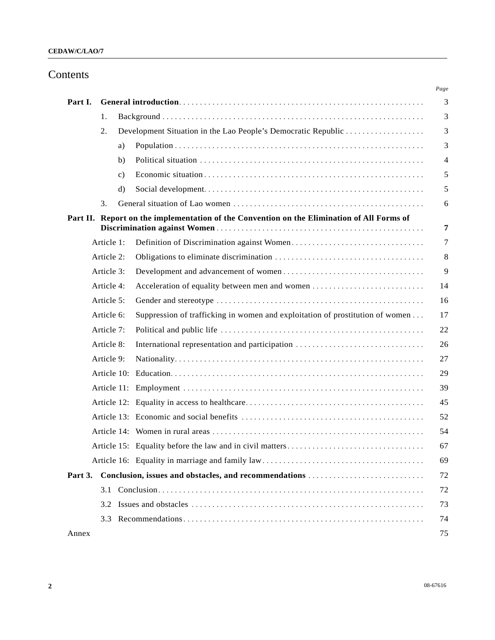# Contents

| Part I. |            |    |                                                                                            |
|---------|------------|----|--------------------------------------------------------------------------------------------|
|         | 1.         |    |                                                                                            |
|         | 2.         |    |                                                                                            |
|         |            | a) |                                                                                            |
|         |            | b) |                                                                                            |
|         |            | c) |                                                                                            |
|         |            | d) |                                                                                            |
|         | 3.         |    |                                                                                            |
|         |            |    | Part II. Report on the implementation of the Convention on the Elimination of All Forms of |
|         | Article 1: |    |                                                                                            |
|         | Article 2: |    |                                                                                            |
|         | Article 3: |    |                                                                                            |
|         | Article 4: |    |                                                                                            |
|         | Article 5: |    |                                                                                            |
|         | Article 6: |    | Suppression of trafficking in women and exploitation of prostitution of women              |
|         | Article 7: |    |                                                                                            |
|         | Article 8: |    | International representation and participation                                             |
|         | Article 9: |    |                                                                                            |
|         |            |    |                                                                                            |
|         |            |    |                                                                                            |
|         |            |    |                                                                                            |
|         |            |    |                                                                                            |
|         |            |    |                                                                                            |
|         |            |    | Article 15: Equality before the law and in civil matters                                   |
|         |            |    |                                                                                            |
| Part 3. |            |    |                                                                                            |
|         | 3.1        |    |                                                                                            |
|         | 3.2        |    |                                                                                            |
|         | 3.3        |    |                                                                                            |
| Annex   |            |    |                                                                                            |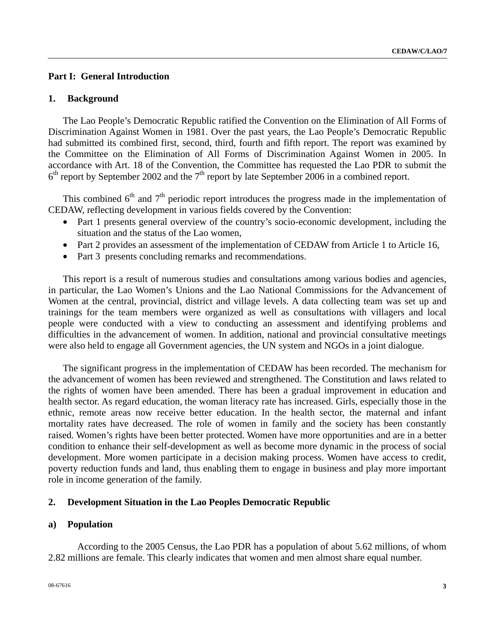# **Part I: General Introduction**

### **1. Background**

The Lao People's Democratic Republic ratified the Convention on the Elimination of All Forms of Discrimination Against Women in 1981. Over the past years, the Lao People's Democratic Republic had submitted its combined first, second, third, fourth and fifth report. The report was examined by the Committee on the Elimination of All Forms of Discrimination Against Women in 2005. In accordance with Art. 18 of the Convention, the Committee has requested the Lao PDR to submit the  $6<sup>th</sup>$  report by September 2002 and the 7<sup>th</sup> report by late September 2006 in a combined report.

This combined  $6<sup>th</sup>$  and  $7<sup>th</sup>$  periodic report introduces the progress made in the implementation of CEDAW, reflecting development in various fields covered by the Convention:

- Part 1 presents general overview of the country's socio-economic development, including the situation and the status of the Lao women,
- Part 2 provides an assessment of the implementation of CEDAW from Article 1 to Article 16,
- Part 3 presents concluding remarks and recommendations.

This report is a result of numerous studies and consultations among various bodies and agencies, in particular, the Lao Women's Unions and the Lao National Commissions for the Advancement of Women at the central, provincial, district and village levels. A data collecting team was set up and trainings for the team members were organized as well as consultations with villagers and local people were conducted with a view to conducting an assessment and identifying problems and difficulties in the advancement of women. In addition, national and provincial consultative meetings were also held to engage all Government agencies, the UN system and NGOs in a joint dialogue.

The significant progress in the implementation of CEDAW has been recorded. The mechanism for the advancement of women has been reviewed and strengthened. The Constitution and laws related to the rights of women have been amended. There has been a gradual improvement in education and health sector. As regard education, the woman literacy rate has increased. Girls, especially those in the ethnic, remote areas now receive better education. In the health sector, the maternal and infant mortality rates have decreased. The role of women in family and the society has been constantly raised. Women's rights have been better protected. Women have more opportunities and are in a better condition to enhance their self-development as well as become more dynamic in the process of social development. More women participate in a decision making process. Women have access to credit, poverty reduction funds and land, thus enabling them to engage in business and play more important role in income generation of the family.

# **2. Development Situation in the Lao Peoples Democratic Republic**

### **a) Population**

According to the 2005 Census, the Lao PDR has a population of about 5.62 millions, of whom 2.82 millions are female. This clearly indicates that women and men almost share equal number.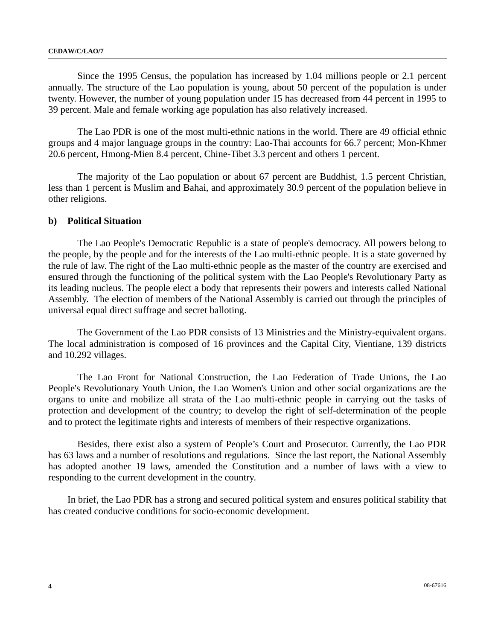Since the 1995 Census, the population has increased by 1.04 millions people or 2.1 percent annually. The structure of the Lao population is young, about 50 percent of the population is under twenty. However, the number of young population under 15 has decreased from 44 percent in 1995 to 39 percent. Male and female working age population has also relatively increased.

The Lao PDR is one of the most multi-ethnic nations in the world. There are 49 official ethnic groups and 4 major language groups in the country: Lao-Thai accounts for 66.7 percent; Mon-Khmer 20.6 percent, Hmong-Mien 8.4 percent, Chine-Tibet 3.3 percent and others 1 percent.

The majority of the Lao population or about 67 percent are Buddhist, 1.5 percent Christian, less than 1 percent is Muslim and Bahai, and approximately 30.9 percent of the population believe in other religions.

#### **b) Political Situation**

The Lao People's Democratic Republic is a state of people's democracy. All powers belong to the people, by the people and for the interests of the Lao multi-ethnic people. It is a state governed by the rule of law. The right of the Lao multi-ethnic people as the master of the country are exercised and ensured through the functioning of the political system with the Lao People's Revolutionary Party as its leading nucleus. The people elect a body that represents their powers and interests called National Assembly. The election of members of the National Assembly is carried out through the principles of universal equal direct suffrage and secret balloting.

The Government of the Lao PDR consists of 13 Ministries and the Ministry-equivalent organs. The local administration is composed of 16 provinces and the Capital City, Vientiane, 139 districts and 10.292 villages.

The Lao Front for National Construction, the Lao Federation of Trade Unions, the Lao People's Revolutionary Youth Union, the Lao Women's Union and other social organizations are the organs to unite and mobilize all strata of the Lao multi-ethnic people in carrying out the tasks of protection and development of the country; to develop the right of self-determination of the people and to protect the legitimate rights and interests of members of their respective organizations.

Besides, there exist also a system of People's Court and Prosecutor. Currently, the Lao PDR has 63 laws and a number of resolutions and regulations. Since the last report, the National Assembly has adopted another 19 laws, amended the Constitution and a number of laws with a view to responding to the current development in the country.

 In brief, the Lao PDR has a strong and secured political system and ensures political stability that has created conducive conditions for socio-economic development.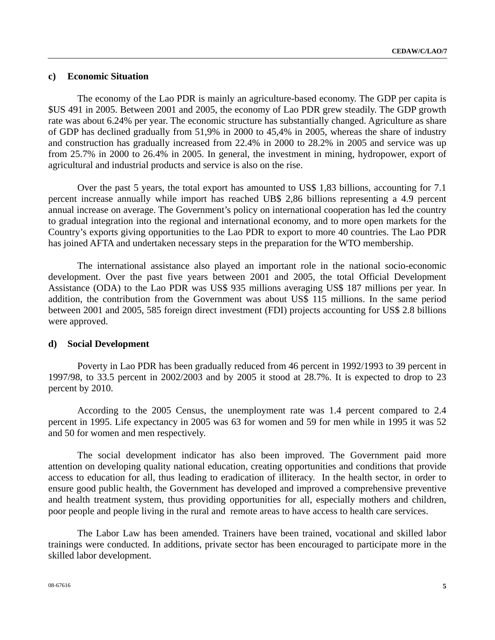# **c) Economic Situation**

The economy of the Lao PDR is mainly an agriculture-based economy. The GDP per capita is \$US 491 in 2005. Between 2001 and 2005, the economy of Lao PDR grew steadily. The GDP growth rate was about 6.24% per year. The economic structure has substantially changed. Agriculture as share of GDP has declined gradually from 51,9% in 2000 to 45,4% in 2005, whereas the share of industry and construction has gradually increased from 22.4% in 2000 to 28.2% in 2005 and service was up from 25.7% in 2000 to 26.4% in 2005. In general, the investment in mining, hydropower, export of agricultural and industrial products and service is also on the rise.

Over the past 5 years, the total export has amounted to US\$ 1,83 billions, accounting for 7.1 percent increase annually while import has reached UB\$ 2,86 billions representing a 4.9 percent annual increase on average. The Government's policy on international cooperation has led the country to gradual integration into the regional and international economy, and to more open markets for the Country's exports giving opportunities to the Lao PDR to export to more 40 countries. The Lao PDR has joined AFTA and undertaken necessary steps in the preparation for the WTO membership.

The international assistance also played an important role in the national socio-economic development. Over the past five years between 2001 and 2005, the total Official Development Assistance (ODA) to the Lao PDR was US\$ 935 millions averaging US\$ 187 millions per year. In addition, the contribution from the Government was about US\$ 115 millions. In the same period between 2001 and 2005, 585 foreign direct investment (FDI) projects accounting for US\$ 2.8 billions were approved.

### **d) Social Development**

Poverty in Lao PDR has been gradually reduced from 46 percent in 1992/1993 to 39 percent in 1997/98, to 33.5 percent in 2002/2003 and by 2005 it stood at 28.7%. It is expected to drop to 23 percent by 2010.

According to the 2005 Census, the unemployment rate was 1.4 percent compared to 2.4 percent in 1995. Life expectancy in 2005 was 63 for women and 59 for men while in 1995 it was 52 and 50 for women and men respectively.

The social development indicator has also been improved. The Government paid more attention on developing quality national education, creating opportunities and conditions that provide access to education for all, thus leading to eradication of illiteracy. In the health sector, in order to ensure good public health, the Government has developed and improved a comprehensive preventive and health treatment system, thus providing opportunities for all, especially mothers and children, poor people and people living in the rural and remote areas to have access to health care services.

The Labor Law has been amended. Trainers have been trained, vocational and skilled labor trainings were conducted. In additions, private sector has been encouraged to participate more in the skilled labor development.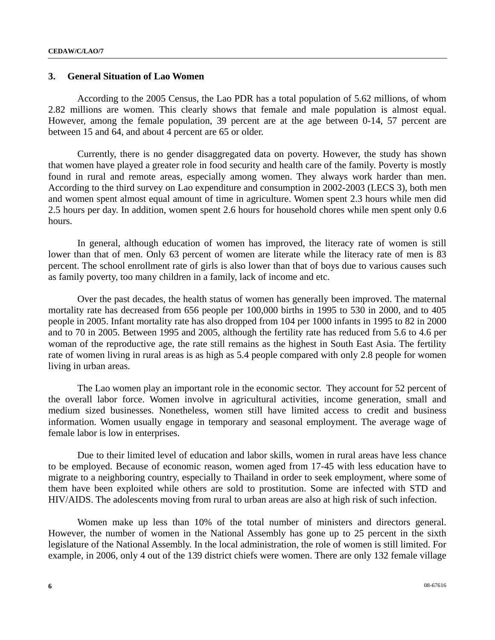# **3. General Situation of Lao Women**

According to the 2005 Census, the Lao PDR has a total population of 5.62 millions, of whom 2.82 millions are women. This clearly shows that female and male population is almost equal. However, among the female population, 39 percent are at the age between 0-14, 57 percent are between 15 and 64, and about 4 percent are 65 or older.

Currently, there is no gender disaggregated data on poverty. However, the study has shown that women have played a greater role in food security and health care of the family. Poverty is mostly found in rural and remote areas, especially among women. They always work harder than men. According to the third survey on Lao expenditure and consumption in 2002-2003 (LECS 3), both men and women spent almost equal amount of time in agriculture. Women spent 2.3 hours while men did 2.5 hours per day. In addition, women spent 2.6 hours for household chores while men spent only 0.6 hours.

In general, although education of women has improved, the literacy rate of women is still lower than that of men. Only 63 percent of women are literate while the literacy rate of men is 83 percent. The school enrollment rate of girls is also lower than that of boys due to various causes such as family poverty, too many children in a family, lack of income and etc.

Over the past decades, the health status of women has generally been improved. The maternal mortality rate has decreased from 656 people per 100,000 births in 1995 to 530 in 2000, and to 405 people in 2005. Infant mortality rate has also dropped from 104 per 1000 infants in 1995 to 82 in 2000 and to 70 in 2005. Between 1995 and 2005, although the fertility rate has reduced from 5.6 to 4.6 per woman of the reproductive age, the rate still remains as the highest in South East Asia. The fertility rate of women living in rural areas is as high as 5.4 people compared with only 2.8 people for women living in urban areas.

The Lao women play an important role in the economic sector. They account for 52 percent of the overall labor force. Women involve in agricultural activities, income generation, small and medium sized businesses. Nonetheless, women still have limited access to credit and business information. Women usually engage in temporary and seasonal employment. The average wage of female labor is low in enterprises.

Due to their limited level of education and labor skills, women in rural areas have less chance to be employed. Because of economic reason, women aged from 17-45 with less education have to migrate to a neighboring country, especially to Thailand in order to seek employment, where some of them have been exploited while others are sold to prostitution. Some are infected with STD and HIV/AIDS. The adolescents moving from rural to urban areas are also at high risk of such infection.

Women make up less than 10% of the total number of ministers and directors general. However, the number of women in the National Assembly has gone up to 25 percent in the sixth legislature of the National Assembly. In the local administration, the role of women is still limited. For example, in 2006, only 4 out of the 139 district chiefs were women. There are only 132 female village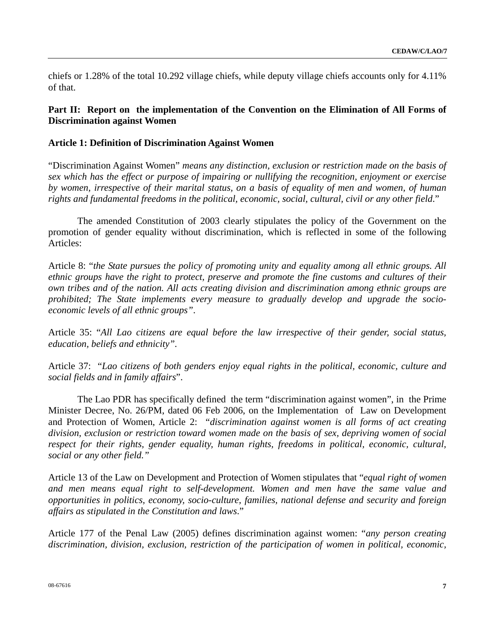chiefs or 1.28% of the total 10.292 village chiefs, while deputy village chiefs accounts only for 4.11% of that.

# Part II: Report on the implementation of the Convention on the Elimination of All Forms of **Discrimination against Women**

# **Article 1: Definition of Discrimination Against Women**

"Discrimination Against Women" *means any distinction, exclusion or restriction made on the basis of sex which has the effect or purpose of impairing or nullifying the recognition, enjoyment or exercise by women, irrespective of their marital status, on a basis of equality of men and women, of human rights and fundamental freedoms in the political, economic, social, cultural, civil or any other field*."

The amended Constitution of 2003 clearly stipulates the policy of the Government on the promotion of gender equality without discrimination, which is reflected in some of the following Articles:

Article 8: "*the State pursues the policy of promoting unity and equality among all ethnic groups. All ethnic groups have the right to protect, preserve and promote the fine customs and cultures of their own tribes and of the nation. All acts creating division and discrimination among ethnic groups are prohibited; The State implements every measure to gradually develop and upgrade the socioeconomic levels of all ethnic groups"*.

Article 35: "*All Lao citizens are equal before the law irrespective of their gender, social status, education, beliefs and ethnicity".*

Article 37: "*Lao citizens of both genders enjoy equal rights in the political, economic, culture and social fields and in family affairs*".

The Lao PDR has specifically defined the term "discrimination against women", in the Prime Minister Decree, No. 26/PM, dated 06 Feb 2006, on the Implementation of Law on Development and Protection of Women, Article 2: "*discrimination against women is all forms of act creating division, exclusion or restriction toward women made on the basis of sex, depriving women of social respect for their rights, gender equality, human rights, freedoms in political, economic, cultural, social or any other field."*

Article 13 of the Law on Development and Protection of Women stipulates that "*equal right of women and men means equal right to self-development. Women and men have the same value and opportunities in politics, economy, socio-culture, families, national defense and security and foreign affairs as stipulated in the Constitution and laws*."

Article 177 of the Penal Law (2005) defines discrimination against women: "*any person creating discrimination, division, exclusion, restriction of the participation of women in political, economic,*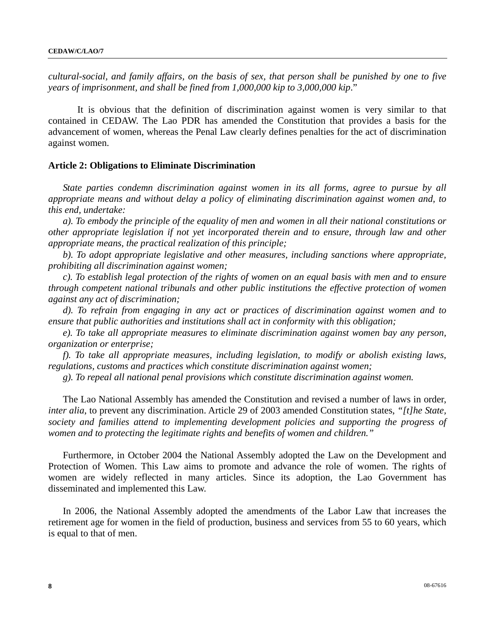*cultural-social, and family affairs, on the basis of sex, that person shall be punished by one to five years of imprisonment, and shall be fined from 1,000,000 kip to 3,000,000 kip*."

It is obvious that the definition of discrimination against women is very similar to that contained in CEDAW. The Lao PDR has amended the Constitution that provides a basis for the advancement of women, whereas the Penal Law clearly defines penalties for the act of discrimination against women.

#### **Article 2: Obligations to Eliminate Discrimination**

*State parties condemn discrimination against women in its all forms, agree to pursue by all appropriate means and without delay a policy of eliminating discrimination against women and, to this end, undertake:* 

*a). To embody the principle of the equality of men and women in all their national constitutions or other appropriate legislation if not yet incorporated therein and to ensure, through law and other appropriate means, the practical realization of this principle;* 

*b). To adopt appropriate legislative and other measures, including sanctions where appropriate, prohibiting all discrimination against women;* 

*c). To establish legal protection of the rights of women on an equal basis with men and to ensure through competent national tribunals and other public institutions the effective protection of women against any act of discrimination;* 

*d). To refrain from engaging in any act or practices of discrimination against women and to ensure that public authorities and institutions shall act in conformity with this obligation;* 

*e). To take all appropriate measures to eliminate discrimination against women bay any person, organization or enterprise;* 

*f). To take all appropriate measures, including legislation, to modify or abolish existing laws, regulations, customs and practices which constitute discrimination against women;* 

*g). To repeal all national penal provisions which constitute discrimination against women.* 

The Lao National Assembly has amended the Constitution and revised a number of laws in order, *inter alia*, to prevent any discrimination. Article 29 of 2003 amended Constitution states, *"[t]he State, society and families attend to implementing development policies and supporting the progress of women and to protecting the legitimate rights and benefits of women and children."* 

Furthermore, in October 2004 the National Assembly adopted the Law on the Development and Protection of Women. This Law aims to promote and advance the role of women. The rights of women are widely reflected in many articles. Since its adoption, the Lao Government has disseminated and implemented this Law.

In 2006, the National Assembly adopted the amendments of the Labor Law that increases the retirement age for women in the field of production, business and services from 55 to 60 years, which is equal to that of men.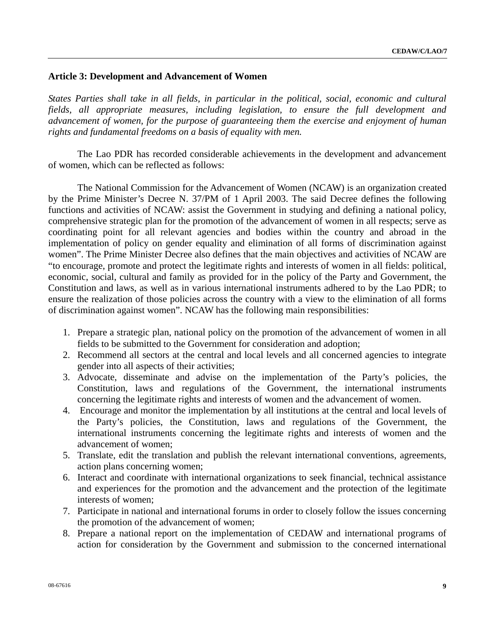# **Article 3: Development and Advancement of Women**

*States Parties shall take in all fields, in particular in the political, social, economic and cultural fields, all appropriate measures, including legislation, to ensure the full development and advancement of women, for the purpose of guaranteeing them the exercise and enjoyment of human rights and fundamental freedoms on a basis of equality with men.* 

The Lao PDR has recorded considerable achievements in the development and advancement of women, which can be reflected as follows:

The National Commission for the Advancement of Women (NCAW) is an organization created by the Prime Minister's Decree N. 37/PM of 1 April 2003. The said Decree defines the following functions and activities of NCAW: assist the Government in studying and defining a national policy, comprehensive strategic plan for the promotion of the advancement of women in all respects; serve as coordinating point for all relevant agencies and bodies within the country and abroad in the implementation of policy on gender equality and elimination of all forms of discrimination against women". The Prime Minister Decree also defines that the main objectives and activities of NCAW are "to encourage, promote and protect the legitimate rights and interests of women in all fields: political, economic, social, cultural and family as provided for in the policy of the Party and Government, the Constitution and laws, as well as in various international instruments adhered to by the Lao PDR; to ensure the realization of those policies across the country with a view to the elimination of all forms of discrimination against women". NCAW has the following main responsibilities:

- 1. Prepare a strategic plan, national policy on the promotion of the advancement of women in all fields to be submitted to the Government for consideration and adoption;
- 2. Recommend all sectors at the central and local levels and all concerned agencies to integrate gender into all aspects of their activities;
- 3. Advocate, disseminate and advise on the implementation of the Party's policies, the Constitution, laws and regulations of the Government, the international instruments concerning the legitimate rights and interests of women and the advancement of women.
- 4. Encourage and monitor the implementation by all institutions at the central and local levels of the Party's policies, the Constitution, laws and regulations of the Government, the international instruments concerning the legitimate rights and interests of women and the advancement of women;
- 5. Translate, edit the translation and publish the relevant international conventions, agreements, action plans concerning women;
- 6. Interact and coordinate with international organizations to seek financial, technical assistance and experiences for the promotion and the advancement and the protection of the legitimate interests of women;
- 7. Participate in national and international forums in order to closely follow the issues concerning the promotion of the advancement of women;
- 8. Prepare a national report on the implementation of CEDAW and international programs of action for consideration by the Government and submission to the concerned international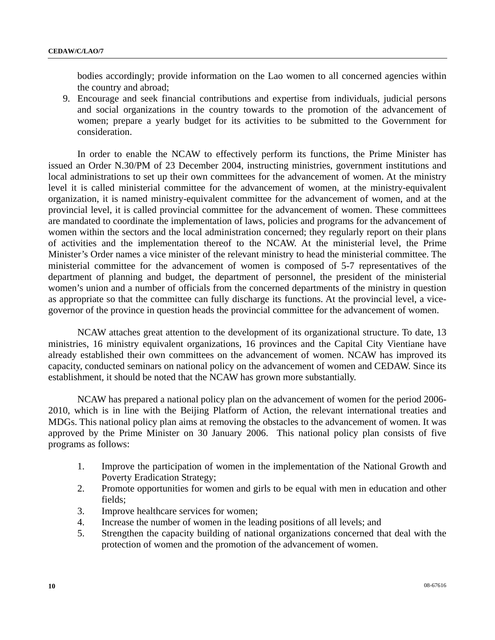bodies accordingly; provide information on the Lao women to all concerned agencies within the country and abroad;

9. Encourage and seek financial contributions and expertise from individuals, judicial persons and social organizations in the country towards to the promotion of the advancement of women; prepare a yearly budget for its activities to be submitted to the Government for consideration.

In order to enable the NCAW to effectively perform its functions, the Prime Minister has issued an Order N.30/PM of 23 December 2004, instructing ministries, government institutions and local administrations to set up their own committees for the advancement of women. At the ministry level it is called ministerial committee for the advancement of women, at the ministry-equivalent organization, it is named ministry-equivalent committee for the advancement of women, and at the provincial level, it is called provincial committee for the advancement of women. These committees are mandated to coordinate the implementation of laws, policies and programs for the advancement of women within the sectors and the local administration concerned; they regularly report on their plans of activities and the implementation thereof to the NCAW. At the ministerial level, the Prime Minister's Order names a vice minister of the relevant ministry to head the ministerial committee. The ministerial committee for the advancement of women is composed of 5-7 representatives of the department of planning and budget, the department of personnel, the president of the ministerial women's union and a number of officials from the concerned departments of the ministry in question as appropriate so that the committee can fully discharge its functions. At the provincial level, a vicegovernor of the province in question heads the provincial committee for the advancement of women.

NCAW attaches great attention to the development of its organizational structure. To date, 13 ministries, 16 ministry equivalent organizations, 16 provinces and the Capital City Vientiane have already established their own committees on the advancement of women. NCAW has improved its capacity, conducted seminars on national policy on the advancement of women and CEDAW. Since its establishment, it should be noted that the NCAW has grown more substantially.

NCAW has prepared a national policy plan on the advancement of women for the period 2006- 2010, which is in line with the Beijing Platform of Action, the relevant international treaties and MDGs. This national policy plan aims at removing the obstacles to the advancement of women. It was approved by the Prime Minister on 30 January 2006. This national policy plan consists of five programs as follows:

- 1. Improve the participation of women in the implementation of the National Growth and Poverty Eradication Strategy;
- 2. Promote opportunities for women and girls to be equal with men in education and other fields;
- 3. Improve healthcare services for women;
- 4. Increase the number of women in the leading positions of all levels; and
- 5. Strengthen the capacity building of national organizations concerned that deal with the protection of women and the promotion of the advancement of women.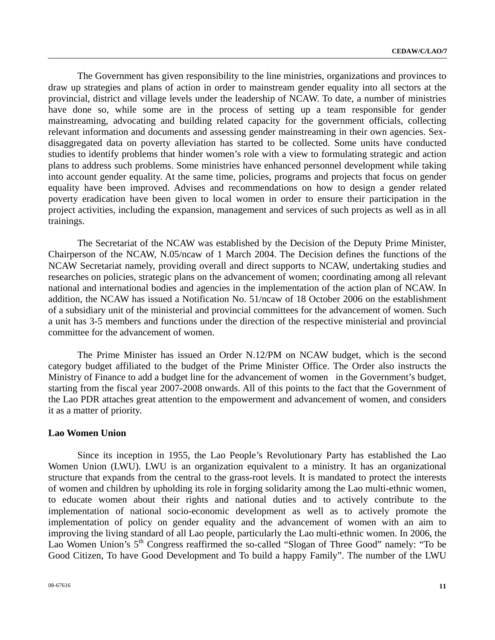The Government has given responsibility to the line ministries, organizations and provinces to draw up strategies and plans of action in order to mainstream gender equality into all sectors at the provincial, district and village levels under the leadership of NCAW. To date, a number of ministries have done so, while some are in the process of setting up a team responsible for gender mainstreaming, advocating and building related capacity for the government officials, collecting relevant information and documents and assessing gender mainstreaming in their own agencies. Sexdisaggregated data on poverty alleviation has started to be collected. Some units have conducted studies to identify problems that hinder women's role with a view to formulating strategic and action plans to address such problems. Some ministries have enhanced personnel development while taking into account gender equality. At the same time, policies, programs and projects that focus on gender equality have been improved. Advises and recommendations on how to design a gender related poverty eradication have been given to local women in order to ensure their participation in the project activities, including the expansion, management and services of such projects as well as in all trainings.

The Secretariat of the NCAW was established by the Decision of the Deputy Prime Minister, Chairperson of the NCAW, N.05/ncaw of 1 March 2004. The Decision defines the functions of the NCAW Secretariat namely, providing overall and direct supports to NCAW, undertaking studies and researches on policies, strategic plans on the advancement of women; coordinating among all relevant national and international bodies and agencies in the implementation of the action plan of NCAW. In addition, the NCAW has issued a Notification No. 51/ncaw of 18 October 2006 on the establishment of a subsidiary unit of the ministerial and provincial committees for the advancement of women. Such a unit has 3-5 members and functions under the direction of the respective ministerial and provincial committee for the advancement of women.

The Prime Minister has issued an Order N.12/PM on NCAW budget, which is the second category budget affiliated to the budget of the Prime Minister Office. The Order also instructs the Ministry of Finance to add a budget line for the advancement of women in the Government's budget, starting from the fiscal year 2007-2008 onwards. All of this points to the fact that the Government of the Lao PDR attaches great attention to the empowerment and advancement of women, and considers it as a matter of priority.

#### **Lao Women Union**

Since its inception in 1955, the Lao People's Revolutionary Party has established the Lao Women Union (LWU). LWU is an organization equivalent to a ministry. It has an organizational structure that expands from the central to the grass-root levels. It is mandated to protect the interests of women and children by upholding its role in forging solidarity among the Lao multi-ethnic women, to educate women about their rights and national duties and to actively contribute to the implementation of national socio-economic development as well as to actively promote the implementation of policy on gender equality and the advancement of women with an aim to improving the living standard of all Lao people, particularly the Lao multi-ethnic women. In 2006, the Lao Women Union's 5<sup>th</sup> Congress reaffirmed the so-called "Slogan of Three Good" namely: "To be Good Citizen, To have Good Development and To build a happy Family". The number of the LWU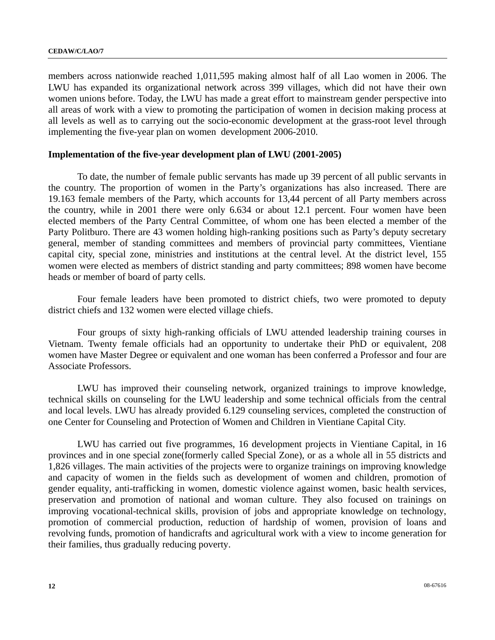members across nationwide reached 1,011,595 making almost half of all Lao women in 2006. The LWU has expanded its organizational network across 399 villages, which did not have their own women unions before. Today, the LWU has made a great effort to mainstream gender perspective into all areas of work with a view to promoting the participation of women in decision making process at all levels as well as to carrying out the socio-economic development at the grass-root level through implementing the five-year plan on women development 2006-2010.

#### **Implementation of the five-year development plan of LWU (2001-2005)**

To date, the number of female public servants has made up 39 percent of all public servants in the country. The proportion of women in the Party's organizations has also increased. There are 19.163 female members of the Party, which accounts for 13,44 percent of all Party members across the country, while in 2001 there were only 6.634 or about 12.1 percent. Four women have been elected members of the Party Central Committee, of whom one has been elected a member of the Party Politburo. There are 43 women holding high-ranking positions such as Party's deputy secretary general, member of standing committees and members of provincial party committees, Vientiane capital city, special zone, ministries and institutions at the central level. At the district level, 155 women were elected as members of district standing and party committees; 898 women have become heads or member of board of party cells.

Four female leaders have been promoted to district chiefs, two were promoted to deputy district chiefs and 132 women were elected village chiefs.

Four groups of sixty high-ranking officials of LWU attended leadership training courses in Vietnam. Twenty female officials had an opportunity to undertake their PhD or equivalent, 208 women have Master Degree or equivalent and one woman has been conferred a Professor and four are Associate Professors.

LWU has improved their counseling network, organized trainings to improve knowledge, technical skills on counseling for the LWU leadership and some technical officials from the central and local levels. LWU has already provided 6.129 counseling services, completed the construction of one Center for Counseling and Protection of Women and Children in Vientiane Capital City.

LWU has carried out five programmes, 16 development projects in Vientiane Capital, in 16 provinces and in one special zone(formerly called Special Zone), or as a whole all in 55 districts and 1,826 villages. The main activities of the projects were to organize trainings on improving knowledge and capacity of women in the fields such as development of women and children, promotion of gender equality, anti-trafficking in women, domestic violence against women, basic health services, preservation and promotion of national and woman culture. They also focused on trainings on improving vocational-technical skills, provision of jobs and appropriate knowledge on technology, promotion of commercial production, reduction of hardship of women, provision of loans and revolving funds, promotion of handicrafts and agricultural work with a view to income generation for their families, thus gradually reducing poverty.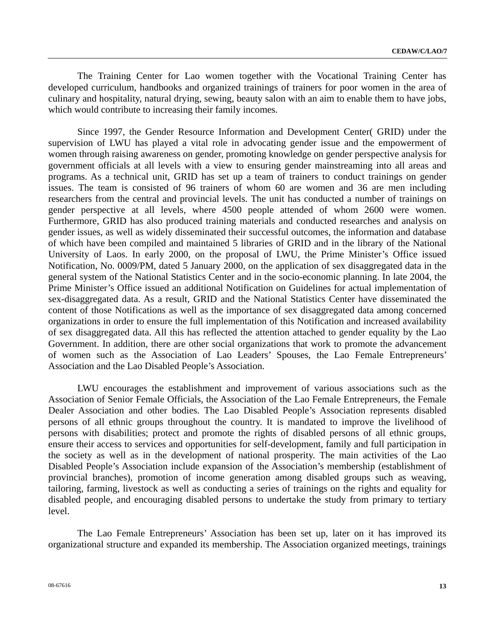The Training Center for Lao women together with the Vocational Training Center has developed curriculum, handbooks and organized trainings of trainers for poor women in the area of culinary and hospitality, natural drying, sewing, beauty salon with an aim to enable them to have jobs, which would contribute to increasing their family incomes.

Since 1997, the Gender Resource Information and Development Center( GRID) under the supervision of LWU has played a vital role in advocating gender issue and the empowerment of women through raising awareness on gender, promoting knowledge on gender perspective analysis for government officials at all levels with a view to ensuring gender mainstreaming into all areas and programs. As a technical unit, GRID has set up a team of trainers to conduct trainings on gender issues. The team is consisted of 96 trainers of whom 60 are women and 36 are men including researchers from the central and provincial levels. The unit has conducted a number of trainings on gender perspective at all levels, where 4500 people attended of whom 2600 were women. Furthermore, GRID has also produced training materials and conducted researches and analysis on gender issues, as well as widely disseminated their successful outcomes, the information and database of which have been compiled and maintained 5 libraries of GRID and in the library of the National University of Laos. In early 2000, on the proposal of LWU, the Prime Minister's Office issued Notification, No. 0009/PM, dated 5 January 2000, on the application of sex disaggregated data in the general system of the National Statistics Center and in the socio-economic planning. In late 2004, the Prime Minister's Office issued an additional Notification on Guidelines for actual implementation of sex-disaggregated data. As a result, GRID and the National Statistics Center have disseminated the content of those Notifications as well as the importance of sex disaggregated data among concerned organizations in order to ensure the full implementation of this Notification and increased availability of sex disaggregated data. All this has reflected the attention attached to gender equality by the Lao Government. In addition, there are other social organizations that work to promote the advancement of women such as the Association of Lao Leaders' Spouses, the Lao Female Entrepreneurs' Association and the Lao Disabled People's Association.

LWU encourages the establishment and improvement of various associations such as the Association of Senior Female Officials, the Association of the Lao Female Entrepreneurs, the Female Dealer Association and other bodies. The Lao Disabled People's Association represents disabled persons of all ethnic groups throughout the country. It is mandated to improve the livelihood of persons with disabilities; protect and promote the rights of disabled persons of all ethnic groups, ensure their access to services and opportunities for self-development, family and full participation in the society as well as in the development of national prosperity. The main activities of the Lao Disabled People's Association include expansion of the Association's membership (establishment of provincial branches), promotion of income generation among disabled groups such as weaving, tailoring, farming, livestock as well as conducting a series of trainings on the rights and equality for disabled people, and encouraging disabled persons to undertake the study from primary to tertiary level.

The Lao Female Entrepreneurs' Association has been set up, later on it has improved its organizational structure and expanded its membership. The Association organized meetings, trainings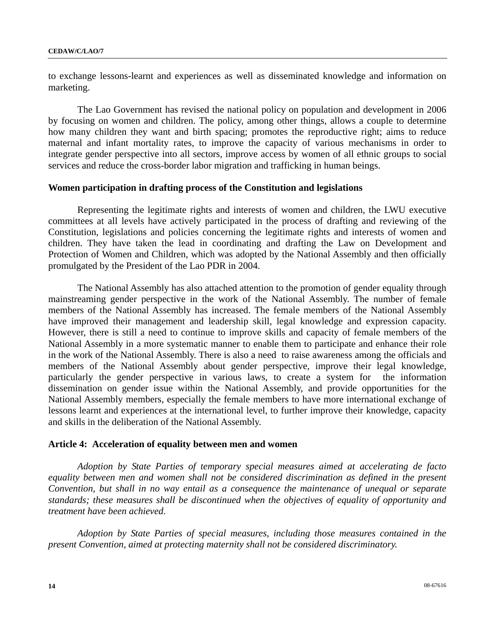to exchange lessons-learnt and experiences as well as disseminated knowledge and information on marketing.

The Lao Government has revised the national policy on population and development in 2006 by focusing on women and children. The policy, among other things, allows a couple to determine how many children they want and birth spacing; promotes the reproductive right; aims to reduce maternal and infant mortality rates, to improve the capacity of various mechanisms in order to integrate gender perspective into all sectors, improve access by women of all ethnic groups to social services and reduce the cross-border labor migration and trafficking in human beings.

### **Women participation in drafting process of the Constitution and legislations**

Representing the legitimate rights and interests of women and children, the LWU executive committees at all levels have actively participated in the process of drafting and reviewing of the Constitution, legislations and policies concerning the legitimate rights and interests of women and children. They have taken the lead in coordinating and drafting the Law on Development and Protection of Women and Children, which was adopted by the National Assembly and then officially promulgated by the President of the Lao PDR in 2004.

The National Assembly has also attached attention to the promotion of gender equality through mainstreaming gender perspective in the work of the National Assembly. The number of female members of the National Assembly has increased. The female members of the National Assembly have improved their management and leadership skill, legal knowledge and expression capacity. However, there is still a need to continue to improve skills and capacity of female members of the National Assembly in a more systematic manner to enable them to participate and enhance their role in the work of the National Assembly. There is also a need to raise awareness among the officials and members of the National Assembly about gender perspective, improve their legal knowledge, particularly the gender perspective in various laws, to create a system for the information dissemination on gender issue within the National Assembly, and provide opportunities for the National Assembly members, especially the female members to have more international exchange of lessons learnt and experiences at the international level, to further improve their knowledge, capacity and skills in the deliberation of the National Assembly.

#### **Article 4: Acceleration of equality between men and women**

*Adoption by State Parties of temporary special measures aimed at accelerating de facto equality between men and women shall not be considered discrimination as defined in the present Convention, but shall in no way entail as a consequence the maintenance of unequal or separate standards; these measures shall be discontinued when the objectives of equality of opportunity and treatment have been achieved.* 

*Adoption by State Parties of special measures, including those measures contained in the present Convention, aimed at protecting maternity shall not be considered discriminatory.*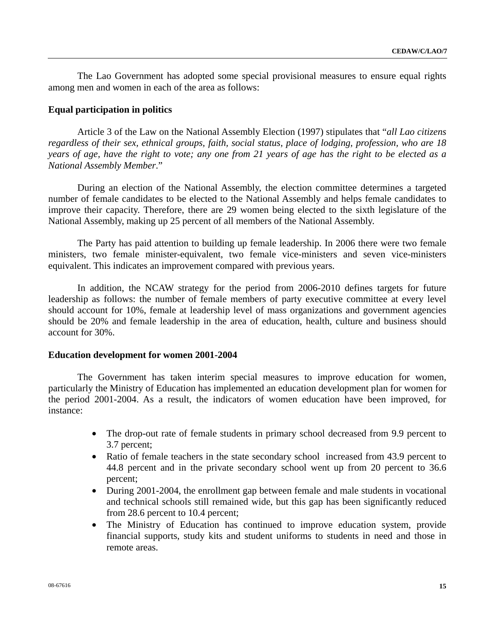The Lao Government has adopted some special provisional measures to ensure equal rights among men and women in each of the area as follows:

# **Equal participation in politics**

Article 3 of the Law on the National Assembly Election (1997) stipulates that "*all Lao citizens regardless of their sex, ethnical groups, faith, social status, place of lodging, profession, who are 18 years of age, have the right to vote; any one from 21 years of age has the right to be elected as a National Assembly Member*."

During an election of the National Assembly, the election committee determines a targeted number of female candidates to be elected to the National Assembly and helps female candidates to improve their capacity. Therefore, there are 29 women being elected to the sixth legislature of the National Assembly, making up 25 percent of all members of the National Assembly.

The Party has paid attention to building up female leadership. In 2006 there were two female ministers, two female minister-equivalent, two female vice-ministers and seven vice-ministers equivalent. This indicates an improvement compared with previous years.

In addition, the NCAW strategy for the period from 2006-2010 defines targets for future leadership as follows: the number of female members of party executive committee at every level should account for 10%, female at leadership level of mass organizations and government agencies should be 20% and female leadership in the area of education, health, culture and business should account for 30%.

#### **Education development for women 2001-2004**

The Government has taken interim special measures to improve education for women, particularly the Ministry of Education has implemented an education development plan for women for the period 2001-2004. As a result, the indicators of women education have been improved, for instance:

- The drop-out rate of female students in primary school decreased from 9.9 percent to 3.7 percent;
- Ratio of female teachers in the state secondary school increased from 43.9 percent to 44.8 percent and in the private secondary school went up from 20 percent to 36.6 percent;
- During 2001-2004, the enrollment gap between female and male students in vocational and technical schools still remained wide, but this gap has been significantly reduced from 28.6 percent to 10.4 percent;
- The Ministry of Education has continued to improve education system, provide financial supports, study kits and student uniforms to students in need and those in remote areas.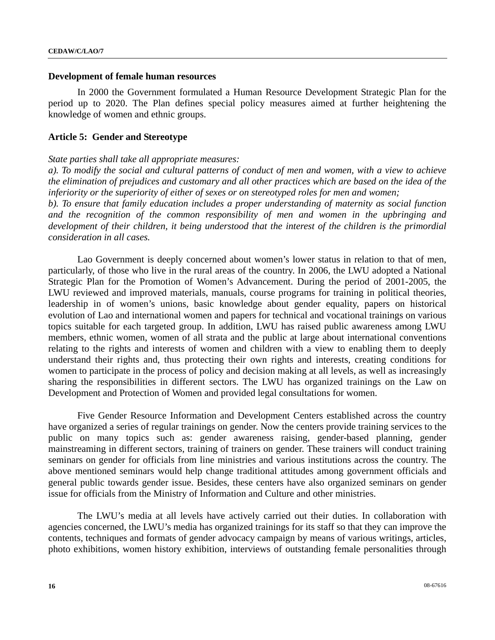#### **Development of female human resources**

In 2000 the Government formulated a Human Resource Development Strategic Plan for the period up to 2020. The Plan defines special policy measures aimed at further heightening the knowledge of women and ethnic groups.

#### **Article 5: Gender and Stereotype**

#### *State parties shall take all appropriate measures:*

*a). To modify the social and cultural patterns of conduct of men and women, with a view to achieve the elimination of prejudices and customary and all other practices which are based on the idea of the inferiority or the superiority of either of sexes or on stereotyped roles for men and women;* 

*b). To ensure that family education includes a proper understanding of maternity as social function and the recognition of the common responsibility of men and women in the upbringing and development of their children, it being understood that the interest of the children is the primordial consideration in all cases.* 

Lao Government is deeply concerned about women's lower status in relation to that of men, particularly, of those who live in the rural areas of the country. In 2006, the LWU adopted a National Strategic Plan for the Promotion of Women's Advancement. During the period of 2001-2005, the LWU reviewed and improved materials, manuals, course programs for training in political theories, leadership in of women's unions, basic knowledge about gender equality, papers on historical evolution of Lao and international women and papers for technical and vocational trainings on various topics suitable for each targeted group. In addition, LWU has raised public awareness among LWU members, ethnic women, women of all strata and the public at large about international conventions relating to the rights and interests of women and children with a view to enabling them to deeply understand their rights and, thus protecting their own rights and interests, creating conditions for women to participate in the process of policy and decision making at all levels, as well as increasingly sharing the responsibilities in different sectors. The LWU has organized trainings on the Law on Development and Protection of Women and provided legal consultations for women.

Five Gender Resource Information and Development Centers established across the country have organized a series of regular trainings on gender. Now the centers provide training services to the public on many topics such as: gender awareness raising, gender-based planning, gender mainstreaming in different sectors, training of trainers on gender. These trainers will conduct training seminars on gender for officials from line ministries and various institutions across the country. The above mentioned seminars would help change traditional attitudes among government officials and general public towards gender issue. Besides, these centers have also organized seminars on gender issue for officials from the Ministry of Information and Culture and other ministries.

The LWU's media at all levels have actively carried out their duties. In collaboration with agencies concerned, the LWU's media has organized trainings for its staff so that they can improve the contents, techniques and formats of gender advocacy campaign by means of various writings, articles, photo exhibitions, women history exhibition, interviews of outstanding female personalities through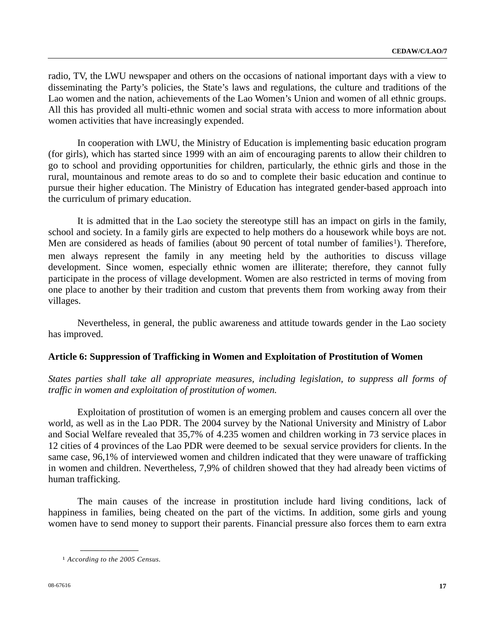radio, TV, the LWU newspaper and others on the occasions of national important days with a view to disseminating the Party's policies, the State's laws and regulations, the culture and traditions of the Lao women and the nation, achievements of the Lao Women's Union and women of all ethnic groups. All this has provided all multi-ethnic women and social strata with access to more information about women activities that have increasingly expended.

In cooperation with LWU, the Ministry of Education is implementing basic education program (for girls), which has started since 1999 with an aim of encouraging parents to allow their children to go to school and providing opportunities for children, particularly, the ethnic girls and those in the rural, mountainous and remote areas to do so and to complete their basic education and continue to pursue their higher education. The Ministry of Education has integrated gender-based approach into the curriculum of primary education.

It is admitted that in the Lao society the stereotype still has an impact on girls in the family, school and society. In a family girls are expected to help mothers do a housework while boys are not. Men are considered as heads of families (about 90 percent of total number of families<sup>[1](#page-16-0)</sup>). Therefore, men always represent the family in any meeting held by the authorities to discuss village development. Since women, especially ethnic women are illiterate; therefore, they cannot fully participate in the process of village development. Women are also restricted in terms of moving from one place to another by their tradition and custom that prevents them from working away from their villages.

Nevertheless, in general, the public awareness and attitude towards gender in the Lao society has improved.

### **Article 6: Suppression of Trafficking in Women and Exploitation of Prostitution of Women**

*States parties shall take all appropriate measures, including legislation, to suppress all forms of traffic in women and exploitation of prostitution of women.* 

Exploitation of prostitution of women is an emerging problem and causes concern all over the world, as well as in the Lao PDR. The 2004 survey by the National University and Ministry of Labor and Social Welfare revealed that 35,7% of 4.235 women and children working in 73 service places in 12 cities of 4 provinces of the Lao PDR were deemed to be sexual service providers for clients. In the same case, 96,1% of interviewed women and children indicated that they were unaware of trafficking in women and children. Nevertheless, 7,9% of children showed that they had already been victims of human trafficking.

The main causes of the increase in prostitution include hard living conditions, lack of happiness in families, being cheated on the part of the victims. In addition, some girls and young women have to send money to support their parents. Financial pressure also forces them to earn extra

<span id="page-16-0"></span>**\_\_\_\_\_\_\_\_\_\_\_\_\_\_\_\_\_\_**  1 *According to the 2005 Census.*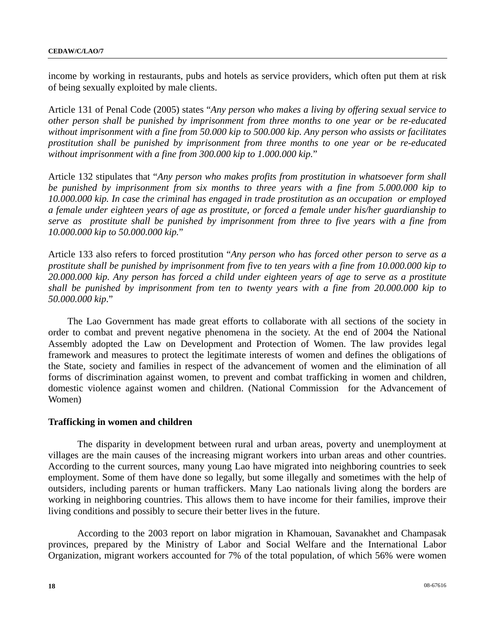income by working in restaurants, pubs and hotels as service providers, which often put them at risk of being sexually exploited by male clients.

Article 131 of Penal Code (2005) states "*Any person who makes a living by offering sexual service to other person shall be punished by imprisonment from three months to one year or be re-educated without imprisonment with a fine from 50.000 kip to 500.000 kip. Any person who assists or facilitates prostitution shall be punished by imprisonment from three months to one year or be re-educated without imprisonment with a fine from 300.000 kip to 1.000.000 kip.*"

Article 132 stipulates that "*Any person who makes profits from prostitution in whatsoever form shall be punished by imprisonment from six months to three years with a fine from 5.000.000 kip to 10.000.000 kip. In case the criminal has engaged in trade prostitution as an occupation or employed a female under eighteen years of age as prostitute, or forced a female under his/her guardianship to serve as prostitute shall be punished by imprisonment from three to five years with a fine from 10.000.000 kip to 50.000.000 kip.*"

Article 133 also refers to forced prostitution "*Any person who has forced other person to serve as a prostitute shall be punished by imprisonment from five to ten years with a fine from 10.000.000 kip to 20.000.000 kip. Any person has forced a child under eighteen years of age to serve as a prostitute shall be punished by imprisonment from ten to twenty years with a fine from 20.000.000 kip to 50.000.000 kip*."

 The Lao Government has made great efforts to collaborate with all sections of the society in order to combat and prevent negative phenomena in the society. At the end of 2004 the National Assembly adopted the Law on Development and Protection of Women. The law provides legal framework and measures to protect the legitimate interests of women and defines the obligations of the State, society and families in respect of the advancement of women and the elimination of all forms of discrimination against women, to prevent and combat trafficking in women and children, domestic violence against women and children. (National Commission for the Advancement of Women)

# **Trafficking in women and children**

The disparity in development between rural and urban areas, poverty and unemployment at villages are the main causes of the increasing migrant workers into urban areas and other countries. According to the current sources, many young Lao have migrated into neighboring countries to seek employment. Some of them have done so legally, but some illegally and sometimes with the help of outsiders, including parents or human traffickers. Many Lao nationals living along the borders are working in neighboring countries. This allows them to have income for their families, improve their living conditions and possibly to secure their better lives in the future.

According to the 2003 report on labor migration in Khamouan, Savanakhet and Champasak provinces, prepared by the Ministry of Labor and Social Welfare and the International Labor Organization, migrant workers accounted for 7% of the total population, of which 56% were women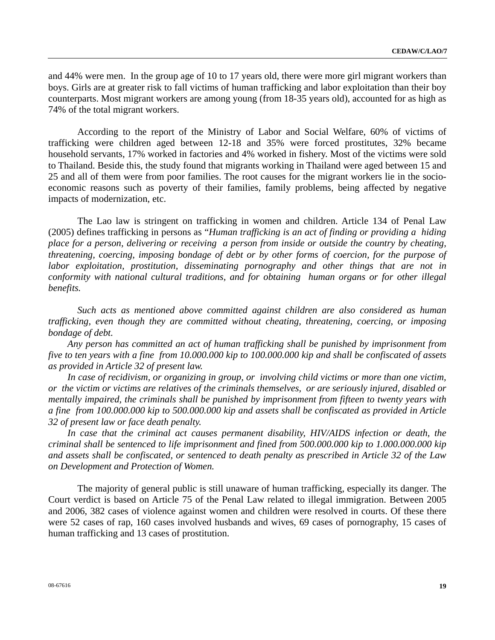and 44% were men. In the group age of 10 to 17 years old, there were more girl migrant workers than boys. Girls are at greater risk to fall victims of human trafficking and labor exploitation than their boy counterparts. Most migrant workers are among young (from 18-35 years old), accounted for as high as 74% of the total migrant workers.

According to the report of the Ministry of Labor and Social Welfare, 60% of victims of trafficking were children aged between 12-18 and 35% were forced prostitutes, 32% became household servants, 17% worked in factories and 4% worked in fishery. Most of the victims were sold to Thailand. Beside this, the study found that migrants working in Thailand were aged between 15 and 25 and all of them were from poor families. The root causes for the migrant workers lie in the socioeconomic reasons such as poverty of their families, family problems, being affected by negative impacts of modernization, etc.

The Lao law is stringent on trafficking in women and children. Article 134 of Penal Law (2005) defines trafficking in persons as "*Human trafficking is an act of finding or providing a hiding place for a person, delivering or receiving a person from inside or outside the country by cheating, threatening, coercing, imposing bondage of debt or by other forms of coercion, for the purpose of labor exploitation, prostitution, disseminating pornography and other things that are not in conformity with national cultural traditions, and for obtaining human organs or for other illegal benefits.*

*Such acts as mentioned above committed against children are also considered as human trafficking, even though they are committed without cheating, threatening, coercing, or imposing bondage of debt.* 

 *Any person has committed an act of human trafficking shall be punished by imprisonment from five to ten years with a fine from 10.000.000 kip to 100.000.000 kip and shall be confiscated of assets as provided in Article 32 of present law.* 

 *In case of recidivism, or organizing in group, or involving child victims or more than one victim, or the victim or victims are relatives of the criminals themselves, or are seriously injured, disabled or mentally impaired, the criminals shall be punished by imprisonment from fifteen to twenty years with a fine from 100.000.000 kip to 500.000.000 kip and assets shall be confiscated as provided in Article 32 of present law or face death penalty.* 

In case that the criminal act causes permanent disability, HIV/AIDS infection or death, the *criminal shall be sentenced to life imprisonment and fined from 500.000.000 kip to 1.000.000.000 kip and assets shall be confiscated, or sentenced to death penalty as prescribed in Article 32 of the Law on Development and Protection of Women.* 

The majority of general public is still unaware of human trafficking, especially its danger. The Court verdict is based on Article 75 of the Penal Law related to illegal immigration. Between 2005 and 2006, 382 cases of violence against women and children were resolved in courts. Of these there were 52 cases of rap, 160 cases involved husbands and wives, 69 cases of pornography, 15 cases of human trafficking and 13 cases of prostitution.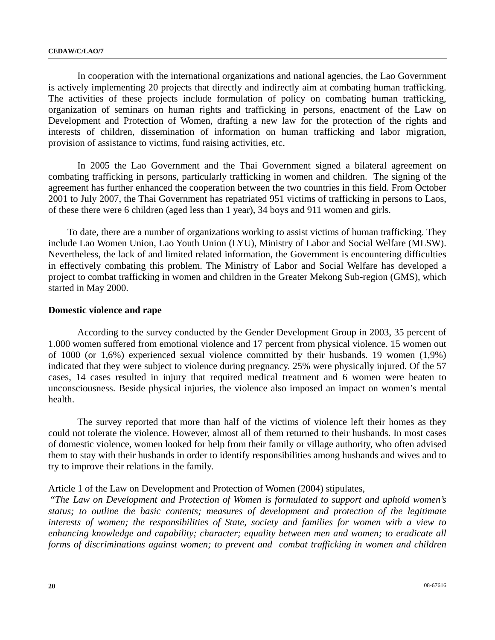#### **CEDAW/C/LAO/7**

In cooperation with the international organizations and national agencies, the Lao Government is actively implementing 20 projects that directly and indirectly aim at combating human trafficking. The activities of these projects include formulation of policy on combating human trafficking, organization of seminars on human rights and trafficking in persons, enactment of the Law on Development and Protection of Women, drafting a new law for the protection of the rights and interests of children, dissemination of information on human trafficking and labor migration, provision of assistance to victims, fund raising activities, etc.

In 2005 the Lao Government and the Thai Government signed a bilateral agreement on combating trafficking in persons, particularly trafficking in women and children. The signing of the agreement has further enhanced the cooperation between the two countries in this field. From October 2001 to July 2007, the Thai Government has repatriated 951 victims of trafficking in persons to Laos, of these there were 6 children (aged less than 1 year), 34 boys and 911 women and girls.

 To date, there are a number of organizations working to assist victims of human trafficking. They include Lao Women Union, Lao Youth Union (LYU), Ministry of Labor and Social Welfare (MLSW). Nevertheless, the lack of and limited related information, the Government is encountering difficulties in effectively combating this problem. The Ministry of Labor and Social Welfare has developed a project to combat trafficking in women and children in the Greater Mekong Sub-region (GMS), which started in May 2000.

#### **Domestic violence and rape**

According to the survey conducted by the Gender Development Group in 2003, 35 percent of 1.000 women suffered from emotional violence and 17 percent from physical violence. 15 women out of 1000 (or 1,6%) experienced sexual violence committed by their husbands. 19 women (1,9%) indicated that they were subject to violence during pregnancy. 25% were physically injured. Of the 57 cases, 14 cases resulted in injury that required medical treatment and 6 women were beaten to unconsciousness. Beside physical injuries, the violence also imposed an impact on women's mental health.

The survey reported that more than half of the victims of violence left their homes as they could not tolerate the violence. However, almost all of them returned to their husbands. In most cases of domestic violence, women looked for help from their family or village authority, who often advised them to stay with their husbands in order to identify responsibilities among husbands and wives and to try to improve their relations in the family.

# Article 1 of the Law on Development and Protection of Women (2004) stipulates,

 "*The Law on Development and Protection of Women is formulated to support and uphold women's status; to outline the basic contents; measures of development and protection of the legitimate interests of women; the responsibilities of State, society and families for women with a view to enhancing knowledge and capability; character; equality between men and women; to eradicate all forms of discriminations against women; to prevent and combat trafficking in women and children*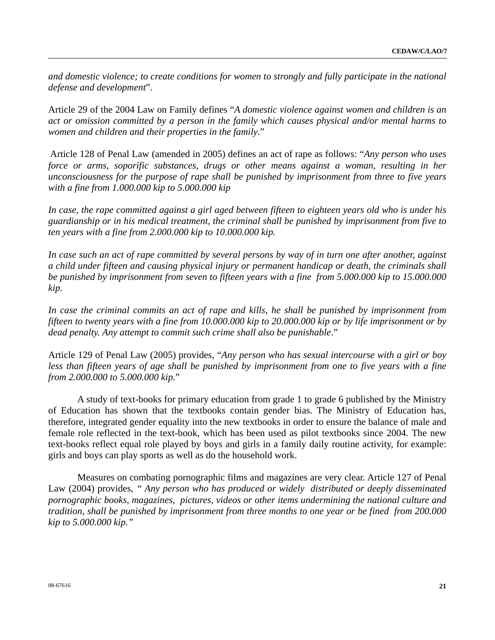*and domestic violence; to create conditions for women to strongly and fully participate in the national defense and development*".

Article 29 of the 2004 Law on Family defines "*A domestic violence against women and children is an act or omission committed by a person in the family which causes physical and/or mental harms to women and children and their properties in the family*."

 Article 128 of Penal Law (amended in 2005) defines an act of rape as follows: "*Any person who uses force or arms, soporific substances, drugs or other means against a woman, resulting in her unconsciousness for the purpose of rape shall be punished by imprisonment from three to five years with a fine from 1.000.000 kip to 5.000.000 kip* 

*In case, the rape committed against a girl aged between fifteen to eighteen years old who is under his guardianship or in his medical treatment, the criminal shall be punished by imprisonment from five to ten years with a fine from 2.000.000 kip to 10.000.000 kip.* 

*In case such an act of rape committed by several persons by way of in turn one after another, against a child under fifteen and causing physical injury or permanent handicap or death, the criminals shall be punished by imprisonment from seven to fifteen years with a fine from 5.000.000 kip to 15.000.000 kip.* 

*In case the criminal commits an act of rape and kills, he shall be punished by imprisonment from fifteen to twenty years with a fine from 10.000.000 kip to 20.000.000 kip or by life imprisonment or by dead penalty. Any attempt to commit such crime shall also be punishable*."

Article 129 of Penal Law (2005) provides, "*Any person who has sexual intercourse with a girl or boy*  less than fifteen years of age shall be punished by imprisonment from one to five years with a fine *from 2.000.000 to 5.000.000 kip.*"

A study of text-books for primary education from grade 1 to grade 6 published by the Ministry of Education has shown that the textbooks contain gender bias. The Ministry of Education has, therefore, integrated gender equality into the new textbooks in order to ensure the balance of male and female role reflected in the text-book, which has been used as pilot textbooks since 2004. The new text-books reflect equal role played by boys and girls in a family daily routine activity, for example: girls and boys can play sports as well as do the household work.

Measures on combating pornographic films and magazines are very clear. Article 127 of Penal Law (2004) provides, *" Any person who has produced or widely distributed or deeply disseminated pornographic books, magazines, pictures, videos or other items undermining the national culture and tradition, shall be punished by imprisonment from three months to one year or be fined from 200.000 kip to 5.000.000 kip."*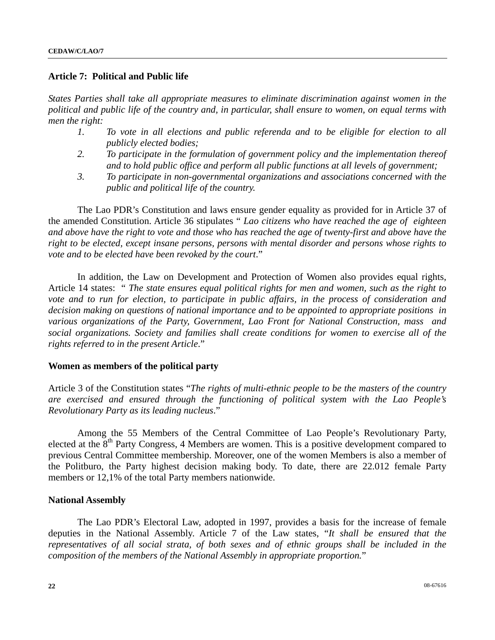# **Article 7: Political and Public life**

*States Parties shall take all appropriate measures to eliminate discrimination against women in the political and public life of the country and, in particular, shall ensure to women, on equal terms with men the right:* 

- *1. To vote in all elections and public referenda and to be eligible for election to all publicly elected bodies;*
- *2. To participate in the formulation of government policy and the implementation thereof and to hold public office and perform all public functions at all levels of government;*
- *3. To participate in non-governmental organizations and associations concerned with the public and political life of the country.*

The Lao PDR's Constitution and laws ensure gender equality as provided for in Article 37 of the amended Constitution. Article 36 stipulates " *Lao citizens who have reached the age of eighteen and above have the right to vote and those who has reached the age of twenty-first and above have the right to be elected, except insane persons, persons with mental disorder and persons whose rights to vote and to be elected have been revoked by the court*."

In addition, the Law on Development and Protection of Women also provides equal rights, Article 14 states: " *The state ensures equal political rights for men and women, such as the right to vote and to run for election, to participate in public affairs, in the process of consideration and decision making on questions of national importance and to be appointed to appropriate positions in various organizations of the Party, Government, Lao Front for National Construction, mass and social organizations. Society and families shall create conditions for women to exercise all of the rights referred to in the present Article*."

### **Women as members of the political party**

Article 3 of the Constitution states "*The rights of multi-ethnic people to be the masters of the country are exercised and ensured through the functioning of political system with the Lao People's Revolutionary Party as its leading nucleus*."

Among the 55 Members of the Central Committee of Lao People's Revolutionary Party, elected at the 8<sup>th</sup> Party Congress, 4 Members are women. This is a positive development compared to previous Central Committee membership. Moreover, one of the women Members is also a member of the Politburo, the Party highest decision making body. To date, there are 22.012 female Party members or 12,1% of the total Party members nationwide.

### **National Assembly**

The Lao PDR's Electoral Law, adopted in 1997, provides a basis for the increase of female deputies in the National Assembly. Article 7 of the Law states, "*It shall be ensured that the representatives of all social strata, of both sexes and of ethnic groups shall be included in the composition of the members of the National Assembly in appropriate proportion.*"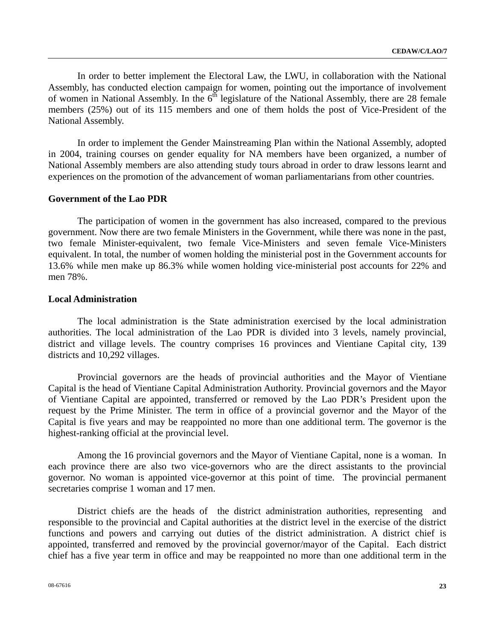In order to better implement the Electoral Law, the LWU, in collaboration with the National Assembly, has conducted election campaign for women, pointing out the importance of involvement of women in National Assembly. In the  $6<sup>th</sup>$  legislature of the National Assembly, there are 28 female members (25%) out of its 115 members and one of them holds the post of Vice-President of the National Assembly.

In order to implement the Gender Mainstreaming Plan within the National Assembly, adopted in 2004, training courses on gender equality for NA members have been organized, a number of National Assembly members are also attending study tours abroad in order to draw lessons learnt and experiences on the promotion of the advancement of woman parliamentarians from other countries.

#### **Government of the Lao PDR**

The participation of women in the government has also increased, compared to the previous government. Now there are two female Ministers in the Government, while there was none in the past, two female Minister-equivalent, two female Vice-Ministers and seven female Vice-Ministers equivalent. In total, the number of women holding the ministerial post in the Government accounts for 13.6% while men make up 86.3% while women holding vice-ministerial post accounts for 22% and men 78%.

#### **Local Administration**

The local administration is the State administration exercised by the local administration authorities. The local administration of the Lao PDR is divided into 3 levels, namely provincial, district and village levels. The country comprises 16 provinces and Vientiane Capital city, 139 districts and 10,292 villages.

 Provincial governors are the heads of provincial authorities and the Mayor of Vientiane Capital is the head of Vientiane Capital Administration Authority. Provincial governors and the Mayor of Vientiane Capital are appointed, transferred or removed by the Lao PDR's President upon the request by the Prime Minister. The term in office of a provincial governor and the Mayor of the Capital is five years and may be reappointed no more than one additional term. The governor is the highest-ranking official at the provincial level.

 Among the 16 provincial governors and the Mayor of Vientiane Capital, none is a woman. In each province there are also two vice-governors who are the direct assistants to the provincial governor. No woman is appointed vice-governor at this point of time. The provincial permanent secretaries comprise 1 woman and 17 men.

 District chiefs are the heads of the district administration authorities, representing and responsible to the provincial and Capital authorities at the district level in the exercise of the district functions and powers and carrying out duties of the district administration. A district chief is appointed, transferred and removed by the provincial governor/mayor of the Capital. Each district chief has a five year term in office and may be reappointed no more than one additional term in the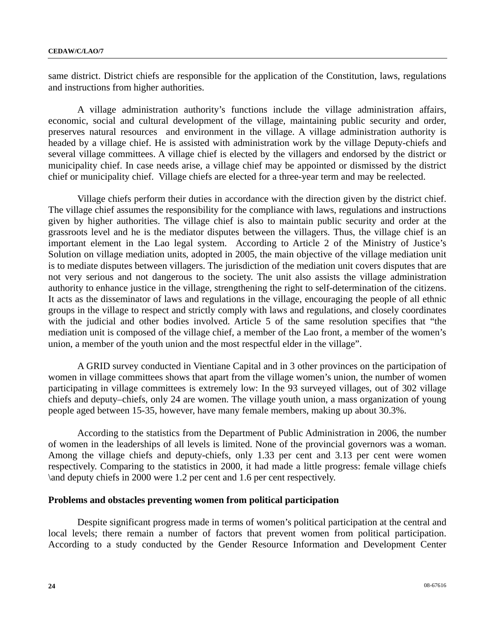same district. District chiefs are responsible for the application of the Constitution, laws, regulations and instructions from higher authorities.

 A village administration authority's functions include the village administration affairs, economic, social and cultural development of the village, maintaining public security and order, preserves natural resources and environment in the village. A village administration authority is headed by a village chief. He is assisted with administration work by the village Deputy-chiefs and several village committees. A village chief is elected by the villagers and endorsed by the district or municipality chief. In case needs arise, a village chief may be appointed or dismissed by the district chief or municipality chief. Village chiefs are elected for a three-year term and may be reelected.

 Village chiefs perform their duties in accordance with the direction given by the district chief. The village chief assumes the responsibility for the compliance with laws, regulations and instructions given by higher authorities. The village chief is also to maintain public security and order at the grassroots level and he is the mediator disputes between the villagers. Thus, the village chief is an important element in the Lao legal system. According to Article 2 of the Ministry of Justice's Solution on village mediation units, adopted in 2005, the main objective of the village mediation unit is to mediate disputes between villagers. The jurisdiction of the mediation unit covers disputes that are not very serious and not dangerous to the society. The unit also assists the village administration authority to enhance justice in the village, strengthening the right to self-determination of the citizens. It acts as the disseminator of laws and regulations in the village, encouraging the people of all ethnic groups in the village to respect and strictly comply with laws and regulations, and closely coordinates with the judicial and other bodies involved. Article 5 of the same resolution specifies that "the mediation unit is composed of the village chief, a member of the Lao front, a member of the women's union, a member of the youth union and the most respectful elder in the village".

A GRID survey conducted in Vientiane Capital and in 3 other provinces on the participation of women in village committees shows that apart from the village women's union, the number of women participating in village committees is extremely low: In the 93 surveyed villages, out of 302 village chiefs and deputy–chiefs, only 24 are women. The village youth union, a mass organization of young people aged between 15-35, however, have many female members, making up about 30.3%.

According to the statistics from the Department of Public Administration in 2006, the number of women in the leaderships of all levels is limited. None of the provincial governors was a woman. Among the village chiefs and deputy-chiefs, only 1.33 per cent and 3.13 per cent were women respectively. Comparing to the statistics in 2000, it had made a little progress: female village chiefs \and deputy chiefs in 2000 were 1.2 per cent and 1.6 per cent respectively.

#### **Problems and obstacles preventing women from political participation**

Despite significant progress made in terms of women's political participation at the central and local levels; there remain a number of factors that prevent women from political participation. According to a study conducted by the Gender Resource Information and Development Center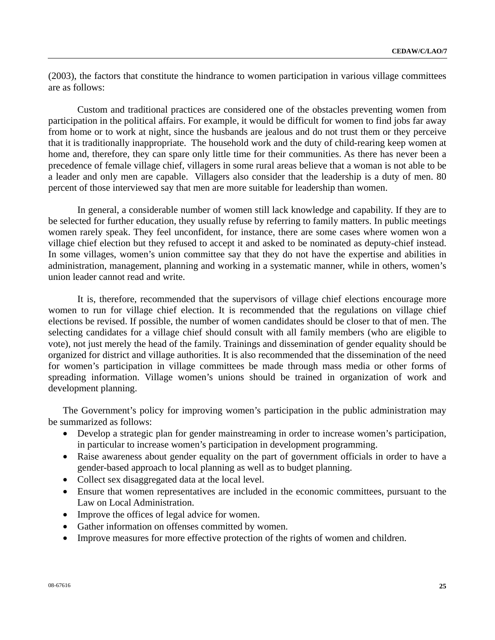(2003), the factors that constitute the hindrance to women participation in various village committees are as follows:

Custom and traditional practices are considered one of the obstacles preventing women from participation in the political affairs. For example, it would be difficult for women to find jobs far away from home or to work at night, since the husbands are jealous and do not trust them or they perceive that it is traditionally inappropriate. The household work and the duty of child-rearing keep women at home and, therefore, they can spare only little time for their communities. As there has never been a precedence of female village chief, villagers in some rural areas believe that a woman is not able to be a leader and only men are capable. Villagers also consider that the leadership is a duty of men. 80 percent of those interviewed say that men are more suitable for leadership than women.

In general, a considerable number of women still lack knowledge and capability. If they are to be selected for further education, they usually refuse by referring to family matters. In public meetings women rarely speak. They feel unconfident, for instance, there are some cases where women won a village chief election but they refused to accept it and asked to be nominated as deputy-chief instead. In some villages, women's union committee say that they do not have the expertise and abilities in administration, management, planning and working in a systematic manner, while in others, women's union leader cannot read and write.

It is, therefore, recommended that the supervisors of village chief elections encourage more women to run for village chief election. It is recommended that the regulations on village chief elections be revised. If possible, the number of women candidates should be closer to that of men. The selecting candidates for a village chief should consult with all family members (who are eligible to vote), not just merely the head of the family. Trainings and dissemination of gender equality should be organized for district and village authorities. It is also recommended that the dissemination of the need for women's participation in village committees be made through mass media or other forms of spreading information. Village women's unions should be trained in organization of work and development planning.

The Government's policy for improving women's participation in the public administration may be summarized as follows:

- Develop a strategic plan for gender mainstreaming in order to increase women's participation, in particular to increase women's participation in development programming.
- Raise awareness about gender equality on the part of government officials in order to have a gender-based approach to local planning as well as to budget planning.
- Collect sex disaggregated data at the local level.
- Ensure that women representatives are included in the economic committees, pursuant to the Law on Local Administration.
- Improve the offices of legal advice for women.
- Gather information on offenses committed by women.
- Improve measures for more effective protection of the rights of women and children.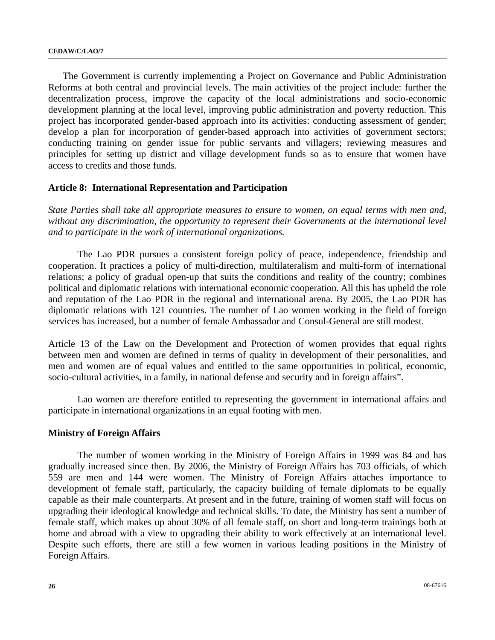The Government is currently implementing a Project on Governance and Public Administration Reforms at both central and provincial levels. The main activities of the project include: further the decentralization process, improve the capacity of the local administrations and socio-economic development planning at the local level, improving public administration and poverty reduction. This project has incorporated gender-based approach into its activities: conducting assessment of gender; develop a plan for incorporation of gender-based approach into activities of government sectors; conducting training on gender issue for public servants and villagers; reviewing measures and principles for setting up district and village development funds so as to ensure that women have access to credits and those funds.

### **Article 8: International Representation and Participation**

*State Parties shall take all appropriate measures to ensure to women, on equal terms with men and, without any discrimination, the opportunity to represent their Governments at the international level and to participate in the work of international organizations.* 

The Lao PDR pursues a consistent foreign policy of peace, independence, friendship and cooperation. It practices a policy of multi-direction, multilateralism and multi-form of international relations; a policy of gradual open-up that suits the conditions and reality of the country; combines political and diplomatic relations with international economic cooperation. All this has upheld the role and reputation of the Lao PDR in the regional and international arena. By 2005, the Lao PDR has diplomatic relations with 121 countries. The number of Lao women working in the field of foreign services has increased, but a number of female Ambassador and Consul-General are still modest.

Article 13 of the Law on the Development and Protection of women provides that equal rights between men and women are defined in terms of quality in development of their personalities, and men and women are of equal values and entitled to the same opportunities in political, economic, socio-cultural activities, in a family, in national defense and security and in foreign affairs".

Lao women are therefore entitled to representing the government in international affairs and participate in international organizations in an equal footing with men.

#### **Ministry of Foreign Affairs**

The number of women working in the Ministry of Foreign Affairs in 1999 was 84 and has gradually increased since then. By 2006, the Ministry of Foreign Affairs has 703 officials, of which 559 are men and 144 were women. The Ministry of Foreign Affairs attaches importance to development of female staff, particularly, the capacity building of female diplomats to be equally capable as their male counterparts. At present and in the future, training of women staff will focus on upgrading their ideological knowledge and technical skills. To date, the Ministry has sent a number of female staff, which makes up about 30% of all female staff, on short and long-term trainings both at home and abroad with a view to upgrading their ability to work effectively at an international level. Despite such efforts, there are still a few women in various leading positions in the Ministry of Foreign Affairs.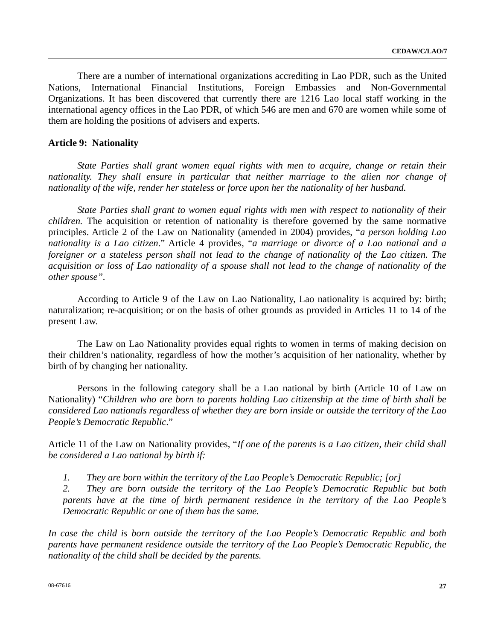There are a number of international organizations accrediting in Lao PDR, such as the United Nations, International Financial Institutions, Foreign Embassies and Non-Governmental Organizations. It has been discovered that currently there are 1216 Lao local staff working in the international agency offices in the Lao PDR, of which 546 are men and 670 are women while some of them are holding the positions of advisers and experts.

### **Article 9: Nationality**

*State Parties shall grant women equal rights with men to acquire, change or retain their nationality. They shall ensure in particular that neither marriage to the alien nor change of nationality of the wife, render her stateless or force upon her the nationality of her husband.* 

*State Parties shall grant to women equal rights with men with respect to nationality of their children.* The acquisition or retention of nationality is therefore governed by the same normative principles. Article 2 of the Law on Nationality (amended in 2004) provides, "*a person holding Lao nationality is a Lao citizen*." Article 4 provides, "*a marriage or divorce of a Lao national and a foreigner or a stateless person shall not lead to the change of nationality of the Lao citizen. The acquisition or loss of Lao nationality of a spouse shall not lead to the change of nationality of the other spouse".* 

According to Article 9 of the Law on Lao Nationality, Lao nationality is acquired by: birth; naturalization; re-acquisition; or on the basis of other grounds as provided in Articles 11 to 14 of the present Law.

The Law on Lao Nationality provides equal rights to women in terms of making decision on their children's nationality, regardless of how the mother's acquisition of her nationality, whether by birth of by changing her nationality.

Persons in the following category shall be a Lao national by birth (Article 10 of Law on Nationality) "*Children who are born to parents holding Lao citizenship at the time of birth shall be considered Lao nationals regardless of whether they are born inside or outside the territory of the Lao People's Democratic Republic*."

Article 11 of the Law on Nationality provides, "*If one of the parents is a Lao citizen, their child shall be considered a Lao national by birth if:* 

*1. They are born within the territory of the Lao People's Democratic Republic; [or]* 

*2. They are born outside the territory of the Lao People's Democratic Republic but both parents have at the time of birth permanent residence in the territory of the Lao People's Democratic Republic or one of them has the same.* 

*In case the child is born outside the territory of the Lao People's Democratic Republic and both parents have permanent residence outside the territory of the Lao People's Democratic Republic, the nationality of the child shall be decided by the parents.*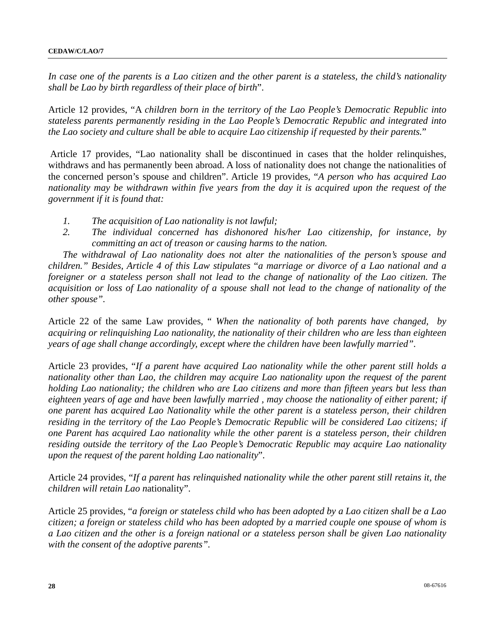*In case one of the parents is a Lao citizen and the other parent is a stateless, the child's nationality shall be Lao by birth regardless of their place of birth*".

Article 12 provides, "A *children born in the territory of the Lao People's Democratic Republic into stateless parents permanently residing in the Lao People's Democratic Republic and integrated into the Lao society and culture shall be able to acquire Lao citizenship if requested by their parents.*"

 Article 17 provides, "Lao nationality shall be discontinued in cases that the holder relinquishes, withdraws and has permanently been abroad. A loss of nationality does not change the nationalities of the concerned person's spouse and children". Article 19 provides, "*A person who has acquired Lao nationality may be withdrawn within five years from the day it is acquired upon the request of the government if it is found that:* 

- *1. The acquisition of Lao nationality is not lawful;*
- *2. The individual concerned has dishonored his/her Lao citizenship, for instance, by committing an act of treason or causing harms to the nation.*

*The withdrawal of Lao nationality does not alter the nationalities of the person's spouse and children." Besides, Article 4 of this Law stipulates* "*a marriage or divorce of a Lao national and a foreigner or a stateless person shall not lead to the change of nationality of the Lao citizen. The acquisition or loss of Lao nationality of a spouse shall not lead to the change of nationality of the other spouse".* 

Article 22 of the same Law provides, " *When the nationality of both parents have changed, by acquiring or relinquishing Lao nationality, the nationality of their children who are less than eighteen years of age shall change accordingly, except where the children have been lawfully married".* 

Article 23 provides, "*If a parent have acquired Lao nationality while the other parent still holds a nationality other than Lao, the children may acquire Lao nationality upon the request of the parent holding Lao nationality; the children who are Lao citizens and more than fifteen years but less than eighteen years of age and have been lawfully married , may choose the nationality of either parent; if one parent has acquired Lao Nationality while the other parent is a stateless person, their children residing in the territory of the Lao People's Democratic Republic will be considered Lao citizens; if one Parent has acquired Lao nationality while the other parent is a stateless person, their children residing outside the territory of the Lao People's Democratic Republic may acquire Lao nationality upon the request of the parent holding Lao nationality*".

Article 24 provides, "*If a parent has relinquished nationality while the other parent still retains it, the children will retain Lao n*ationality".

Article 25 provides, "*a foreign or stateless child who has been adopted by a Lao citizen shall be a Lao citizen; a foreign or stateless child who has been adopted by a married couple one spouse of whom is a Lao citizen and the other is a foreign national or a stateless person shall be given Lao nationality with the consent of the adoptive parents".*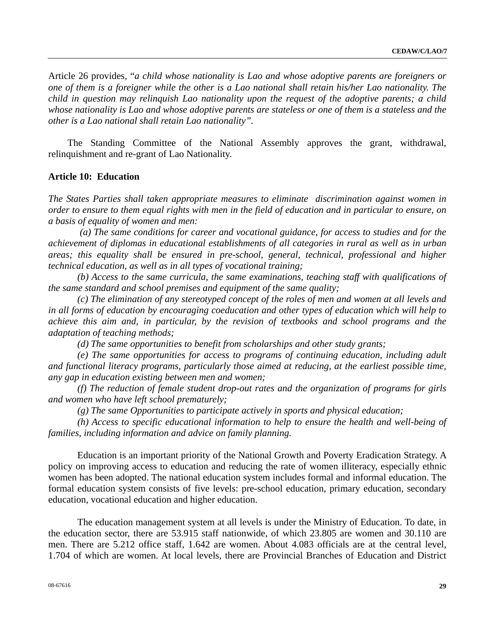Article 26 provides, "*a child whose nationality is Lao and whose adoptive parents are foreigners or one of them is a foreigner while the other is a Lao national shall retain his/her Lao nationality. The child in question may relinquish Lao nationality upon the request of the adoptive parents; a child whose nationality is Lao and whose adoptive parents are stateless or one of them is a stateless and the other is a Lao national shall retain Lao nationality".* 

 The Standing Committee of the National Assembly approves the grant, withdrawal, relinquishment and re-grant of Lao Nationality.

### **Article 10: Education**

*The States Parties shall taken appropriate measures to eliminate discrimination against women in order to ensure to them equal rights with men in the field of education and in particular to ensure, on a basis of equality of women and men:* 

 *(a) The same conditions for career and vocational guidance, for access to studies and for the achievement of diplomas in educational establishments of all categories in rural as well as in urban areas; this equality shall be ensured in pre-school, general, technical, professional and higher technical education, as well as in all types of vocational training;* 

*(b) Access to the same curricula, the same examinations, teaching staff with qualifications of the same standard and school premises and equipment of the same quality;* 

*(c) The elimination of any stereotyped concept of the roles of men and women at all levels and in all forms of education by encouraging coeducation and other types of education which will help to achieve this aim and, in particular, by the revision of textbooks and school programs and the adaptation of teaching methods;* 

*(d) The same opportunities to benefit from scholarships and other study grants;* 

*(e) The same opportunities for access to programs of continuing education, including adult and functional literacy programs, particularly those aimed at reducing, at the earliest possible time, any gap in education existing between men and women;* 

*(f) The reduction of female student drop-out rates and the organization of programs for girls and women who have left school prematurely;* 

*(g) The same Opportunities to participate actively in sports and physical education;* 

*(h) Access to specific educational information to help to ensure the health and well-being of families, including information and advice on family planning.* 

Education is an important priority of the National Growth and Poverty Eradication Strategy. A policy on improving access to education and reducing the rate of women illiteracy, especially ethnic women has been adopted. The national education system includes formal and informal education. The formal education system consists of five levels: pre-school education, primary education, secondary education, vocational education and higher education.

The education management system at all levels is under the Ministry of Education. To date, in the education sector, there are 53.915 staff nationwide, of which 23.805 are women and 30.110 are men. There are 5.212 office staff, 1.642 are women. About 4.083 officials are at the central level, 1.704 of which are women. At local levels, there are Provincial Branches of Education and District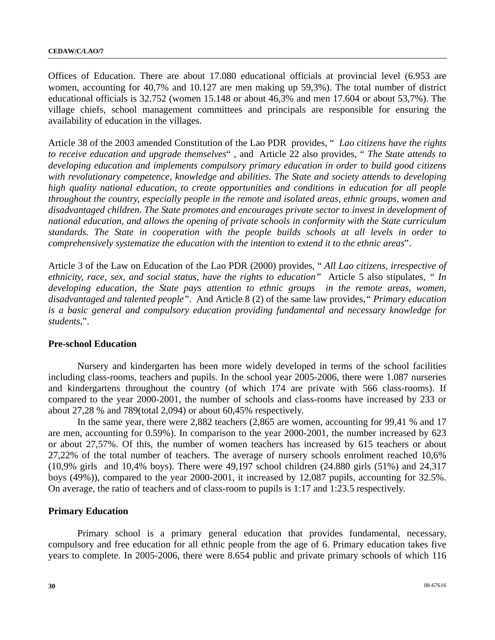Offices of Education. There are about 17.080 educational officials at provincial level (6.953 are women, accounting for 40,7% and 10.127 are men making up 59,3%). The total number of district educational officials is 32.752 (women 15.148 or about 46,3% and men 17.604 or about 53,7%). The village chiefs, school management committees and principals are responsible for ensuring the availability of education in the villages.

Article 38 of the 2003 amended Constitution of the Lao PDR provides, " *Lao citizens have the rights to receive education and upgrade themselves*" , and Article 22 also provides, " *The State attends to developing education and implements compulsory primary education in order to build good citizens with revolutionary competence, knowledge and abilities. The State and society attends to developing high quality national education, to create opportunities and conditions in education for all people throughout the country, especially people in the remote and isolated areas, ethnic groups, women and disadvantaged children. The State promotes and encourages private sector to invest in development of national education, and allows the opening of private schools in conformity with the State curriculum standards. The State in cooperation with the people builds schools at all levels in order to comprehensively systematize the education with the intention to extend it to the ethnic areas*".

Article 3 of the Law on Education of the Lao PDR (2000) provides, " *All Lao citizens, irrespective of ethnicity, race, sex, and social status, have the rights to education"* Article 5 also stipulates, *" In developing education, the State pays attention to ethnic groups in the remote areas, women, disadvantaged and talented people".* And Article 8 (2) of the same law provides*," Primary education is a basic general and compulsory education providing fundamental and necessary knowledge for students,*".

### **Pre-school Education**

Nursery and kindergarten has been more widely developed in terms of the school facilities including class-rooms, teachers and pupils. In the school year 2005-2006, there were 1.087 nurseries and kindergartens throughout the country (of which 174 are private with 566 class-rooms). If compared to the year 2000-2001, the number of schools and class-rooms have increased by 233 or about 27,28 % and 789(total 2,094) or about 60,45% respectively.

In the same year, there were 2,882 teachers  $(2,865$  are women, accounting for 99,41 % and 17 are men, accounting for 0.59%). In comparison to the year 2000-2001, the number increased by 623 or about 27,57%. Of this, the number of women teachers has increased by 615 teachers or about 27,22% of the total number of teachers. The average of nursery schools enrolment reached 10,6% (10,9% girls and 10,4% boys). There were 49,197 school children (24.880 girls (51%) and 24,317 boys (49%)), compared to the year 2000-2001, it increased by 12,087 pupils, accounting for 32.5%. On average, the ratio of teachers and of class-room to pupils is 1:17 and 1:23.5 respectively.

#### **Primary Education**

Primary school is a primary general education that provides fundamental, necessary, compulsory and free education for all ethnic people from the age of 6. Primary education takes five years to complete. In 2005-2006, there were 8.654 public and private primary schools of which 116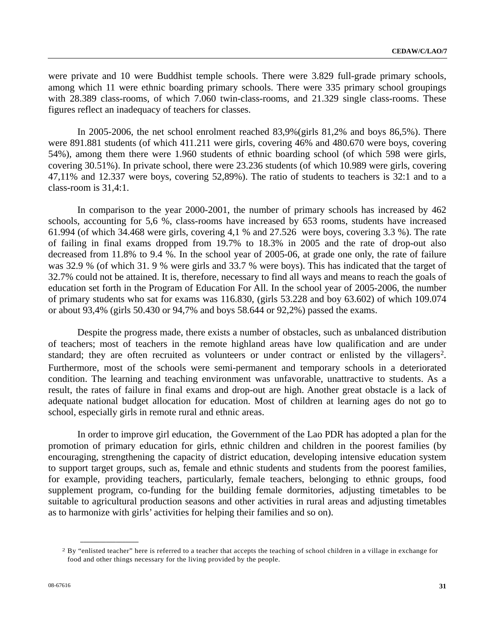were private and 10 were Buddhist temple schools. There were 3.829 full-grade primary schools, among which 11 were ethnic boarding primary schools. There were 335 primary school groupings with 28.389 class-rooms, of which 7.060 twin-class-rooms, and 21.329 single class-rooms. These figures reflect an inadequacy of teachers for classes.

In 2005-2006, the net school enrolment reached 83,9%(girls 81,2% and boys 86,5%). There were 891.881 students (of which 411.211 were girls, covering 46% and 480.670 were boys, covering 54%), among them there were 1.960 students of ethnic boarding school (of which 598 were girls, covering 30.51%). In private school, there were 23.236 students (of which 10.989 were girls, covering 47,11% and 12.337 were boys, covering 52,89%). The ratio of students to teachers is 32:1 and to a class-room is 31,4:1.

In comparison to the year 2000-2001, the number of primary schools has increased by 462 schools, accounting for 5,6 %, class-rooms have increased by 653 rooms, students have increased 61.994 (of which 34.468 were girls, covering 4,1 % and 27.526 were boys, covering 3.3 %). The rate of failing in final exams dropped from 19.7% to 18.3% in 2005 and the rate of drop-out also decreased from 11.8% to 9.4 %. In the school year of 2005-06, at grade one only, the rate of failure was 32.9 % (of which 31. 9 % were girls and 33.7 % were boys). This has indicated that the target of 32.7% could not be attained. It is, therefore, necessary to find all ways and means to reach the goals of education set forth in the Program of Education For All. In the school year of 2005-2006, the number of primary students who sat for exams was 116.830, (girls 53.228 and boy 63.602) of which 109.074 or about 93,4% (girls 50.430 or 94,7% and boys 58.644 or 92,2%) passed the exams.

Despite the progress made, there exists a number of obstacles, such as unbalanced distribution of teachers; most of teachers in the remote highland areas have low qualification and are under standard; they are often recruited as volunteers or under contract or enlisted by the villagers<sup>[2](#page-30-0)</sup>. Furthermore, most of the schools were semi-permanent and temporary schools in a deteriorated condition. The learning and teaching environment was unfavorable, unattractive to students. As a result, the rates of failure in final exams and drop-out are high. Another great obstacle is a lack of adequate national budget allocation for education. Most of children at learning ages do not go to school, especially girls in remote rural and ethnic areas.

In order to improve girl education, the Government of the Lao PDR has adopted a plan for the promotion of primary education for girls, ethnic children and children in the poorest families (by encouraging, strengthening the capacity of district education, developing intensive education system to support target groups, such as, female and ethnic students and students from the poorest families, for example, providing teachers, particularly, female teachers, belonging to ethnic groups, food supplement program, co-funding for the building female dormitories, adjusting timetables to be suitable to agricultural production seasons and other activities in rural areas and adjusting timetables as to harmonize with girls' activities for helping their families and so on).

**\_\_\_\_\_\_\_\_\_\_\_\_\_\_\_\_\_\_** 

<span id="page-30-0"></span><sup>2</sup> By "enlisted teacher" here is referred to a teacher that accepts the teaching of school children in a village in exchange for food and other things necessary for the living provided by the people.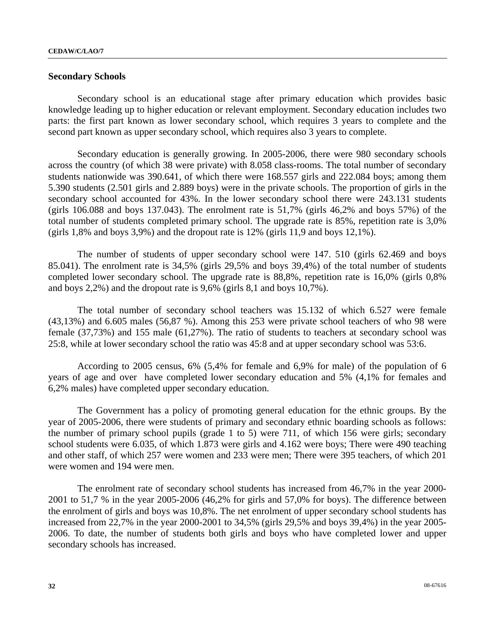#### **Secondary Schools**

Secondary school is an educational stage after primary education which provides basic knowledge leading up to higher education or relevant employment. Secondary education includes two parts: the first part known as lower secondary school, which requires 3 years to complete and the second part known as upper secondary school, which requires also 3 years to complete.

Secondary education is generally growing. In 2005-2006, there were 980 secondary schools across the country (of which 38 were private) with 8.058 class-rooms. The total number of secondary students nationwide was 390.641, of which there were 168.557 girls and 222.084 boys; among them 5.390 students (2.501 girls and 2.889 boys) were in the private schools. The proportion of girls in the secondary school accounted for 43%. In the lower secondary school there were 243.131 students (girls  $106.088$  and boys  $137.043$ ). The enrolment rate is  $51,7\%$  (girls  $46,2\%$  and boys  $57\%$ ) of the total number of students completed primary school. The upgrade rate is 85%, repetition rate is 3,0% (girls 1,8% and boys 3,9%) and the dropout rate is 12% (girls 11,9 and boys 12,1%).

The number of students of upper secondary school were 147. 510 (girls 62.469 and boys 85.041). The enrolment rate is 34,5% (girls 29,5% and boys 39,4%) of the total number of students completed lower secondary school. The upgrade rate is 88,8%, repetition rate is 16,0% (girls 0,8% and boys 2,2%) and the dropout rate is 9,6% (girls 8,1 and boys 10,7%).

The total number of secondary school teachers was 15.132 of which 6.527 were female (43,13%) and 6.605 males (56,87 %). Among this 253 were private school teachers of who 98 were female (37,73%) and 155 male (61,27%). The ratio of students to teachers at secondary school was 25:8, while at lower secondary school the ratio was 45:8 and at upper secondary school was 53:6.

According to 2005 census, 6% (5,4% for female and 6,9% for male) of the population of 6 years of age and over have completed lower secondary education and 5% (4,1% for females and 6,2% males) have completed upper secondary education.

The Government has a policy of promoting general education for the ethnic groups. By the year of 2005-2006, there were students of primary and secondary ethnic boarding schools as follows: the number of primary school pupils (grade 1 to 5) were 711, of which 156 were girls; secondary school students were 6.035, of which 1.873 were girls and 4.162 were boys; There were 490 teaching and other staff, of which 257 were women and 233 were men; There were 395 teachers, of which 201 were women and 194 were men.

The enrolment rate of secondary school students has increased from 46,7% in the year 2000- 2001 to 51,7 % in the year 2005-2006 (46,2% for girls and 57,0% for boys). The difference between the enrolment of girls and boys was 10,8%. The net enrolment of upper secondary school students has increased from 22,7% in the year 2000-2001 to 34,5% (girls 29,5% and boys 39,4%) in the year 2005- 2006. To date, the number of students both girls and boys who have completed lower and upper secondary schools has increased.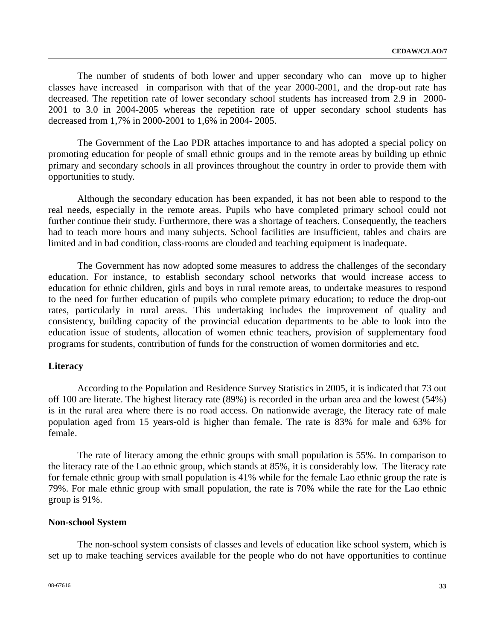The number of students of both lower and upper secondary who can move up to higher classes have increased in comparison with that of the year 2000-2001, and the drop-out rate has decreased. The repetition rate of lower secondary school students has increased from 2.9 in 2000- 2001 to 3.0 in 2004-2005 whereas the repetition rate of upper secondary school students has decreased from 1,7% in 2000-2001 to 1,6% in 2004- 2005.

The Government of the Lao PDR attaches importance to and has adopted a special policy on promoting education for people of small ethnic groups and in the remote areas by building up ethnic primary and secondary schools in all provinces throughout the country in order to provide them with opportunities to study.

Although the secondary education has been expanded, it has not been able to respond to the real needs, especially in the remote areas. Pupils who have completed primary school could not further continue their study. Furthermore, there was a shortage of teachers. Consequently, the teachers had to teach more hours and many subjects. School facilities are insufficient, tables and chairs are limited and in bad condition, class-rooms are clouded and teaching equipment is inadequate.

The Government has now adopted some measures to address the challenges of the secondary education. For instance, to establish secondary school networks that would increase access to education for ethnic children, girls and boys in rural remote areas, to undertake measures to respond to the need for further education of pupils who complete primary education; to reduce the drop-out rates, particularly in rural areas. This undertaking includes the improvement of quality and consistency, building capacity of the provincial education departments to be able to look into the education issue of students, allocation of women ethnic teachers, provision of supplementary food programs for students, contribution of funds for the construction of women dormitories and etc.

#### **Literacy**

According to the Population and Residence Survey Statistics in 2005, it is indicated that 73 out off 100 are literate. The highest literacy rate (89%) is recorded in the urban area and the lowest (54%) is in the rural area where there is no road access. On nationwide average, the literacy rate of male population aged from 15 years-old is higher than female. The rate is 83% for male and 63% for female.

The rate of literacy among the ethnic groups with small population is 55%. In comparison to the literacy rate of the Lao ethnic group, which stands at 85%, it is considerably low. The literacy rate for female ethnic group with small population is 41% while for the female Lao ethnic group the rate is 79%. For male ethnic group with small population, the rate is 70% while the rate for the Lao ethnic group is 91%.

#### **Non-school System**

The non-school system consists of classes and levels of education like school system, which is set up to make teaching services available for the people who do not have opportunities to continue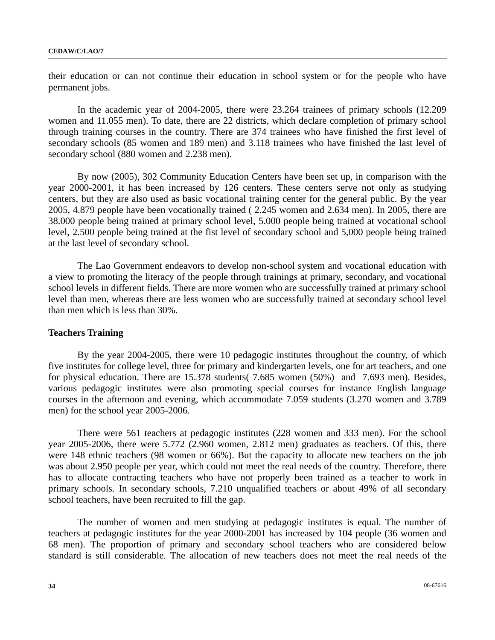their education or can not continue their education in school system or for the people who have permanent jobs.

In the academic year of 2004-2005, there were 23.264 trainees of primary schools (12.209 women and 11.055 men). To date, there are 22 districts, which declare completion of primary school through training courses in the country. There are 374 trainees who have finished the first level of secondary schools (85 women and 189 men) and 3.118 trainees who have finished the last level of secondary school (880 women and 2.238 men).

By now (2005), 302 Community Education Centers have been set up, in comparison with the year 2000-2001, it has been increased by 126 centers. These centers serve not only as studying centers, but they are also used as basic vocational training center for the general public. By the year 2005, 4.879 people have been vocationally trained ( 2.245 women and 2.634 men). In 2005, there are 38.000 people being trained at primary school level, 5.000 people being trained at vocational school level, 2.500 people being trained at the fist level of secondary school and 5,000 people being trained at the last level of secondary school.

The Lao Government endeavors to develop non-school system and vocational education with a view to promoting the literacy of the people through trainings at primary, secondary, and vocational school levels in different fields. There are more women who are successfully trained at primary school level than men, whereas there are less women who are successfully trained at secondary school level than men which is less than 30%.

# **Teachers Training**

By the year 2004-2005, there were 10 pedagogic institutes throughout the country, of which five institutes for college level, three for primary and kindergarten levels, one for art teachers, and one for physical education. There are 15.378 students( 7.685 women (50%) and 7.693 men). Besides, various pedagogic institutes were also promoting special courses for instance English language courses in the afternoon and evening, which accommodate 7.059 students (3.270 women and 3.789 men) for the school year 2005-2006.

There were 561 teachers at pedagogic institutes (228 women and 333 men). For the school year 2005-2006, there were 5.772 (2.960 women, 2.812 men) graduates as teachers. Of this, there were 148 ethnic teachers (98 women or 66%). But the capacity to allocate new teachers on the job was about 2.950 people per year, which could not meet the real needs of the country. Therefore, there has to allocate contracting teachers who have not properly been trained as a teacher to work in primary schools. In secondary schools, 7.210 unqualified teachers or about 49% of all secondary school teachers, have been recruited to fill the gap.

The number of women and men studying at pedagogic institutes is equal. The number of teachers at pedagogic institutes for the year 2000-2001 has increased by 104 people (36 women and 68 men). The proportion of primary and secondary school teachers who are considered below standard is still considerable. The allocation of new teachers does not meet the real needs of the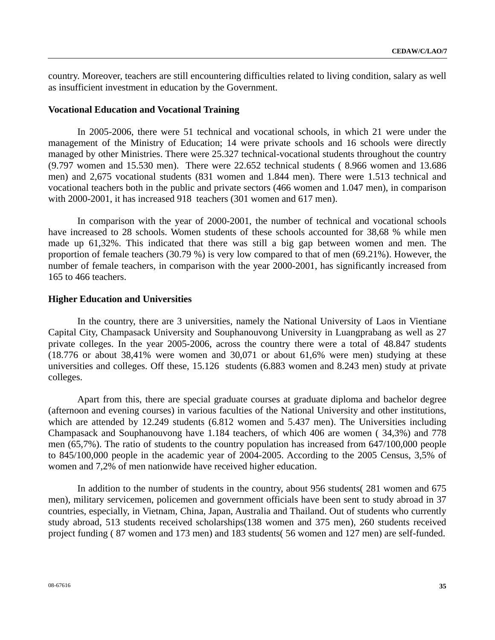country. Moreover, teachers are still encountering difficulties related to living condition, salary as well as insufficient investment in education by the Government.

#### **Vocational Education and Vocational Training**

In 2005-2006, there were 51 technical and vocational schools, in which 21 were under the management of the Ministry of Education; 14 were private schools and 16 schools were directly managed by other Ministries. There were 25.327 technical-vocational students throughout the country (9.797 women and 15.530 men). There were 22.652 technical students ( 8.966 women and 13.686 men) and 2,675 vocational students (831 women and 1.844 men). There were 1.513 technical and vocational teachers both in the public and private sectors (466 women and 1.047 men), in comparison with 2000-2001, it has increased 918 teachers (301 women and 617 men).

In comparison with the year of 2000-2001, the number of technical and vocational schools have increased to 28 schools. Women students of these schools accounted for 38,68 % while men made up 61,32%. This indicated that there was still a big gap between women and men. The proportion of female teachers (30.79 %) is very low compared to that of men (69.21%). However, the number of female teachers, in comparison with the year 2000-2001, has significantly increased from 165 to 466 teachers.

#### **Higher Education and Universities**

In the country, there are 3 universities, namely the National University of Laos in Vientiane Capital City, Champasack University and Souphanouvong University in Luangprabang as well as 27 private colleges. In the year 2005-2006, across the country there were a total of 48.847 students (18.776 or about 38,41% were women and 30,071 or about 61,6% were men) studying at these universities and colleges. Off these, 15.126 students (6.883 women and 8.243 men) study at private colleges.

Apart from this, there are special graduate courses at graduate diploma and bachelor degree (afternoon and evening courses) in various faculties of the National University and other institutions, which are attended by 12.249 students (6.812 women and 5.437 men). The Universities including Champasack and Souphanouvong have 1.184 teachers, of which 406 are women ( 34,3%) and 778 men (65,7%). The ratio of students to the country population has increased from 647/100,000 people to 845/100,000 people in the academic year of 2004-2005. According to the 2005 Census, 3,5% of women and 7,2% of men nationwide have received higher education.

In addition to the number of students in the country, about 956 students( 281 women and 675 men), military servicemen, policemen and government officials have been sent to study abroad in 37 countries, especially, in Vietnam, China, Japan, Australia and Thailand. Out of students who currently study abroad, 513 students received scholarships(138 women and 375 men), 260 students received project funding ( 87 women and 173 men) and 183 students( 56 women and 127 men) are self-funded.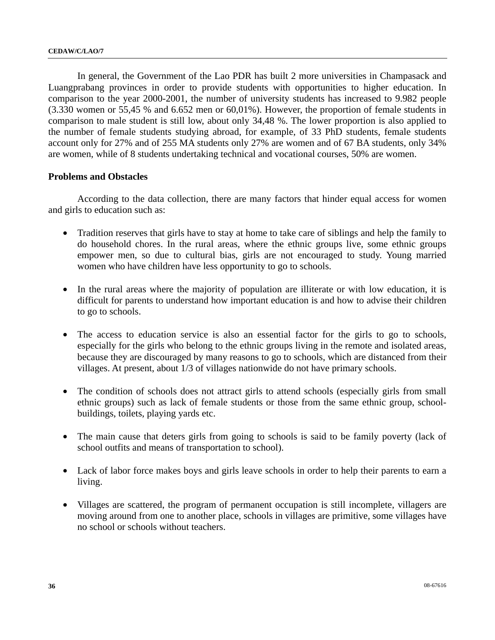In general, the Government of the Lao PDR has built 2 more universities in Champasack and Luangprabang provinces in order to provide students with opportunities to higher education. In comparison to the year 2000-2001, the number of university students has increased to 9.982 people (3.330 women or 55,45 % and 6.652 men or 60,01%). However, the proportion of female students in comparison to male student is still low, about only 34,48 %. The lower proportion is also applied to the number of female students studying abroad, for example, of 33 PhD students, female students account only for 27% and of 255 MA students only 27% are women and of 67 BA students, only 34% are women, while of 8 students undertaking technical and vocational courses, 50% are women.

#### **Problems and Obstacles**

According to the data collection, there are many factors that hinder equal access for women and girls to education such as:

- Tradition reserves that girls have to stay at home to take care of siblings and help the family to do household chores. In the rural areas, where the ethnic groups live, some ethnic groups empower men, so due to cultural bias, girls are not encouraged to study. Young married women who have children have less opportunity to go to schools.
- In the rural areas where the majority of population are illiterate or with low education, it is difficult for parents to understand how important education is and how to advise their children to go to schools.
- The access to education service is also an essential factor for the girls to go to schools, especially for the girls who belong to the ethnic groups living in the remote and isolated areas, because they are discouraged by many reasons to go to schools, which are distanced from their villages. At present, about 1/3 of villages nationwide do not have primary schools.
- The condition of schools does not attract girls to attend schools (especially girls from small ethnic groups) such as lack of female students or those from the same ethnic group, schoolbuildings, toilets, playing yards etc.
- The main cause that deters girls from going to schools is said to be family poverty (lack of school outfits and means of transportation to school).
- Lack of labor force makes boys and girls leave schools in order to help their parents to earn a living.
- Villages are scattered, the program of permanent occupation is still incomplete, villagers are moving around from one to another place, schools in villages are primitive, some villages have no school or schools without teachers.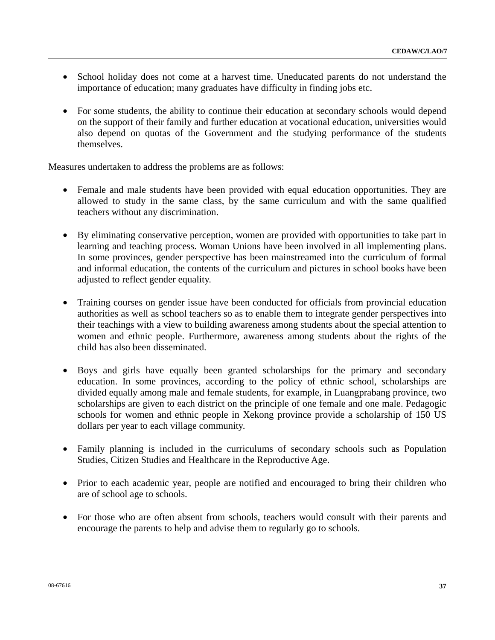- School holiday does not come at a harvest time. Uneducated parents do not understand the importance of education; many graduates have difficulty in finding jobs etc.
- For some students, the ability to continue their education at secondary schools would depend on the support of their family and further education at vocational education, universities would also depend on quotas of the Government and the studying performance of the students themselves.

Measures undertaken to address the problems are as follows:

- Female and male students have been provided with equal education opportunities. They are allowed to study in the same class, by the same curriculum and with the same qualified teachers without any discrimination.
- By eliminating conservative perception, women are provided with opportunities to take part in learning and teaching process. Woman Unions have been involved in all implementing plans. In some provinces, gender perspective has been mainstreamed into the curriculum of formal and informal education, the contents of the curriculum and pictures in school books have been adjusted to reflect gender equality.
- Training courses on gender issue have been conducted for officials from provincial education authorities as well as school teachers so as to enable them to integrate gender perspectives into their teachings with a view to building awareness among students about the special attention to women and ethnic people. Furthermore, awareness among students about the rights of the child has also been disseminated.
- Boys and girls have equally been granted scholarships for the primary and secondary education. In some provinces, according to the policy of ethnic school, scholarships are divided equally among male and female students, for example, in Luangprabang province, two scholarships are given to each district on the principle of one female and one male. Pedagogic schools for women and ethnic people in Xekong province provide a scholarship of 150 US dollars per year to each village community.
- Family planning is included in the curriculums of secondary schools such as Population Studies, Citizen Studies and Healthcare in the Reproductive Age.
- Prior to each academic year, people are notified and encouraged to bring their children who are of school age to schools.
- For those who are often absent from schools, teachers would consult with their parents and encourage the parents to help and advise them to regularly go to schools.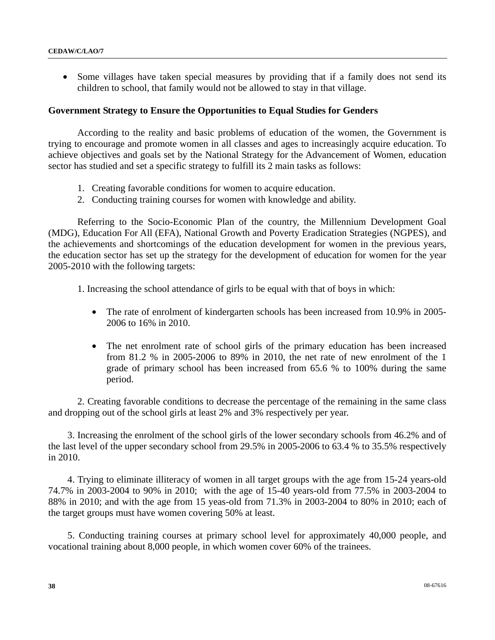• Some villages have taken special measures by providing that if a family does not send its children to school, that family would not be allowed to stay in that village.

#### **Government Strategy to Ensure the Opportunities to Equal Studies for Genders**

According to the reality and basic problems of education of the women, the Government is trying to encourage and promote women in all classes and ages to increasingly acquire education. To achieve objectives and goals set by the National Strategy for the Advancement of Women, education sector has studied and set a specific strategy to fulfill its 2 main tasks as follows:

- 1. Creating favorable conditions for women to acquire education.
- 2. Conducting training courses for women with knowledge and ability.

Referring to the Socio-Economic Plan of the country, the Millennium Development Goal (MDG), Education For All (EFA), National Growth and Poverty Eradication Strategies (NGPES), and the achievements and shortcomings of the education development for women in the previous years, the education sector has set up the strategy for the development of education for women for the year 2005-2010 with the following targets:

1. Increasing the school attendance of girls to be equal with that of boys in which:

- The rate of enrolment of kindergarten schools has been increased from 10.9% in 2005-2006 to 16% in 2010.
- The net enrolment rate of school girls of the primary education has been increased from 81.2 % in 2005-2006 to 89% in 2010, the net rate of new enrolment of the 1 grade of primary school has been increased from 65.6 % to 100% during the same period.

2. Creating favorable conditions to decrease the percentage of the remaining in the same class and dropping out of the school girls at least 2% and 3% respectively per year.

 3. Increasing the enrolment of the school girls of the lower secondary schools from 46.2% and of the last level of the upper secondary school from 29.5% in 2005-2006 to 63.4 % to 35.5% respectively in 2010.

 4. Trying to eliminate illiteracy of women in all target groups with the age from 15-24 years-old 74.7% in 2003-2004 to 90% in 2010; with the age of 15-40 years-old from 77.5% in 2003-2004 to 88% in 2010; and with the age from 15 yeas-old from 71.3% in 2003-2004 to 80% in 2010; each of the target groups must have women covering 50% at least.

 5. Conducting training courses at primary school level for approximately 40,000 people, and vocational training about 8,000 people, in which women cover 60% of the trainees.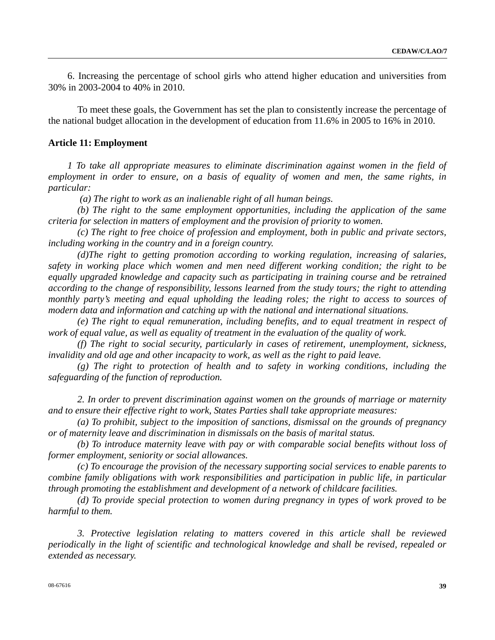6. Increasing the percentage of school girls who attend higher education and universities from 30% in 2003-2004 to 40% in 2010.

To meet these goals, the Government has set the plan to consistently increase the percentage of the national budget allocation in the development of education from 11.6% in 2005 to 16% in 2010.

#### **Article 11: Employment**

 *1 To take all appropriate measures to eliminate discrimination against women in the field of employment in order to ensure, on a basis of equality of women and men, the same rights, in particular:* 

 *(a) The right to work as an inalienable right of all human beings.* 

*(b) The right to the same employment opportunities, including the application of the same criteria for selection in matters of employment and the provision of priority to women.* 

*(c) The right to free choice of profession and employment, both in public and private sectors, including working in the country and in a foreign country.* 

*(d)The right to getting promotion according to working regulation, increasing of salaries, safety in working place which women and men need different working condition; the right to be equally upgraded knowledge and capacity such as participating in training course and be retrained according to the change of responsibility, lessons learned from the study tours; the right to attending monthly party's meeting and equal upholding the leading roles; the right to access to sources of modern data and information and catching up with the national and international situations.* 

*(e) The right to equal remuneration, including benefits, and to equal treatment in respect of work of equal value, as well as equality of treatment in the evaluation of the quality of work.* 

*(f) The right to social security, particularly in cases of retirement, unemployment, sickness, invalidity and old age and other incapacity to work, as well as the right to paid leave.* 

*(g) The right to protection of health and to safety in working conditions, including the safeguarding of the function of reproduction.* 

*2. In order to prevent discrimination against women on the grounds of marriage or maternity and to ensure their effective right to work, States Parties shall take appropriate measures:* 

*(a) To prohibit, subject to the imposition of sanctions, dismissal on the grounds of pregnancy or of maternity leave and discrimination in dismissals on the basis of marital status.* 

*(b) To introduce maternity leave with pay or with comparable social benefits without loss of former employment, seniority or social allowances.* 

*(c) To encourage the provision of the necessary supporting social services to enable parents to combine family obligations with work responsibilities and participation in public life, in particular through promoting the establishment and development of a network of childcare facilities.* 

*(d) To provide special protection to women during pregnancy in types of work proved to be harmful to them.* 

*3. Protective legislation relating to matters covered in this article shall be reviewed periodically in the light of scientific and technological knowledge and shall be revised, repealed or extended as necessary.*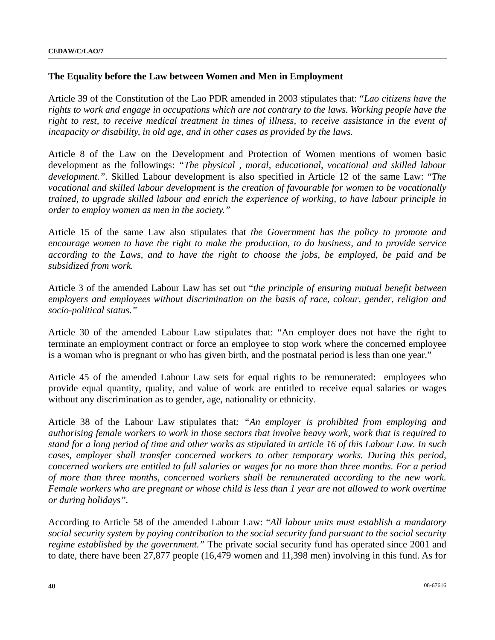### **The Equality before the Law between Women and Men in Employment**

Article 39 of the Constitution of the Lao PDR amended in 2003 stipulates that: "*Lao citizens have the rights to work and engage in occupations which are not contrary to the laws. Working people have the right to rest, to receive medical treatment in times of illness, to receive assistance in the event of incapacity or disability, in old age, and in other cases as provided by the laws.* 

Article 8 of the Law on the Development and Protection of Women mentions of women basic development as the followings: *"The physical , moral, educational, vocational and skilled labour development."*. Skilled Labour development is also specified in Article 12 of the same Law: "*The vocational and skilled labour development is the creation of favourable for women to be vocationally trained, to upgrade skilled labour and enrich the experience of working, to have labour principle in order to employ women as men in the society."*

Article 15 of the same Law also stipulates that *the Government has the policy to promote and encourage women to have the right to make the production, to do business, and to provide service according to the Laws, and to have the right to choose the jobs, be employed, be paid and be subsidized from work.* 

Article 3 of the amended Labour Law has set out "*the principle of ensuring mutual benefit between employers and employees without discrimination on the basis of race, colour, gender, religion and socio-political status."* 

Article 30 of the amended Labour Law stipulates that: "An employer does not have the right to terminate an employment contract or force an employee to stop work where the concerned employee is a woman who is pregnant or who has given birth, and the postnatal period is less than one year."

Article 45 of the amended Labour Law sets for equal rights to be remunerated: employees who provide equal quantity, quality, and value of work are entitled to receive equal salaries or wages without any discrimination as to gender, age, nationality or ethnicity.

Article 38 of the Labour Law stipulates that*: "An employer is prohibited from employing and authorising female workers to work in those sectors that involve heavy work, work that is required to stand for a long period of time and other works as stipulated in article 16 of this Labour Law. In such cases, employer shall transfer concerned workers to other temporary works. During this period, concerned workers are entitled to full salaries or wages for no more than three months. For a period of more than three months, concerned workers shall be remunerated according to the new work. Female workers who are pregnant or whose child is less than 1 year are not allowed to work overtime or during holidays".* 

According to Article 58 of the amended Labour Law: "*All labour units must establish a mandatory social security system by paying contribution to the social security fund pursuant to the social security regime established by the government."* The private social security fund has operated since 2001 and to date, there have been 27,877 people (16,479 women and 11,398 men) involving in this fund. As for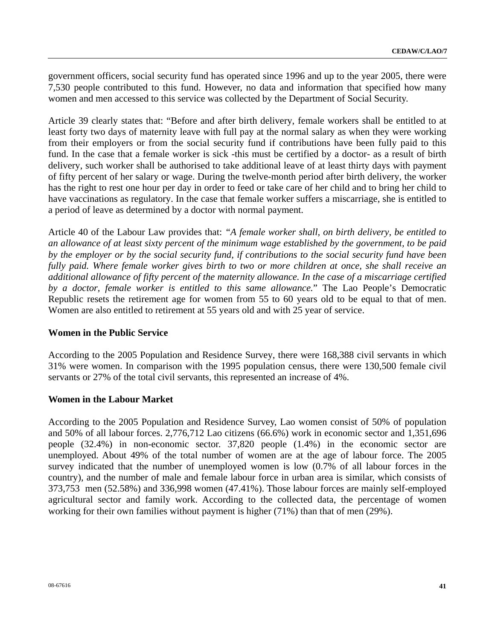government officers, social security fund has operated since 1996 and up to the year 2005, there were 7,530 people contributed to this fund. However, no data and information that specified how many women and men accessed to this service was collected by the Department of Social Security.

Article 39 clearly states that: "Before and after birth delivery, female workers shall be entitled to at least forty two days of maternity leave with full pay at the normal salary as when they were working from their employers or from the social security fund if contributions have been fully paid to this fund. In the case that a female worker is sick -this must be certified by a doctor- as a result of birth delivery, such worker shall be authorised to take additional leave of at least thirty days with payment of fifty percent of her salary or wage. During the twelve-month period after birth delivery, the worker has the right to rest one hour per day in order to feed or take care of her child and to bring her child to have vaccinations as regulatory. In the case that female worker suffers a miscarriage, she is entitled to a period of leave as determined by a doctor with normal payment.

Article 40 of the Labour Law provides that: *"A female worker shall, on birth delivery, be entitled to an allowance of at least sixty percent of the minimum wage established by the government, to be paid by the employer or by the social security fund, if contributions to the social security fund have been fully paid. Where female worker gives birth to two or more children at once, she shall receive an additional allowance of fifty percent of the maternity allowance. In the case of a miscarriage certified by a doctor, female worker is entitled to this same allowance.*" The Lao People's Democratic Republic resets the retirement age for women from 55 to 60 years old to be equal to that of men. Women are also entitled to retirement at 55 years old and with 25 year of service.

#### **Women in the Public Service**

According to the 2005 Population and Residence Survey, there were 168,388 civil servants in which 31% were women. In comparison with the 1995 population census, there were 130,500 female civil servants or 27% of the total civil servants, this represented an increase of 4%.

## **Women in the Labour Market**

According to the 2005 Population and Residence Survey, Lao women consist of 50% of population and 50% of all labour forces. 2,776,712 Lao citizens (66.6%) work in economic sector and 1,351,696 people (32.4%) in non-economic sector. 37,820 people (1.4%) in the economic sector are unemployed. About 49% of the total number of women are at the age of labour force. The 2005 survey indicated that the number of unemployed women is low (0.7% of all labour forces in the country), and the number of male and female labour force in urban area is similar, which consists of 373,753 men (52.58%) and 336,998 women (47.41%). Those labour forces are mainly self-employed agricultural sector and family work. According to the collected data, the percentage of women working for their own families without payment is higher (71%) than that of men (29%).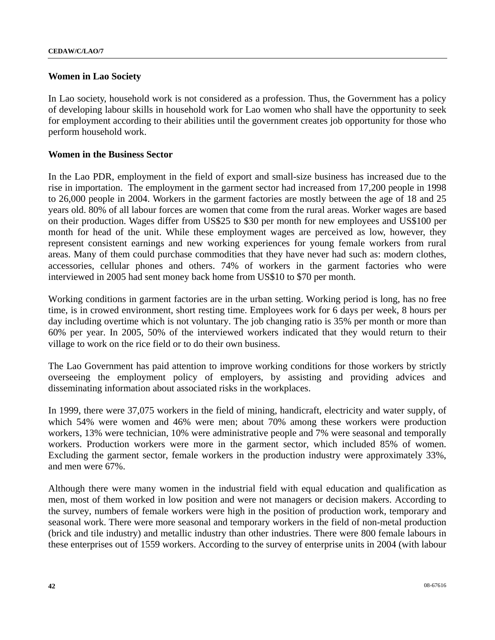### **Women in Lao Society**

In Lao society, household work is not considered as a profession. Thus, the Government has a policy of developing labour skills in household work for Lao women who shall have the opportunity to seek for employment according to their abilities until the government creates job opportunity for those who perform household work.

### **Women in the Business Sector**

In the Lao PDR, employment in the field of export and small-size business has increased due to the rise in importation. The employment in the garment sector had increased from 17,200 people in 1998 to 26,000 people in 2004. Workers in the garment factories are mostly between the age of 18 and 25 years old. 80% of all labour forces are women that come from the rural areas. Worker wages are based on their production. Wages differ from US\$25 to \$30 per month for new employees and US\$100 per month for head of the unit. While these employment wages are perceived as low, however, they represent consistent earnings and new working experiences for young female workers from rural areas. Many of them could purchase commodities that they have never had such as: modern clothes, accessories, cellular phones and others. 74% of workers in the garment factories who were interviewed in 2005 had sent money back home from US\$10 to \$70 per month.

Working conditions in garment factories are in the urban setting. Working period is long, has no free time, is in crowed environment, short resting time. Employees work for 6 days per week, 8 hours per day including overtime which is not voluntary. The job changing ratio is 35% per month or more than 60% per year. In 2005, 50% of the interviewed workers indicated that they would return to their village to work on the rice field or to do their own business.

The Lao Government has paid attention to improve working conditions for those workers by strictly overseeing the employment policy of employers, by assisting and providing advices and disseminating information about associated risks in the workplaces.

In 1999, there were 37,075 workers in the field of mining, handicraft, electricity and water supply, of which 54% were women and 46% were men; about 70% among these workers were production workers, 13% were technician, 10% were administrative people and 7% were seasonal and temporally workers. Production workers were more in the garment sector, which included 85% of women. Excluding the garment sector, female workers in the production industry were approximately 33%, and men were 67%.

Although there were many women in the industrial field with equal education and qualification as men, most of them worked in low position and were not managers or decision makers. According to the survey, numbers of female workers were high in the position of production work, temporary and seasonal work. There were more seasonal and temporary workers in the field of non-metal production (brick and tile industry) and metallic industry than other industries. There were 800 female labours in these enterprises out of 1559 workers. According to the survey of enterprise units in 2004 (with labour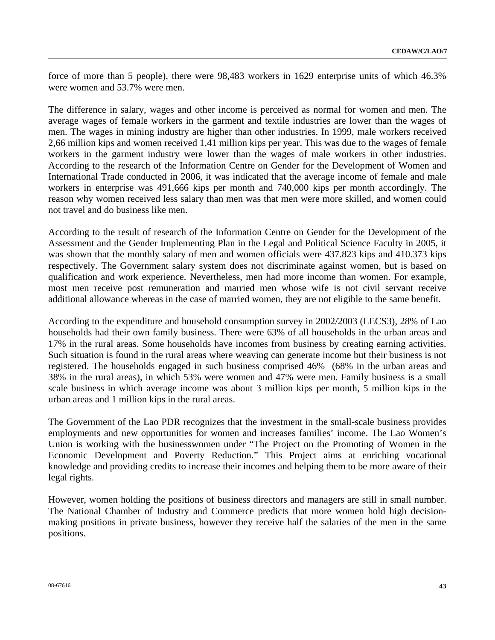force of more than 5 people), there were 98,483 workers in 1629 enterprise units of which 46.3% were women and 53.7% were men.

The difference in salary, wages and other income is perceived as normal for women and men. The average wages of female workers in the garment and textile industries are lower than the wages of men. The wages in mining industry are higher than other industries. In 1999, male workers received 2,66 million kips and women received 1,41 million kips per year. This was due to the wages of female workers in the garment industry were lower than the wages of male workers in other industries. According to the research of the Information Centre on Gender for the Development of Women and International Trade conducted in 2006, it was indicated that the average income of female and male workers in enterprise was 491,666 kips per month and 740,000 kips per month accordingly. The reason why women received less salary than men was that men were more skilled, and women could not travel and do business like men.

According to the result of research of the Information Centre on Gender for the Development of the Assessment and the Gender Implementing Plan in the Legal and Political Science Faculty in 2005, it was shown that the monthly salary of men and women officials were 437.823 kips and 410.373 kips respectively. The Government salary system does not discriminate against women, but is based on qualification and work experience. Nevertheless, men had more income than women. For example, most men receive post remuneration and married men whose wife is not civil servant receive additional allowance whereas in the case of married women, they are not eligible to the same benefit.

According to the expenditure and household consumption survey in 2002/2003 (LECS3), 28% of Lao households had their own family business. There were 63% of all households in the urban areas and 17% in the rural areas. Some households have incomes from business by creating earning activities. Such situation is found in the rural areas where weaving can generate income but their business is not registered. The households engaged in such business comprised 46% (68% in the urban areas and 38% in the rural areas), in which 53% were women and 47% were men. Family business is a small scale business in which average income was about 3 million kips per month, 5 million kips in the urban areas and 1 million kips in the rural areas.

The Government of the Lao PDR recognizes that the investment in the small-scale business provides employments and new opportunities for women and increases families' income. The Lao Women's Union is working with the businesswomen under "The Project on the Promoting of Women in the Economic Development and Poverty Reduction." This Project aims at enriching vocational knowledge and providing credits to increase their incomes and helping them to be more aware of their legal rights.

However, women holding the positions of business directors and managers are still in small number. The National Chamber of Industry and Commerce predicts that more women hold high decisionmaking positions in private business, however they receive half the salaries of the men in the same positions.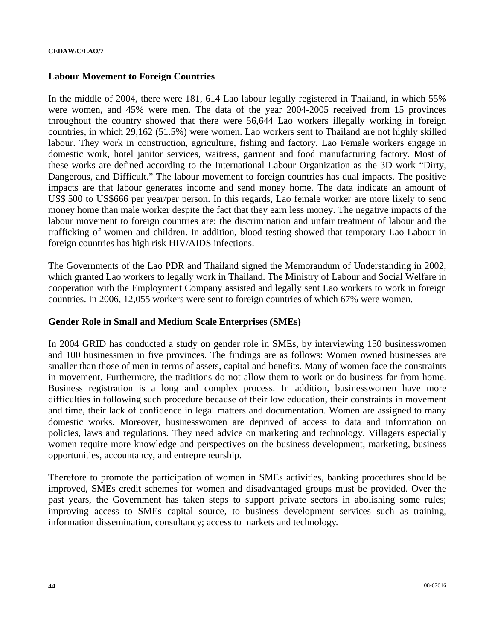#### **Labour Movement to Foreign Countries**

In the middle of 2004, there were 181, 614 Lao labour legally registered in Thailand, in which 55% were women, and 45% were men. The data of the year 2004-2005 received from 15 provinces throughout the country showed that there were 56,644 Lao workers illegally working in foreign countries, in which 29,162 (51.5%) were women. Lao workers sent to Thailand are not highly skilled labour. They work in construction, agriculture, fishing and factory. Lao Female workers engage in domestic work, hotel janitor services, waitress, garment and food manufacturing factory. Most of these works are defined according to the International Labour Organization as the 3D work "Dirty, Dangerous, and Difficult." The labour movement to foreign countries has dual impacts. The positive impacts are that labour generates income and send money home. The data indicate an amount of US\$ 500 to US\$666 per year/per person. In this regards, Lao female worker are more likely to send money home than male worker despite the fact that they earn less money. The negative impacts of the labour movement to foreign countries are: the discrimination and unfair treatment of labour and the trafficking of women and children. In addition, blood testing showed that temporary Lao Labour in foreign countries has high risk HIV/AIDS infections.

The Governments of the Lao PDR and Thailand signed the Memorandum of Understanding in 2002, which granted Lao workers to legally work in Thailand. The Ministry of Labour and Social Welfare in cooperation with the Employment Company assisted and legally sent Lao workers to work in foreign countries. In 2006, 12,055 workers were sent to foreign countries of which 67% were women.

#### **Gender Role in Small and Medium Scale Enterprises (SMEs)**

In 2004 GRID has conducted a study on gender role in SMEs, by interviewing 150 businesswomen and 100 businessmen in five provinces. The findings are as follows: Women owned businesses are smaller than those of men in terms of assets, capital and benefits. Many of women face the constraints in movement. Furthermore, the traditions do not allow them to work or do business far from home. Business registration is a long and complex process. In addition, businesswomen have more difficulties in following such procedure because of their low education, their constraints in movement and time, their lack of confidence in legal matters and documentation. Women are assigned to many domestic works. Moreover, businesswomen are deprived of access to data and information on policies, laws and regulations. They need advice on marketing and technology. Villagers especially women require more knowledge and perspectives on the business development, marketing, business opportunities, accountancy, and entrepreneurship.

Therefore to promote the participation of women in SMEs activities, banking procedures should be improved, SMEs credit schemes for women and disadvantaged groups must be provided. Over the past years, the Government has taken steps to support private sectors in abolishing some rules; improving access to SMEs capital source, to business development services such as training, information dissemination, consultancy; access to markets and technology.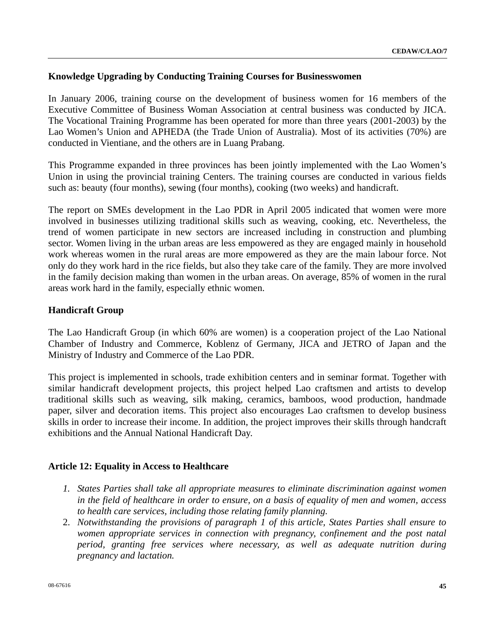### **Knowledge Upgrading by Conducting Training Courses for Businesswomen**

In January 2006, training course on the development of business women for 16 members of the Executive Committee of Business Woman Association at central business was conducted by JICA. The Vocational Training Programme has been operated for more than three years (2001-2003) by the Lao Women's Union and APHEDA (the Trade Union of Australia). Most of its activities (70%) are conducted in Vientiane, and the others are in Luang Prabang.

This Programme expanded in three provinces has been jointly implemented with the Lao Women's Union in using the provincial training Centers. The training courses are conducted in various fields such as: beauty (four months), sewing (four months), cooking (two weeks) and handicraft.

The report on SMEs development in the Lao PDR in April 2005 indicated that women were more involved in businesses utilizing traditional skills such as weaving, cooking, etc. Nevertheless, the trend of women participate in new sectors are increased including in construction and plumbing sector. Women living in the urban areas are less empowered as they are engaged mainly in household work whereas women in the rural areas are more empowered as they are the main labour force. Not only do they work hard in the rice fields, but also they take care of the family. They are more involved in the family decision making than women in the urban areas. On average, 85% of women in the rural areas work hard in the family, especially ethnic women.

#### **Handicraft Group**

The Lao Handicraft Group (in which 60% are women) is a cooperation project of the Lao National Chamber of Industry and Commerce, Koblenz of Germany, JICA and JETRO of Japan and the Ministry of Industry and Commerce of the Lao PDR.

This project is implemented in schools, trade exhibition centers and in seminar format. Together with similar handicraft development projects, this project helped Lao craftsmen and artists to develop traditional skills such as weaving, silk making, ceramics, bamboos, wood production, handmade paper, silver and decoration items. This project also encourages Lao craftsmen to develop business skills in order to increase their income. In addition, the project improves their skills through handcraft exhibitions and the Annual National Handicraft Day.

#### **Article 12: Equality in Access to Healthcare**

- *1. States Parties shall take all appropriate measures to eliminate discrimination against women in the field of healthcare in order to ensure, on a basis of equality of men and women, access to health care services, including those relating family planning.*
- 2. *Notwithstanding the provisions of paragraph 1 of this article, States Parties shall ensure to women appropriate services in connection with pregnancy, confinement and the post natal period, granting free services where necessary, as well as adequate nutrition during pregnancy and lactation.*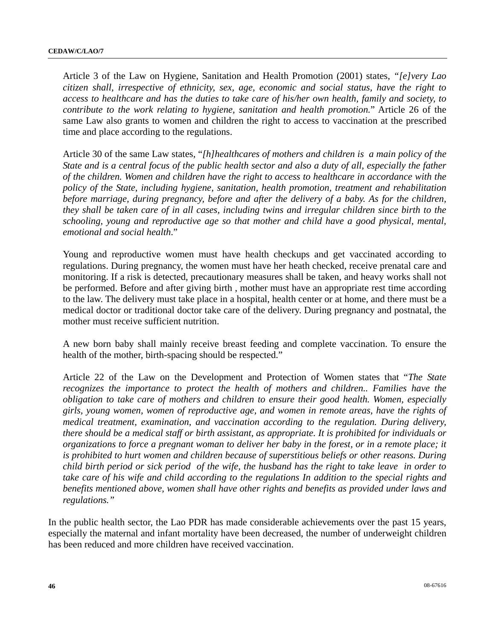Article 3 of the Law on Hygiene, Sanitation and Health Promotion (2001) states, *"[e]very Lao citizen shall, irrespective of ethnicity, sex, age, economic and social status, have the right to access to healthcare and has the duties to take care of his/her own health, family and society, to contribute to the work relating to hygiene, sanitation and health promotion.*" Article 26 of the same Law also grants to women and children the right to access to vaccination at the prescribed time and place according to the regulations.

Article 30 of the same Law states, "*[h]healthcares of mothers and children is a main policy of the State and is a central focus of the public health sector and also a duty of all, especially the father of the children. Women and children have the right to access to healthcare in accordance with the policy of the State, including hygiene, sanitation, health promotion, treatment and rehabilitation before marriage, during pregnancy, before and after the delivery of a baby. As for the children, they shall be taken care of in all cases, including twins and irregular children since birth to the schooling, young and reproductive age so that mother and child have a good physical, mental, emotional and social health*."

Young and reproductive women must have health checkups and get vaccinated according to regulations. During pregnancy, the women must have her heath checked, receive prenatal care and monitoring. If a risk is detected, precautionary measures shall be taken, and heavy works shall not be performed. Before and after giving birth , mother must have an appropriate rest time according to the law. The delivery must take place in a hospital, health center or at home, and there must be a medical doctor or traditional doctor take care of the delivery. During pregnancy and postnatal, the mother must receive sufficient nutrition.

A new born baby shall mainly receive breast feeding and complete vaccination. To ensure the health of the mother, birth-spacing should be respected."

Article 22 of the Law on the Development and Protection of Women states that "*The State recognizes the importance to protect the health of mothers and children.. Families have the obligation to take care of mothers and children to ensure their good health. Women, especially girls, young women, women of reproductive age, and women in remote areas, have the rights of medical treatment, examination, and vaccination according to the regulation. During delivery, there should be a medical staff or birth assistant, as appropriate. It is prohibited for individuals or organizations to force a pregnant woman to deliver her baby in the forest, or in a remote place; it is prohibited to hurt women and children because of superstitious beliefs or other reasons. During child birth period or sick period of the wife, the husband has the right to take leave in order to take care of his wife and child according to the regulations In addition to the special rights and benefits mentioned above, women shall have other rights and benefits as provided under laws and regulations."* 

In the public health sector, the Lao PDR has made considerable achievements over the past 15 years, especially the maternal and infant mortality have been decreased, the number of underweight children has been reduced and more children have received vaccination.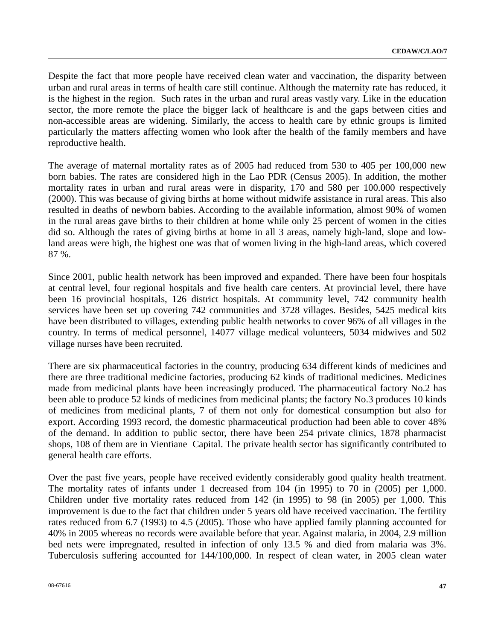Despite the fact that more people have received clean water and vaccination, the disparity between urban and rural areas in terms of health care still continue. Although the maternity rate has reduced, it is the highest in the region. Such rates in the urban and rural areas vastly vary. Like in the education sector, the more remote the place the bigger lack of healthcare is and the gaps between cities and non-accessible areas are widening. Similarly, the access to health care by ethnic groups is limited particularly the matters affecting women who look after the health of the family members and have reproductive health.

The average of maternal mortality rates as of 2005 had reduced from 530 to 405 per 100,000 new born babies. The rates are considered high in the Lao PDR (Census 2005). In addition, the mother mortality rates in urban and rural areas were in disparity, 170 and 580 per 100.000 respectively (2000). This was because of giving births at home without midwife assistance in rural areas. This also resulted in deaths of newborn babies. According to the available information, almost 90% of women in the rural areas gave births to their children at home while only 25 percent of women in the cities did so. Although the rates of giving births at home in all 3 areas, namely high-land, slope and lowland areas were high, the highest one was that of women living in the high-land areas, which covered 87 %.

Since 2001, public health network has been improved and expanded. There have been four hospitals at central level, four regional hospitals and five health care centers. At provincial level, there have been 16 provincial hospitals, 126 district hospitals. At community level, 742 community health services have been set up covering 742 communities and 3728 villages. Besides, 5425 medical kits have been distributed to villages, extending public health networks to cover 96% of all villages in the country. In terms of medical personnel, 14077 village medical volunteers, 5034 midwives and 502 village nurses have been recruited.

There are six pharmaceutical factories in the country, producing 634 different kinds of medicines and there are three traditional medicine factories, producing 62 kinds of traditional medicines. Medicines made from medicinal plants have been increasingly produced. The pharmaceutical factory No.2 has been able to produce 52 kinds of medicines from medicinal plants; the factory No.3 produces 10 kinds of medicines from medicinal plants, 7 of them not only for domestical consumption but also for export. According 1993 record, the domestic pharmaceutical production had been able to cover 48% of the demand. In addition to public sector, there have been 254 private clinics, 1878 pharmacist shops, 108 of them are in Vientiane Capital. The private health sector has significantly contributed to general health care efforts.

Over the past five years, people have received evidently considerably good quality health treatment. The mortality rates of infants under 1 decreased from 104 (in 1995) to 70 in (2005) per 1,000. Children under five mortality rates reduced from 142 (in 1995) to 98 (in 2005) per 1,000. This improvement is due to the fact that children under 5 years old have received vaccination. The fertility rates reduced from 6.7 (1993) to 4.5 (2005). Those who have applied family planning accounted for 40% in 2005 whereas no records were available before that year. Against malaria, in 2004, 2.9 million bed nets were impregnated, resulted in infection of only 13.5 % and died from malaria was 3%. Tuberculosis suffering accounted for 144/100,000. In respect of clean water, in 2005 clean water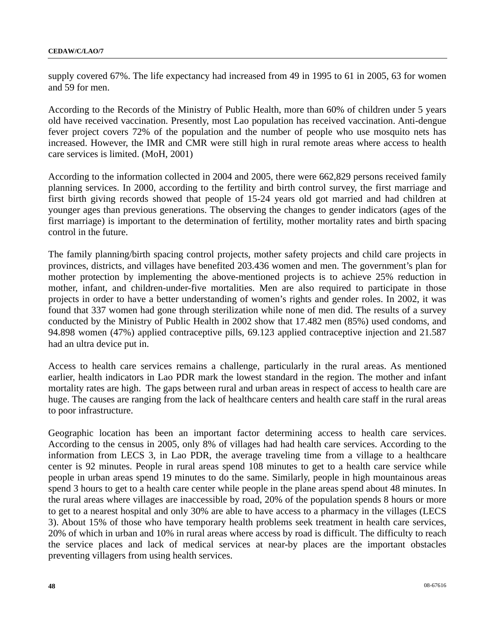supply covered 67%. The life expectancy had increased from 49 in 1995 to 61 in 2005, 63 for women and 59 for men.

According to the Records of the Ministry of Public Health, more than 60% of children under 5 years old have received vaccination. Presently, most Lao population has received vaccination. Anti-dengue fever project covers 72% of the population and the number of people who use mosquito nets has increased. However, the IMR and CMR were still high in rural remote areas where access to health care services is limited. (MoH, 2001)

According to the information collected in 2004 and 2005, there were 662,829 persons received family planning services. In 2000, according to the fertility and birth control survey, the first marriage and first birth giving records showed that people of 15-24 years old got married and had children at younger ages than previous generations. The observing the changes to gender indicators (ages of the first marriage) is important to the determination of fertility, mother mortality rates and birth spacing control in the future.

The family planning/birth spacing control projects, mother safety projects and child care projects in provinces, districts, and villages have benefited 203.436 women and men. The government's plan for mother protection by implementing the above-mentioned projects is to achieve 25% reduction in mother, infant, and children-under-five mortalities. Men are also required to participate in those projects in order to have a better understanding of women's rights and gender roles. In 2002, it was found that 337 women had gone through sterilization while none of men did. The results of a survey conducted by the Ministry of Public Health in 2002 show that 17.482 men (85%) used condoms, and 94.898 women (47%) applied contraceptive pills, 69.123 applied contraceptive injection and 21.587 had an ultra device put in.

Access to health care services remains a challenge, particularly in the rural areas. As mentioned earlier, health indicators in Lao PDR mark the lowest standard in the region. The mother and infant mortality rates are high. The gaps between rural and urban areas in respect of access to health care are huge. The causes are ranging from the lack of healthcare centers and health care staff in the rural areas to poor infrastructure.

Geographic location has been an important factor determining access to health care services. According to the census in 2005, only 8% of villages had had health care services. According to the information from LECS 3, in Lao PDR, the average traveling time from a village to a healthcare center is 92 minutes. People in rural areas spend 108 minutes to get to a health care service while people in urban areas spend 19 minutes to do the same. Similarly, people in high mountainous areas spend 3 hours to get to a health care center while people in the plane areas spend about 48 minutes. In the rural areas where villages are inaccessible by road, 20% of the population spends 8 hours or more to get to a nearest hospital and only 30% are able to have access to a pharmacy in the villages (LECS 3). About 15% of those who have temporary health problems seek treatment in health care services, 20% of which in urban and 10% in rural areas where access by road is difficult. The difficulty to reach the service places and lack of medical services at near-by places are the important obstacles preventing villagers from using health services.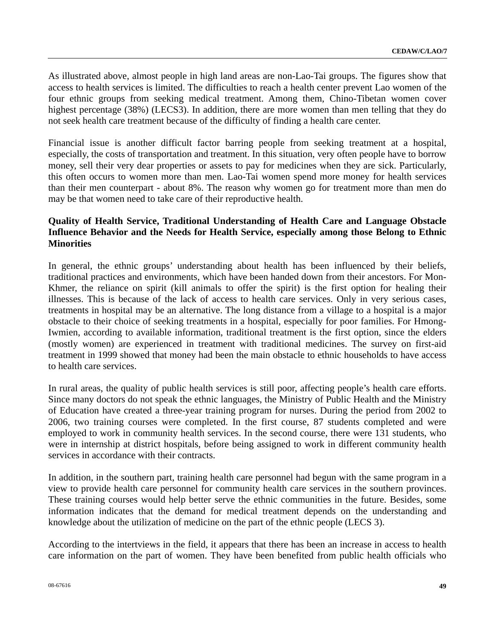As illustrated above, almost people in high land areas are non-Lao-Tai groups. The figures show that access to health services is limited. The difficulties to reach a health center prevent Lao women of the four ethnic groups from seeking medical treatment. Among them, Chino-Tibetan women cover highest percentage (38%) (LECS3). In addition, there are more women than men telling that they do not seek health care treatment because of the difficulty of finding a health care center.

Financial issue is another difficult factor barring people from seeking treatment at a hospital, especially, the costs of transportation and treatment. In this situation, very often people have to borrow money, sell their very dear properties or assets to pay for medicines when they are sick. Particularly, this often occurs to women more than men. Lao-Tai women spend more money for health services than their men counterpart - about 8%. The reason why women go for treatment more than men do may be that women need to take care of their reproductive health.

## **Quality of Health Service, Traditional Understanding of Health Care and Language Obstacle Influence Behavior and the Needs for Health Service, especially among those Belong to Ethnic Minorities**

In general, the ethnic groups' understanding about health has been influenced by their beliefs, traditional practices and environments, which have been handed down from their ancestors. For Mon-Khmer, the reliance on spirit (kill animals to offer the spirit) is the first option for healing their illnesses. This is because of the lack of access to health care services. Only in very serious cases, treatments in hospital may be an alternative. The long distance from a village to a hospital is a major obstacle to their choice of seeking treatments in a hospital, especially for poor families. For Hmong-Iwmien, according to available information, traditional treatment is the first option, since the elders (mostly women) are experienced in treatment with traditional medicines. The survey on first-aid treatment in 1999 showed that money had been the main obstacle to ethnic households to have access to health care services.

In rural areas, the quality of public health services is still poor, affecting people's health care efforts. Since many doctors do not speak the ethnic languages, the Ministry of Public Health and the Ministry of Education have created a three-year training program for nurses. During the period from 2002 to 2006, two training courses were completed. In the first course, 87 students completed and were employed to work in community health services. In the second course, there were 131 students, who were in internship at district hospitals, before being assigned to work in different community health services in accordance with their contracts.

In addition, in the southern part, training health care personnel had begun with the same program in a view to provide health care personnel for community health care services in the southern provinces. These training courses would help better serve the ethnic communities in the future. Besides, some information indicates that the demand for medical treatment depends on the understanding and knowledge about the utilization of medicine on the part of the ethnic people (LECS 3).

According to the intertviews in the field, it appears that there has been an increase in access to health care information on the part of women. They have been benefited from public health officials who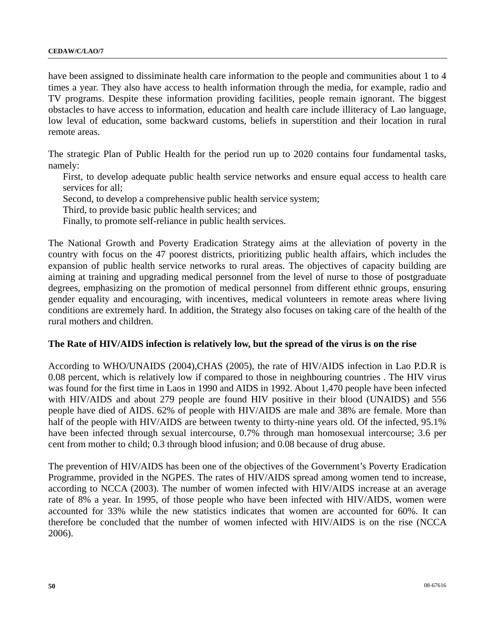have been assigned to dissiminate health care information to the people and communities about 1 to 4 times a year. They also have access to health information through the media, for example, radio and TV programs. Despite these information providing facilities, people remain ignorant. The biggest obstacles to have access to information, education and health care include illiteracy of Lao language, low leval of education, some backward customs, beliefs in superstition and their location in rural remote areas.

The strategic Plan of Public Health for the period run up to 2020 contains four fundamental tasks, namely:

First, to develop adequate public health service networks and ensure equal access to health care services for all;

Second, to develop a comprehensive public health service system;

Third, to provide basic public health services; and

Finally, to promote self-reliance in public health services.

The National Growth and Poverty Eradication Strategy aims at the alleviation of poverty in the country with focus on the 47 poorest districts, prioritizing public health affairs, which includes the expansion of public health service networks to rural areas. The objectives of capacity building are aiming at training and upgrading medical personnel from the level of nurse to those of postgraduate degrees, emphasizing on the promotion of medical personnel from different ethnic groups, ensuring gender equality and encouraging, with incentives, medical volunteers in remote areas where living conditions are extremely hard. In addition, the Strategy also focuses on taking care of the health of the rural mothers and children.

#### **The Rate of HIV/AIDS infection is relatively low, but the spread of the virus is on the rise**

According to WHO/UNAIDS (2004),CHAS (2005), the rate of HIV/AIDS infection in Lao P.D.R is 0.08 percent, which is relatively low if compared to those in neighbouring countries . The HIV virus was found for the first time in Laos in 1990 and AIDS in 1992. About 1,470 people have been infected with HIV/AIDS and about 279 people are found HIV positive in their blood (UNAIDS) and 556 people have died of AIDS. 62% of people with HIV/AIDS are male and 38% are female. More than half of the people with HIV/AIDS are between twenty to thirty-nine years old. Of the infected, 95.1% have been infected through sexual intercourse, 0.7% through man homosexual intercourse; 3.6 per cent from mother to child; 0.3 through blood infusion; and 0.08 because of drug abuse.

The prevention of HIV/AIDS has been one of the objectives of the Government's Poverty Eradication Programme, provided in the NGPES. The rates of HIV/AIDS spread among women tend to increase, according to NCCA (2003). The number of women infected with HIV/AIDS increase at an average rate of 8% a year. In 1995, of those people who have been infected with HIV/AIDS, women were accounted for 33% while the new statistics indicates that women are accounted for 60%. It can therefore be concluded that the number of women infected with HIV/AIDS is on the rise (NCCA 2006).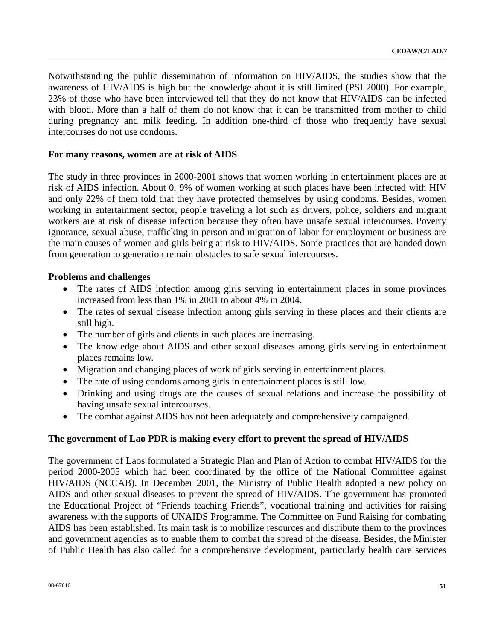Notwithstanding the public dissemination of information on HIV/AIDS, the studies show that the awareness of HIV/AIDS is high but the knowledge about it is still limited (PSI 2000). For example, 23% of those who have been interviewed tell that they do not know that HIV/AIDS can be infected with blood. More than a half of them do not know that it can be transmitted from mother to child during pregnancy and milk feeding. In addition one-third of those who frequently have sexual intercourses do not use condoms.

#### **For many reasons, women are at risk of AIDS**

The study in three provinces in 2000-2001 shows that women working in entertainment places are at risk of AIDS infection. About 0, 9% of women working at such places have been infected with HIV and only 22% of them told that they have protected themselves by using condoms. Besides, women working in entertainment sector, people traveling a lot such as drivers, police, soldiers and migrant workers are at risk of disease infection because they often have unsafe sexual intercourses. Poverty ignorance, sexual abuse, trafficking in person and migration of labor for employment or business are the main causes of women and girls being at risk to HIV/AIDS. Some practices that are handed down from generation to generation remain obstacles to safe sexual intercourses.

#### **Problems and challenges**

- The rates of AIDS infection among girls serving in entertainment places in some provinces increased from less than 1% in 2001 to about 4% in 2004.
- The rates of sexual disease infection among girls serving in these places and their clients are still high.
- The number of girls and clients in such places are increasing.
- The knowledge about AIDS and other sexual diseases among girls serving in entertainment places remains low.
- Migration and changing places of work of girls serving in entertainment places.
- The rate of using condoms among girls in entertainment places is still low.
- Drinking and using drugs are the causes of sexual relations and increase the possibility of having unsafe sexual intercourses.
- The combat against AIDS has not been adequately and comprehensively campaigned.

#### **The government of Lao PDR is making every effort to prevent the spread of HIV/AIDS**

The government of Laos formulated a Strategic Plan and Plan of Action to combat HIV/AIDS for the period 2000-2005 which had been coordinated by the office of the National Committee against HIV/AIDS (NCCAB). In December 2001, the Ministry of Public Health adopted a new policy on AIDS and other sexual diseases to prevent the spread of HIV/AIDS. The government has promoted the Educational Project of "Friends teaching Friends", vocational training and activities for raising awareness with the supports of UNAIDS Programme. The Committee on Fund Raising for combating AIDS has been established. Its main task is to mobilize resources and distribute them to the provinces and government agencies as to enable them to combat the spread of the disease. Besides, the Minister of Public Health has also called for a comprehensive development, particularly health care services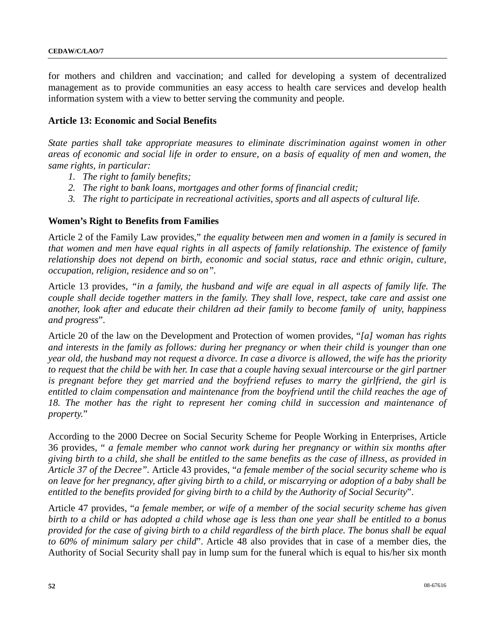for mothers and children and vaccination; and called for developing a system of decentralized management as to provide communities an easy access to health care services and develop health information system with a view to better serving the community and people.

#### **Article 13: Economic and Social Benefits**

*State parties shall take appropriate measures to eliminate discrimination against women in other areas of economic and social life in order to ensure, on a basis of equality of men and women, the same rights, in particular:* 

- *1. The right to family benefits;*
- *2. The right to bank loans, mortgages and other forms of financial credit;*
- *3. The right to participate in recreational activities, sports and all aspects of cultural life.*

#### **Women's Right to Benefits from Families**

Article 2 of the Family Law provides," *the equality between men and women in a family is secured in that women and men have equal rights in all aspects of family relationship. The existence of family relationship does not depend on birth, economic and social status, race and ethnic origin, culture, occupation, religion, residence and so on".* 

Article 13 provides, *"in a family, the husband and wife are equal in all aspects of family life. The couple shall decide together matters in the family. They shall love, respect, take care and assist one another, look after and educate their children ad their family to become family of unity, happiness and progress*".

Article 20 of the law on the Development and Protection of women provides, "*[a]* w*oman has rights and interests in the family as follows: during her pregnancy or when their child is younger than one year old, the husband may not request a divorce. In case a divorce is allowed, the wife has the priority to request that the child be with her. In case that a couple having sexual intercourse or the girl partner is pregnant before they get married and the boyfriend refuses to marry the girlfriend, the girl is entitled to claim compensation and maintenance from the boyfriend until the child reaches the age of 18. The mother has the right to represent her coming child in succession and maintenance of property.*"

According to the 2000 Decree on Social Security Scheme for People Working in Enterprises, Article 36 provides, " *a female member who cannot work during her pregnancy or within six months after giving birth to a child, she shall be entitled to the same benefits as the case of illness, as provided in Article 37 of the Decree".* Article 43 provides, "*a female member of the social security scheme who is on leave for her pregnancy, after giving birth to a child, or miscarrying or adoption of a baby shall be entitled to the benefits provided for giving birth to a child by the Authority of Social Security*".

Article 47 provides, "*a female member, or wife of a member of the social security scheme has given birth to a child or has adopted a child whose age is less than one year shall be entitled to a bonus provided for the case of giving birth to a child regardless of the birth place. The bonus shall be equal to 60% of minimum salary per child*". Article 48 also provides that in case of a member dies, the Authority of Social Security shall pay in lump sum for the funeral which is equal to his/her six month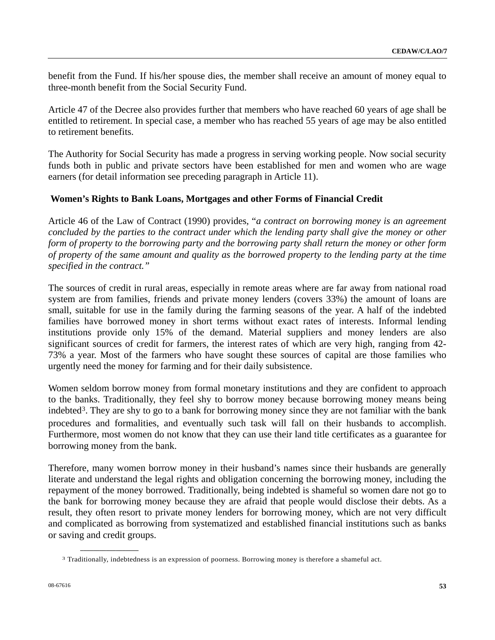benefit from the Fund. If his/her spouse dies, the member shall receive an amount of money equal to three-month benefit from the Social Security Fund.

Article 47 of the Decree also provides further that members who have reached 60 years of age shall be entitled to retirement. In special case, a member who has reached 55 years of age may be also entitled to retirement benefits.

The Authority for Social Security has made a progress in serving working people. Now social security funds both in public and private sectors have been established for men and women who are wage earners (for detail information see preceding paragraph in Article 11).

### **Women's Rights to Bank Loans, Mortgages and other Forms of Financial Credit**

Article 46 of the Law of Contract (1990) provides, "*a contract on borrowing money is an agreement concluded by the parties to the contract under which the lending party shall give the money or other form of property to the borrowing party and the borrowing party shall return the money or other form of property of the same amount and quality as the borrowed property to the lending party at the time specified in the contract."* 

The sources of credit in rural areas, especially in remote areas where are far away from national road system are from families, friends and private money lenders (covers 33%) the amount of loans are small, suitable for use in the family during the farming seasons of the year. A half of the indebted families have borrowed money in short terms without exact rates of interests. Informal lending institutions provide only 15% of the demand. Material suppliers and money lenders are also significant sources of credit for farmers, the interest rates of which are very high, ranging from 42- 73% a year. Most of the farmers who have sought these sources of capital are those families who urgently need the money for farming and for their daily subsistence.

Women seldom borrow money from formal monetary institutions and they are confident to approach to the banks. Traditionally, they feel shy to borrow money because borrowing money means being indebted<sup>3</sup>. They are shy to go to a bank for borrowing money since they are not familiar with the bank procedures and formalities, and eventually such task will fall on their husbands to accomplish. Furthermore, most women do not know that they can use their land title certificates as a guarantee for borrowing money from the bank.

Therefore, many women borrow money in their husband's names since their husbands are generally literate and understand the legal rights and obligation concerning the borrowing money, including the repayment of the money borrowed. Traditionally, being indebted is shameful so women dare not go to the bank for borrowing money because they are afraid that people would disclose their debts. As a result, they often resort to private money lenders for borrowing money, which are not very difficult and complicated as borrowing from systematized and established financial institutions such as banks or saving and credit groups.

**\_\_\_\_\_\_\_\_\_\_\_\_\_\_\_\_\_\_** 

<span id="page-52-0"></span><sup>3</sup> Traditionally, indebtedness is an expression of poorness. Borrowing money is therefore a shameful act.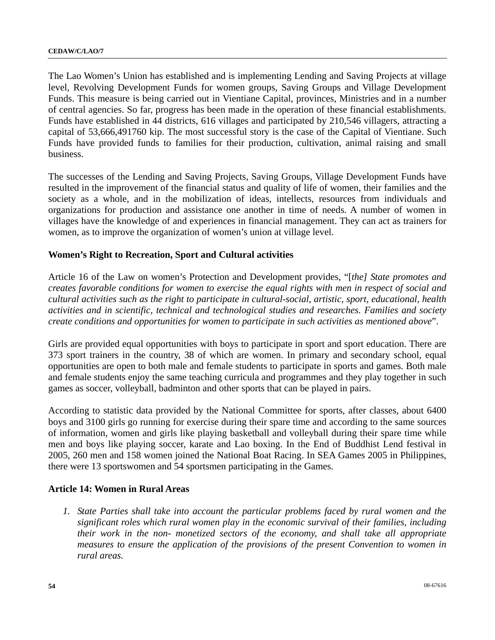The Lao Women's Union has established and is implementing Lending and Saving Projects at village level, Revolving Development Funds for women groups, Saving Groups and Village Development Funds. This measure is being carried out in Vientiane Capital, provinces, Ministries and in a number of central agencies. So far, progress has been made in the operation of these financial establishments. Funds have established in 44 districts, 616 villages and participated by 210,546 villagers, attracting a capital of 53,666,491760 kip. The most successful story is the case of the Capital of Vientiane. Such Funds have provided funds to families for their production, cultivation, animal raising and small business.

The successes of the Lending and Saving Projects, Saving Groups, Village Development Funds have resulted in the improvement of the financial status and quality of life of women, their families and the society as a whole, and in the mobilization of ideas, intellects, resources from individuals and organizations for production and assistance one another in time of needs. A number of women in villages have the knowledge of and experiences in financial management. They can act as trainers for women, as to improve the organization of women's union at village level.

### **Women's Right to Recreation, Sport and Cultural activities**

Article 16 of the Law on women's Protection and Development provides, "[*the] State promotes and creates favorable conditions for women to exercise the equal rights with men in respect of social and cultural activities such as the right to participate in cultural-social, artistic, sport, educational, health activities and in scientific, technical and technological studies and researches. Families and society create conditions and opportunities for women to participate in such activities as mentioned above*".

Girls are provided equal opportunities with boys to participate in sport and sport education. There are 373 sport trainers in the country, 38 of which are women. In primary and secondary school, equal opportunities are open to both male and female students to participate in sports and games. Both male and female students enjoy the same teaching curricula and programmes and they play together in such games as soccer, volleyball, badminton and other sports that can be played in pairs.

According to statistic data provided by the National Committee for sports, after classes, about 6400 boys and 3100 girls go running for exercise during their spare time and according to the same sources of information, women and girls like playing basketball and volleyball during their spare time while men and boys like playing soccer, karate and Lao boxing. In the End of Buddhist Lend festival in 2005, 260 men and 158 women joined the National Boat Racing. In SEA Games 2005 in Philippines, there were 13 sportswomen and 54 sportsmen participating in the Games.

#### **Article 14: Women in Rural Areas**

*1. State Parties shall take into account the particular problems faced by rural women and the significant roles which rural women play in the economic survival of their families, including their work in the non- monetized sectors of the economy, and shall take all appropriate measures to ensure the application of the provisions of the present Convention to women in rural areas.*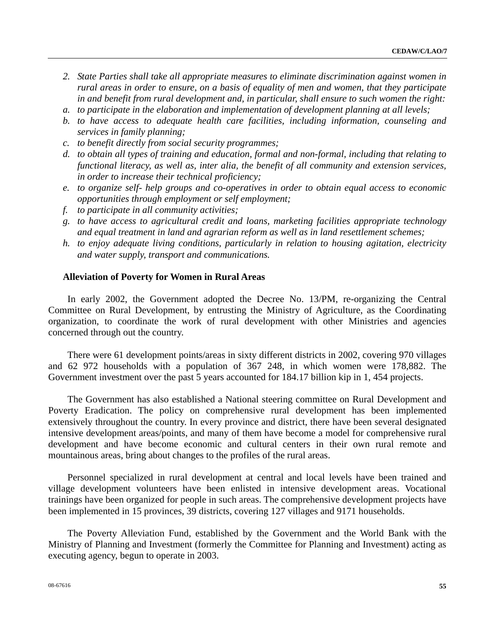- *2. State Parties shall take all appropriate measures to eliminate discrimination against women in rural areas in order to ensure, on a basis of equality of men and women, that they participate in and benefit from rural development and, in particular, shall ensure to such women the right:*
- *a. to participate in the elaboration and implementation of development planning at all levels;*
- *b. to have access to adequate health care facilities, including information, counseling and services in family planning;*
- *c. to benefit directly from social security programmes;*
- *d. to obtain all types of training and education, formal and non-formal, including that relating to functional literacy, as well as, inter alia, the benefit of all community and extension services, in order to increase their technical proficiency;*
- *e. to organize self- help groups and co-operatives in order to obtain equal access to economic opportunities through employment or self employment;*
- *f. to participate in all community activities;*
- *g. to have access to agricultural credit and loans, marketing facilities appropriate technology and equal treatment in land and agrarian reform as well as in land resettlement schemes;*
- *h. to enjoy adequate living conditions, particularly in relation to housing agitation, electricity and water supply, transport and communications.*

#### **Alleviation of Poverty for Women in Rural Areas**

 In early 2002, the Government adopted the Decree No. 13/PM, re-organizing the Central Committee on Rural Development, by entrusting the Ministry of Agriculture, as the Coordinating organization, to coordinate the work of rural development with other Ministries and agencies concerned through out the country.

 There were 61 development points/areas in sixty different districts in 2002, covering 970 villages and 62 972 households with a population of 367 248, in which women were 178,882. The Government investment over the past 5 years accounted for 184.17 billion kip in 1, 454 projects.

 The Government has also established a National steering committee on Rural Development and Poverty Eradication. The policy on comprehensive rural development has been implemented extensively throughout the country. In every province and district, there have been several designated intensive development areas/points, and many of them have become a model for comprehensive rural development and have become economic and cultural centers in their own rural remote and mountainous areas, bring about changes to the profiles of the rural areas.

 Personnel specialized in rural development at central and local levels have been trained and village development volunteers have been enlisted in intensive development areas. Vocational trainings have been organized for people in such areas. The comprehensive development projects have been implemented in 15 provinces, 39 districts, covering 127 villages and 9171 households.

 The Poverty Alleviation Fund, established by the Government and the World Bank with the Ministry of Planning and Investment (formerly the Committee for Planning and Investment) acting as executing agency, begun to operate in 2003.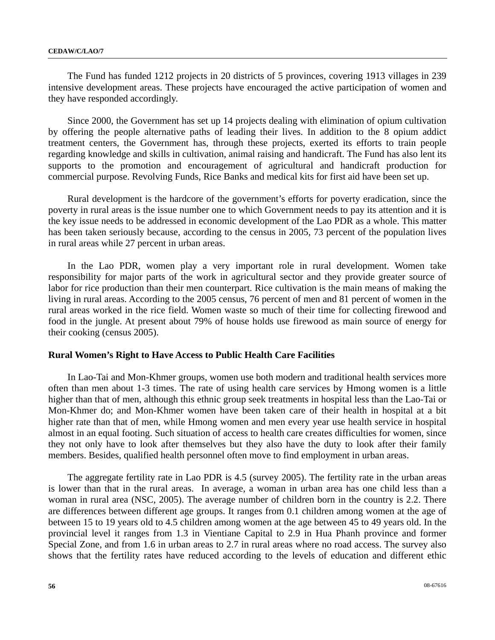The Fund has funded 1212 projects in 20 districts of 5 provinces, covering 1913 villages in 239 intensive development areas. These projects have encouraged the active participation of women and they have responded accordingly.

 Since 2000, the Government has set up 14 projects dealing with elimination of opium cultivation by offering the people alternative paths of leading their lives. In addition to the 8 opium addict treatment centers, the Government has, through these projects, exerted its efforts to train people regarding knowledge and skills in cultivation, animal raising and handicraft. The Fund has also lent its supports to the promotion and encouragement of agricultural and handicraft production for commercial purpose. Revolving Funds, Rice Banks and medical kits for first aid have been set up.

 Rural development is the hardcore of the government's efforts for poverty eradication, since the poverty in rural areas is the issue number one to which Government needs to pay its attention and it is the key issue needs to be addressed in economic development of the Lao PDR as a whole. This matter has been taken seriously because, according to the census in 2005, 73 percent of the population lives in rural areas while 27 percent in urban areas.

 In the Lao PDR, women play a very important role in rural development. Women take responsibility for major parts of the work in agricultural sector and they provide greater source of labor for rice production than their men counterpart. Rice cultivation is the main means of making the living in rural areas. According to the 2005 census, 76 percent of men and 81 percent of women in the rural areas worked in the rice field. Women waste so much of their time for collecting firewood and food in the jungle. At present about 79% of house holds use firewood as main source of energy for their cooking (census 2005).

#### **Rural Women's Right to Have Access to Public Health Care Facilities**

 In Lao-Tai and Mon-Khmer groups, women use both modern and traditional health services more often than men about 1-3 times. The rate of using health care services by Hmong women is a little higher than that of men, although this ethnic group seek treatments in hospital less than the Lao-Tai or Mon-Khmer do; and Mon-Khmer women have been taken care of their health in hospital at a bit higher rate than that of men, while Hmong women and men every year use health service in hospital almost in an equal footing. Such situation of access to health care creates difficulties for women, since they not only have to look after themselves but they also have the duty to look after their family members. Besides, qualified health personnel often move to find employment in urban areas.

 The aggregate fertility rate in Lao PDR is 4.5 (survey 2005). The fertility rate in the urban areas is lower than that in the rural areas. In average, a woman in urban area has one child less than a woman in rural area (NSC, 2005). The average number of children born in the country is 2.2. There are differences between different age groups. It ranges from 0.1 children among women at the age of between 15 to 19 years old to 4.5 children among women at the age between 45 to 49 years old. In the provincial level it ranges from 1.3 in Vientiane Capital to 2.9 in Hua Phanh province and former Special Zone, and from 1.6 in urban areas to 2.7 in rural areas where no road access. The survey also shows that the fertility rates have reduced according to the levels of education and different ethic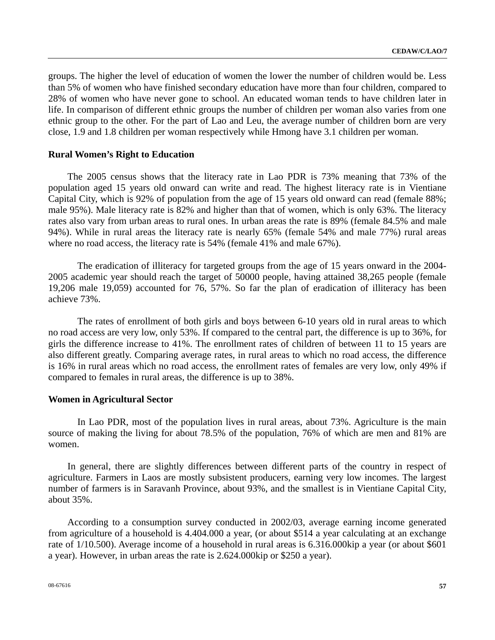groups. The higher the level of education of women the lower the number of children would be. Less than 5% of women who have finished secondary education have more than four children, compared to 28% of women who have never gone to school. An educated woman tends to have children later in life. In comparison of different ethnic groups the number of children per woman also varies from one ethnic group to the other. For the part of Lao and Leu, the average number of children born are very close, 1.9 and 1.8 children per woman respectively while Hmong have 3.1 children per woman.

#### **Rural Women's Right to Education**

 The 2005 census shows that the literacy rate in Lao PDR is 73% meaning that 73% of the population aged 15 years old onward can write and read. The highest literacy rate is in Vientiane Capital City, which is 92% of population from the age of 15 years old onward can read (female 88%; male 95%). Male literacy rate is 82% and higher than that of women, which is only 63%. The literacy rates also vary from urban areas to rural ones. In urban areas the rate is 89% (female 84.5% and male 94%). While in rural areas the literacy rate is nearly 65% (female 54% and male 77%) rural areas where no road access, the literacy rate is 54% (female 41% and male 67%).

The eradication of illiteracy for targeted groups from the age of 15 years onward in the 2004- 2005 academic year should reach the target of 50000 people, having attained 38,265 people (female 19,206 male 19,059) accounted for 76, 57%. So far the plan of eradication of illiteracy has been achieve 73%.

The rates of enrollment of both girls and boys between 6-10 years old in rural areas to which no road access are very low, only 53%. If compared to the central part, the difference is up to 36%, for girls the difference increase to 41%. The enrollment rates of children of between 11 to 15 years are also different greatly. Comparing average rates, in rural areas to which no road access, the difference is 16% in rural areas which no road access, the enrollment rates of females are very low, only 49% if compared to females in rural areas, the difference is up to 38%.

#### **Women in Agricultural Sector**

In Lao PDR, most of the population lives in rural areas, about 73%. Agriculture is the main source of making the living for about 78.5% of the population, 76% of which are men and 81% are women.

 In general, there are slightly differences between different parts of the country in respect of agriculture. Farmers in Laos are mostly subsistent producers, earning very low incomes. The largest number of farmers is in Saravanh Province, about 93%, and the smallest is in Vientiane Capital City, about 35%.

 According to a consumption survey conducted in 2002/03, average earning income generated from agriculture of a household is 4.404.000 a year, (or about \$514 a year calculating at an exchange rate of 1/10.500). Average income of a household in rural areas is 6.316.000kip a year (or about \$601 a year). However, in urban areas the rate is 2.624.000kip or \$250 a year).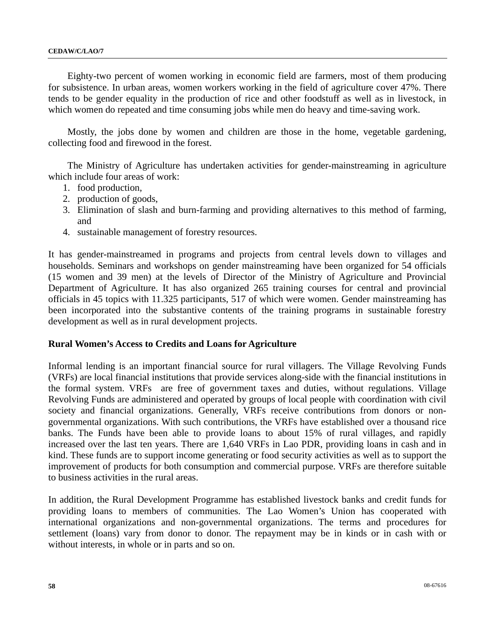Eighty-two percent of women working in economic field are farmers, most of them producing for subsistence. In urban areas, women workers working in the field of agriculture cover 47%. There tends to be gender equality in the production of rice and other foodstuff as well as in livestock, in which women do repeated and time consuming jobs while men do heavy and time-saving work.

 Mostly, the jobs done by women and children are those in the home, vegetable gardening, collecting food and firewood in the forest.

 The Ministry of Agriculture has undertaken activities for gender-mainstreaming in agriculture which include four areas of work:

- 1. food production,
- 2. production of goods,
- 3. Elimination of slash and burn-farming and providing alternatives to this method of farming, and
- 4. sustainable management of forestry resources.

It has gender-mainstreamed in programs and projects from central levels down to villages and households. Seminars and workshops on gender mainstreaming have been organized for 54 officials (15 women and 39 men) at the levels of Director of the Ministry of Agriculture and Provincial Department of Agriculture. It has also organized 265 training courses for central and provincial officials in 45 topics with 11.325 participants, 517 of which were women. Gender mainstreaming has been incorporated into the substantive contents of the training programs in sustainable forestry development as well as in rural development projects.

#### **Rural Women's Access to Credits and Loans for Agriculture**

Informal lending is an important financial source for rural villagers. The Village Revolving Funds (VRFs) are local financial institutions that provide services along-side with the financial institutions in the formal system. VRFs are free of government taxes and duties, without regulations. Village Revolving Funds are administered and operated by groups of local people with coordination with civil society and financial organizations. Generally, VRFs receive contributions from donors or nongovernmental organizations. With such contributions, the VRFs have established over a thousand rice banks. The Funds have been able to provide loans to about 15% of rural villages, and rapidly increased over the last ten years. There are 1,640 VRFs in Lao PDR, providing loans in cash and in kind. These funds are to support income generating or food security activities as well as to support the improvement of products for both consumption and commercial purpose. VRFs are therefore suitable to business activities in the rural areas.

In addition, the Rural Development Programme has established livestock banks and credit funds for providing loans to members of communities. The Lao Women's Union has cooperated with international organizations and non-governmental organizations. The terms and procedures for settlement (loans) vary from donor to donor. The repayment may be in kinds or in cash with or without interests, in whole or in parts and so on.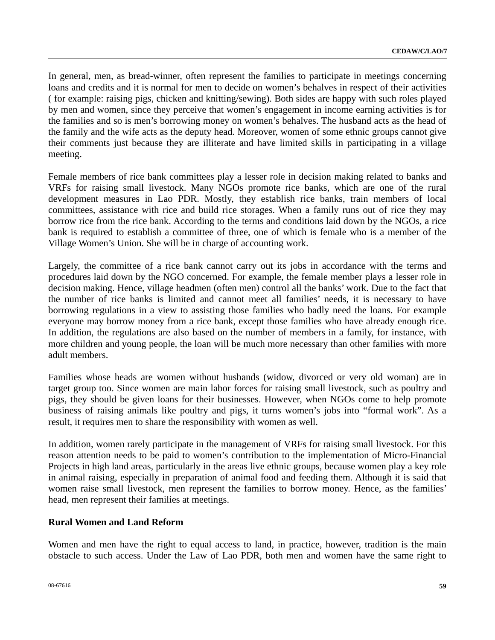In general, men, as bread-winner, often represent the families to participate in meetings concerning loans and credits and it is normal for men to decide on women's behalves in respect of their activities ( for example: raising pigs, chicken and knitting/sewing). Both sides are happy with such roles played by men and women, since they perceive that women's engagement in income earning activities is for the families and so is men's borrowing money on women's behalves. The husband acts as the head of the family and the wife acts as the deputy head. Moreover, women of some ethnic groups cannot give their comments just because they are illiterate and have limited skills in participating in a village meeting.

Female members of rice bank committees play a lesser role in decision making related to banks and VRFs for raising small livestock. Many NGOs promote rice banks, which are one of the rural development measures in Lao PDR. Mostly, they establish rice banks, train members of local committees, assistance with rice and build rice storages. When a family runs out of rice they may borrow rice from the rice bank. According to the terms and conditions laid down by the NGOs, a rice bank is required to establish a committee of three, one of which is female who is a member of the Village Women's Union. She will be in charge of accounting work.

Largely, the committee of a rice bank cannot carry out its jobs in accordance with the terms and procedures laid down by the NGO concerned. For example, the female member plays a lesser role in decision making. Hence, village headmen (often men) control all the banks' work. Due to the fact that the number of rice banks is limited and cannot meet all families' needs, it is necessary to have borrowing regulations in a view to assisting those families who badly need the loans. For example everyone may borrow money from a rice bank, except those families who have already enough rice. In addition, the regulations are also based on the number of members in a family, for instance, with more children and young people, the loan will be much more necessary than other families with more adult members.

Families whose heads are women without husbands (widow, divorced or very old woman) are in target group too. Since women are main labor forces for raising small livestock, such as poultry and pigs, they should be given loans for their businesses. However, when NGOs come to help promote business of raising animals like poultry and pigs, it turns women's jobs into "formal work". As a result, it requires men to share the responsibility with women as well.

In addition, women rarely participate in the management of VRFs for raising small livestock. For this reason attention needs to be paid to women's contribution to the implementation of Micro-Financial Projects in high land areas, particularly in the areas live ethnic groups, because women play a key role in animal raising, especially in preparation of animal food and feeding them. Although it is said that women raise small livestock, men represent the families to borrow money. Hence, as the families' head, men represent their families at meetings.

#### **Rural Women and Land Reform**

Women and men have the right to equal access to land, in practice, however, tradition is the main obstacle to such access. Under the Law of Lao PDR, both men and women have the same right to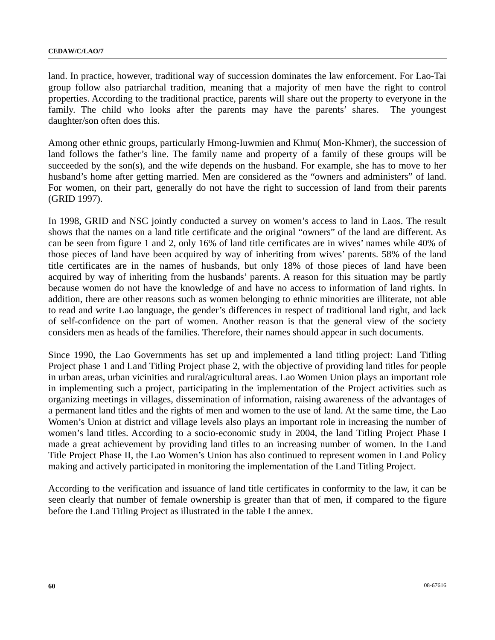land. In practice, however, traditional way of succession dominates the law enforcement. For Lao-Tai group follow also patriarchal tradition, meaning that a majority of men have the right to control properties. According to the traditional practice, parents will share out the property to everyone in the family. The child who looks after the parents may have the parents' shares. The youngest daughter/son often does this.

Among other ethnic groups, particularly Hmong-Iuwmien and Khmu( Mon-Khmer), the succession of land follows the father's line. The family name and property of a family of these groups will be succeeded by the son(s), and the wife depends on the husband. For example, she has to move to her husband's home after getting married. Men are considered as the "owners and administers" of land. For women, on their part, generally do not have the right to succession of land from their parents (GRID 1997).

In 1998, GRID and NSC jointly conducted a survey on women's access to land in Laos. The result shows that the names on a land title certificate and the original "owners" of the land are different. As can be seen from figure 1 and 2, only 16% of land title certificates are in wives' names while 40% of those pieces of land have been acquired by way of inheriting from wives' parents. 58% of the land title certificates are in the names of husbands, but only 18% of those pieces of land have been acquired by way of inheriting from the husbands' parents. A reason for this situation may be partly because women do not have the knowledge of and have no access to information of land rights. In addition, there are other reasons such as women belonging to ethnic minorities are illiterate, not able to read and write Lao language, the gender's differences in respect of traditional land right, and lack of self-confidence on the part of women. Another reason is that the general view of the society considers men as heads of the families. Therefore, their names should appear in such documents.

Since 1990, the Lao Governments has set up and implemented a land titling project: Land Titling Project phase 1 and Land Titling Project phase 2, with the objective of providing land titles for people in urban areas, urban vicinities and rural/agricultural areas. Lao Women Union plays an important role in implementing such a project, participating in the implementation of the Project activities such as organizing meetings in villages, dissemination of information, raising awareness of the advantages of a permanent land titles and the rights of men and women to the use of land. At the same time, the Lao Women's Union at district and village levels also plays an important role in increasing the number of women's land titles. According to a socio-economic study in 2004, the land Titling Project Phase I made a great achievement by providing land titles to an increasing number of women. In the Land Title Project Phase II, the Lao Women's Union has also continued to represent women in Land Policy making and actively participated in monitoring the implementation of the Land Titling Project.

According to the verification and issuance of land title certificates in conformity to the law, it can be seen clearly that number of female ownership is greater than that of men, if compared to the figure before the Land Titling Project as illustrated in the table I the annex.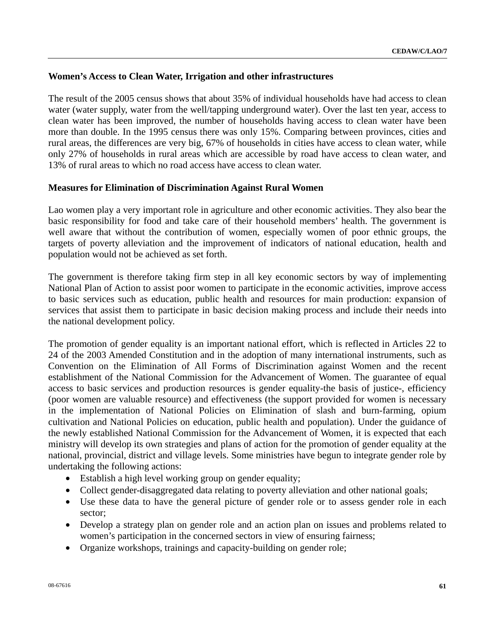## **Women's Access to Clean Water, Irrigation and other infrastructures**

The result of the 2005 census shows that about 35% of individual households have had access to clean water (water supply, water from the well/tapping underground water). Over the last ten year, access to clean water has been improved, the number of households having access to clean water have been more than double. In the 1995 census there was only 15%. Comparing between provinces, cities and rural areas, the differences are very big, 67% of households in cities have access to clean water, while only 27% of households in rural areas which are accessible by road have access to clean water, and 13% of rural areas to which no road access have access to clean water.

### **Measures for Elimination of Discrimination Against Rural Women**

Lao women play a very important role in agriculture and other economic activities. They also bear the basic responsibility for food and take care of their household members' health. The government is well aware that without the contribution of women, especially women of poor ethnic groups, the targets of poverty alleviation and the improvement of indicators of national education, health and population would not be achieved as set forth.

The government is therefore taking firm step in all key economic sectors by way of implementing National Plan of Action to assist poor women to participate in the economic activities, improve access to basic services such as education, public health and resources for main production: expansion of services that assist them to participate in basic decision making process and include their needs into the national development policy.

The promotion of gender equality is an important national effort, which is reflected in Articles 22 to 24 of the 2003 Amended Constitution and in the adoption of many international instruments, such as Convention on the Elimination of All Forms of Discrimination against Women and the recent establishment of the National Commission for the Advancement of Women. The guarantee of equal access to basic services and production resources is gender equality-the basis of justice-, efficiency (poor women are valuable resource) and effectiveness (the support provided for women is necessary in the implementation of National Policies on Elimination of slash and burn-farming, opium cultivation and National Policies on education, public health and population). Under the guidance of the newly established National Commission for the Advancement of Women, it is expected that each ministry will develop its own strategies and plans of action for the promotion of gender equality at the national, provincial, district and village levels. Some ministries have begun to integrate gender role by undertaking the following actions:

- Establish a high level working group on gender equality;
- Collect gender-disaggregated data relating to poverty alleviation and other national goals;
- Use these data to have the general picture of gender role or to assess gender role in each sector;
- Develop a strategy plan on gender role and an action plan on issues and problems related to women's participation in the concerned sectors in view of ensuring fairness;
- Organize workshops, trainings and capacity-building on gender role;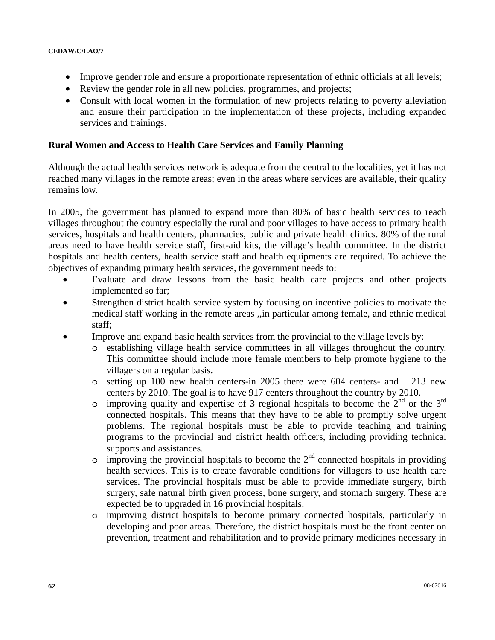- Improve gender role and ensure a proportionate representation of ethnic officials at all levels;
- Review the gender role in all new policies, programmes, and projects;
- Consult with local women in the formulation of new projects relating to poverty alleviation and ensure their participation in the implementation of these projects, including expanded services and trainings.

#### **Rural Women and Access to Health Care Services and Family Planning**

Although the actual health services network is adequate from the central to the localities, yet it has not reached many villages in the remote areas; even in the areas where services are available, their quality remains low.

In 2005, the government has planned to expand more than 80% of basic health services to reach villages throughout the country especially the rural and poor villages to have access to primary health services, hospitals and health centers, pharmacies, public and private health clinics. 80% of the rural areas need to have health service staff, first-aid kits, the village's health committee. In the district hospitals and health centers, health service staff and health equipments are required. To achieve the objectives of expanding primary health services, the government needs to:

- Evaluate and draw lessons from the basic health care projects and other projects implemented so far;
- Strengthen district health service system by focusing on incentive policies to motivate the medical staff working in the remote areas ,,in particular among female, and ethnic medical staff;
- Improve and expand basic health services from the provincial to the village levels by:
	- o establishing village health service committees in all villages throughout the country. This committee should include more female members to help promote hygiene to the villagers on a regular basis.
	- o setting up 100 new health centers-in 2005 there were 604 centers- and 213 new centers by 2010. The goal is to have 917 centers throughout the country by 2010.
	- $\circ$  improving quality and expertise of 3 regional hospitals to become the 2<sup>nd</sup> or the 3<sup>rd</sup> connected hospitals. This means that they have to be able to promptly solve urgent problems. The regional hospitals must be able to provide teaching and training programs to the provincial and district health officers, including providing technical supports and assistances.
	- $\circ$  improving the provincial hospitals to become the 2<sup>nd</sup> connected hospitals in providing health services. This is to create favorable conditions for villagers to use health care services. The provincial hospitals must be able to provide immediate surgery, birth surgery, safe natural birth given process, bone surgery, and stomach surgery. These are expected be to upgraded in 16 provincial hospitals.
	- o improving district hospitals to become primary connected hospitals, particularly in developing and poor areas. Therefore, the district hospitals must be the front center on prevention, treatment and rehabilitation and to provide primary medicines necessary in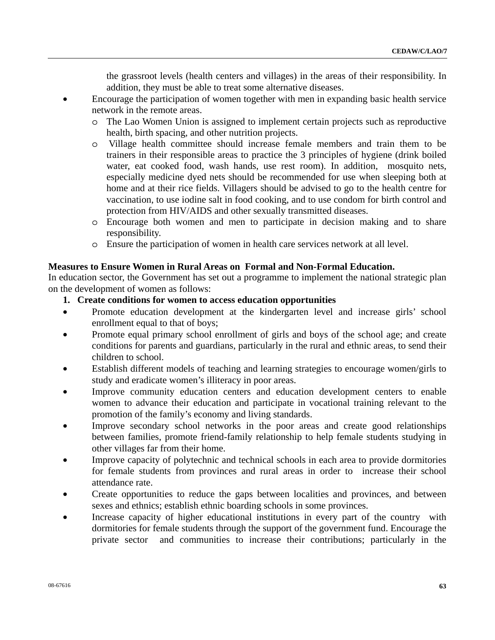the grassroot levels (health centers and villages) in the areas of their responsibility. In addition, they must be able to treat some alternative diseases.

- Encourage the participation of women together with men in expanding basic health service network in the remote areas.
	- o The Lao Women Union is assigned to implement certain projects such as reproductive health, birth spacing, and other nutrition projects.
	- o Village health committee should increase female members and train them to be trainers in their responsible areas to practice the 3 principles of hygiene (drink boiled water, eat cooked food, wash hands, use rest room). In addition, mosquito nets, especially medicine dyed nets should be recommended for use when sleeping both at home and at their rice fields. Villagers should be advised to go to the health centre for vaccination, to use iodine salt in food cooking, and to use condom for birth control and protection from HIV/AIDS and other sexually transmitted diseases.
	- o Encourage both women and men to participate in decision making and to share responsibility.
	- o Ensure the participation of women in health care services network at all level.

## **Measures to Ensure Women in Rural Areas on Formal and Non-Formal Education.**

In education sector, the Government has set out a programme to implement the national strategic plan on the development of women as follows:

- **1. Create conditions for women to access education opportunities**
- Promote education development at the kindergarten level and increase girls' school enrollment equal to that of boys;
- Promote equal primary school enrollment of girls and boys of the school age; and create conditions for parents and guardians, particularly in the rural and ethnic areas, to send their children to school.
- Establish different models of teaching and learning strategies to encourage women/girls to study and eradicate women's illiteracy in poor areas.
- Improve community education centers and education development centers to enable women to advance their education and participate in vocational training relevant to the promotion of the family's economy and living standards.
- Improve secondary school networks in the poor areas and create good relationships between families, promote friend-family relationship to help female students studying in other villages far from their home.
- Improve capacity of polytechnic and technical schools in each area to provide dormitories for female students from provinces and rural areas in order to increase their school attendance rate.
- Create opportunities to reduce the gaps between localities and provinces, and between sexes and ethnics; establish ethnic boarding schools in some provinces.
- Increase capacity of higher educational institutions in every part of the country with dormitories for female students through the support of the government fund. Encourage the private sector and communities to increase their contributions; particularly in the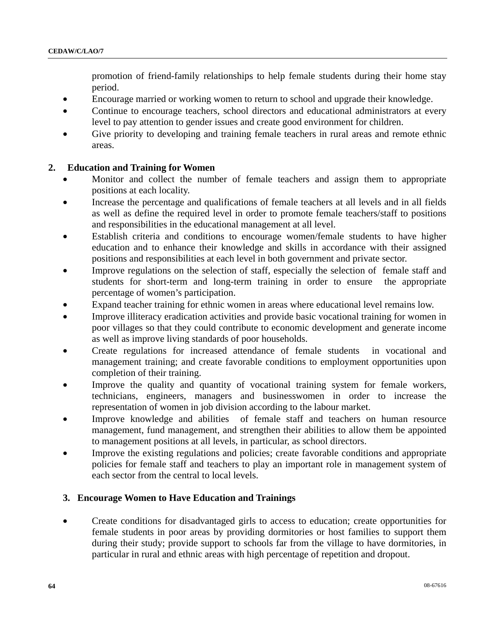promotion of friend-family relationships to help female students during their home stay period.

- Encourage married or working women to return to school and upgrade their knowledge.
- Continue to encourage teachers, school directors and educational administrators at every level to pay attention to gender issues and create good environment for children.
- Give priority to developing and training female teachers in rural areas and remote ethnic areas.

## **2. Education and Training for Women**

- Monitor and collect the number of female teachers and assign them to appropriate positions at each locality.
- Increase the percentage and qualifications of female teachers at all levels and in all fields as well as define the required level in order to promote female teachers/staff to positions and responsibilities in the educational management at all level.
- Establish criteria and conditions to encourage women/female students to have higher education and to enhance their knowledge and skills in accordance with their assigned positions and responsibilities at each level in both government and private sector.
- Improve regulations on the selection of staff, especially the selection of female staff and students for short-term and long-term training in order to ensure the appropriate percentage of women's participation.
- Expand teacher training for ethnic women in areas where educational level remains low.
- Improve illiteracy eradication activities and provide basic vocational training for women in poor villages so that they could contribute to economic development and generate income as well as improve living standards of poor households.
- Create regulations for increased attendance of female students in vocational and management training; and create favorable conditions to employment opportunities upon completion of their training.
- Improve the quality and quantity of vocational training system for female workers, technicians, engineers, managers and businesswomen in order to increase the representation of women in job division according to the labour market.
- Improve knowledge and abilities of female staff and teachers on human resource management, fund management, and strengthen their abilities to allow them be appointed to management positions at all levels, in particular, as school directors.
- Improve the existing regulations and policies; create favorable conditions and appropriate policies for female staff and teachers to play an important role in management system of each sector from the central to local levels.

## **3. Encourage Women to Have Education and Trainings**

• Create conditions for disadvantaged girls to access to education; create opportunities for female students in poor areas by providing dormitories or host families to support them during their study; provide support to schools far from the village to have dormitories, in particular in rural and ethnic areas with high percentage of repetition and dropout.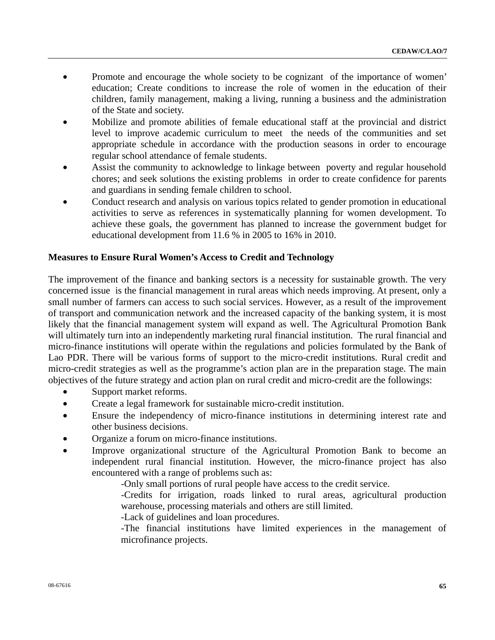- Promote and encourage the whole society to be cognizant of the importance of women' education; Create conditions to increase the role of women in the education of their children, family management, making a living, running a business and the administration of the State and society.
- Mobilize and promote abilities of female educational staff at the provincial and district level to improve academic curriculum to meet the needs of the communities and set appropriate schedule in accordance with the production seasons in order to encourage regular school attendance of female students.
- Assist the community to acknowledge to linkage between poverty and regular household chores; and seek solutions the existing problems in order to create confidence for parents and guardians in sending female children to school.
- Conduct research and analysis on various topics related to gender promotion in educational activities to serve as references in systematically planning for women development. To achieve these goals, the government has planned to increase the government budget for educational development from 11.6 % in 2005 to 16% in 2010.

## **Measures to Ensure Rural Women's Access to Credit and Technology**

The improvement of the finance and banking sectors is a necessity for sustainable growth. The very concerned issue is the financial management in rural areas which needs improving. At present, only a small number of farmers can access to such social services. However, as a result of the improvement of transport and communication network and the increased capacity of the banking system, it is most likely that the financial management system will expand as well. The Agricultural Promotion Bank will ultimately turn into an independently marketing rural financial institution. The rural financial and micro-finance institutions will operate within the regulations and policies formulated by the Bank of Lao PDR. There will be various forms of support to the micro-credit institutions. Rural credit and micro-credit strategies as well as the programme's action plan are in the preparation stage. The main objectives of the future strategy and action plan on rural credit and micro-credit are the followings:

- Support market reforms.
- Create a legal framework for sustainable micro-credit institution.
- Ensure the independency of micro-finance institutions in determining interest rate and other business decisions.
- Organize a forum on micro-finance institutions.
- Improve organizational structure of the Agricultural Promotion Bank to become an independent rural financial institution. However, the micro-finance project has also encountered with a range of problems such as:
	- -Only small portions of rural people have access to the credit service.
	- -Credits for irrigation, roads linked to rural areas, agricultural production warehouse, processing materials and others are still limited.
	- -Lack of guidelines and loan procedures.
	- -The financial institutions have limited experiences in the management of microfinance projects.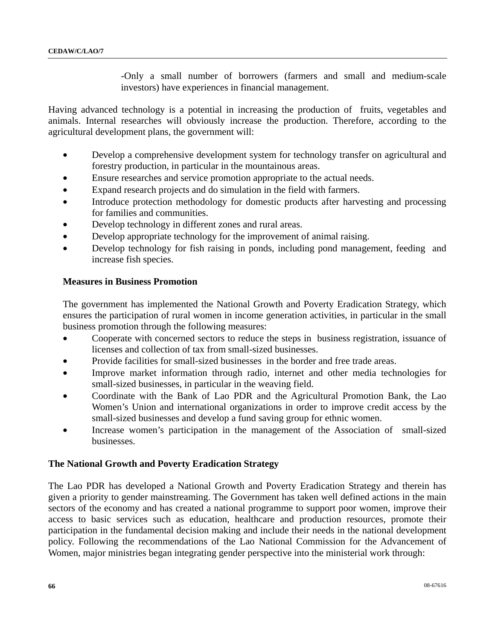-Only a small number of borrowers (farmers and small and medium-scale investors) have experiences in financial management.

Having advanced technology is a potential in increasing the production of fruits, vegetables and animals. Internal researches will obviously increase the production. Therefore, according to the agricultural development plans, the government will:

- Develop a comprehensive development system for technology transfer on agricultural and forestry production, in particular in the mountainous areas.
- Ensure researches and service promotion appropriate to the actual needs.
- Expand research projects and do simulation in the field with farmers.
- Introduce protection methodology for domestic products after harvesting and processing for families and communities.
- Develop technology in different zones and rural areas.
- Develop appropriate technology for the improvement of animal raising.
- Develop technology for fish raising in ponds, including pond management, feeding and increase fish species.

### **Measures in Business Promotion**

The government has implemented the National Growth and Poverty Eradication Strategy, which ensures the participation of rural women in income generation activities, in particular in the small business promotion through the following measures:

- Cooperate with concerned sectors to reduce the steps in business registration, issuance of licenses and collection of tax from small-sized businesses.
- Provide facilities for small-sized businesses in the border and free trade areas.
- Improve market information through radio, internet and other media technologies for small-sized businesses, in particular in the weaving field.
- Coordinate with the Bank of Lao PDR and the Agricultural Promotion Bank, the Lao Women's Union and international organizations in order to improve credit access by the small-sized businesses and develop a fund saving group for ethnic women.
- Increase women's participation in the management of the Association of small-sized businesses.

## **The National Growth and Poverty Eradication Strategy**

The Lao PDR has developed a National Growth and Poverty Eradication Strategy and therein has given a priority to gender mainstreaming. The Government has taken well defined actions in the main sectors of the economy and has created a national programme to support poor women, improve their access to basic services such as education, healthcare and production resources, promote their participation in the fundamental decision making and include their needs in the national development policy. Following the recommendations of the Lao National Commission for the Advancement of Women, major ministries began integrating gender perspective into the ministerial work through: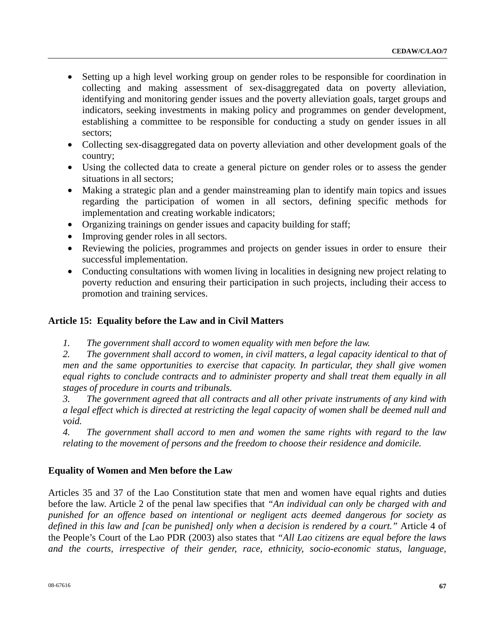- Setting up a high level working group on gender roles to be responsible for coordination in collecting and making assessment of sex-disaggregated data on poverty alleviation, identifying and monitoring gender issues and the poverty alleviation goals, target groups and indicators, seeking investments in making policy and programmes on gender development, establishing a committee to be responsible for conducting a study on gender issues in all sectors;
- Collecting sex-disaggregated data on poverty alleviation and other development goals of the country;
- Using the collected data to create a general picture on gender roles or to assess the gender situations in all sectors;
- Making a strategic plan and a gender mainstreaming plan to identify main topics and issues regarding the participation of women in all sectors, defining specific methods for implementation and creating workable indicators;
- Organizing trainings on gender issues and capacity building for staff;
- Improving gender roles in all sectors.
- Reviewing the policies, programmes and projects on gender issues in order to ensure their successful implementation.
- Conducting consultations with women living in localities in designing new project relating to poverty reduction and ensuring their participation in such projects, including their access to promotion and training services.

# **Article 15: Equality before the Law and in Civil Matters**

*1. The government shall accord to women equality with men before the law.* 

*2. The government shall accord to women, in civil matters, a legal capacity identical to that of men and the same opportunities to exercise that capacity. In particular, they shall give women equal rights to conclude contracts and to administer property and shall treat them equally in all stages of procedure in courts and tribunals.* 

*3. The government agreed that all contracts and all other private instruments of any kind with a legal effect which is directed at restricting the legal capacity of women shall be deemed null and void.* 

*4. The government shall accord to men and women the same rights with regard to the law relating to the movement of persons and the freedom to choose their residence and domicile.* 

# **Equality of Women and Men before the Law**

Articles 35 and 37 of the Lao Constitution state that men and women have equal rights and duties before the law. Article 2 of the penal law specifies that *"An individual can only be charged with and punished for an offence based on intentional or negligent acts deemed dangerous for society as defined in this law and [can be punished] only when a decision is rendered by a court."* Article 4 of the People's Court of the Lao PDR (2003) also states that *"All Lao citizens are equal before the laws and the courts, irrespective of their gender, race, ethnicity, socio-economic status, language,*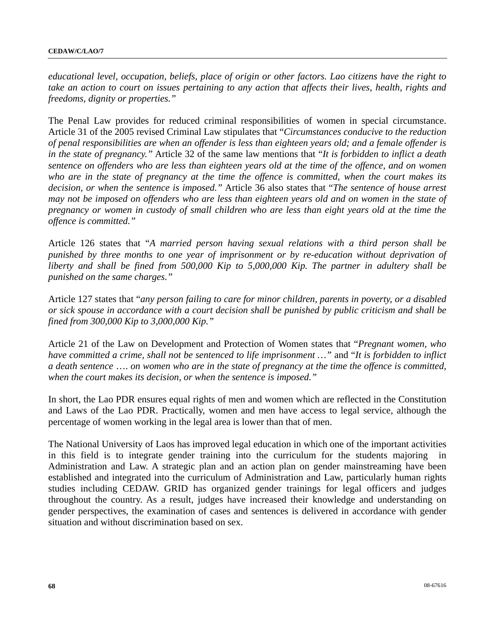*educational level, occupation, beliefs, place of origin or other factors. Lao citizens have the right to take an action to court on issues pertaining to any action that affects their lives, health, rights and freedoms, dignity or properties."* 

The Penal Law provides for reduced criminal responsibilities of women in special circumstance. Article 31 of the 2005 revised Criminal Law stipulates that "*Circumstances conducive to the reduction of penal responsibilities are when an offender is less than eighteen years old; and a female offender is in the state of pregnancy."* Article 32 of the same law mentions that "*It is forbidden to inflict a death sentence on offenders who are less than eighteen years old at the time of the offence, and on women who are in the state of pregnancy at the time the offence is committed, when the court makes its decision, or when the sentence is imposed."* Article 36 also states that "*The sentence of house arrest may not be imposed on offenders who are less than eighteen years old and on women in the state of pregnancy or women in custody of small children who are less than eight years old at the time the offence is committed."* 

Article 126 states that "*A married person having sexual relations with a third person shall be punished by three months to one year of imprisonment or by re-education without deprivation of liberty and shall be fined from 500,000 Kip to 5,000,000 Kip. The partner in adultery shall be punished on the same charges."* 

Article 127 states that "*any person failing to care for minor children, parents in poverty, or a disabled or sick spouse in accordance with a court decision shall be punished by public criticism and shall be fined from 300,000 Kip to 3,000,000 Kip."*

Article 21 of the Law on Development and Protection of Women states that "*Pregnant women, who have committed a crime, shall not be sentenced to life imprisonment …"* and "*It is forbidden to inflict a death sentence* …. *on women who are in the state of pregnancy at the time the offence is committed, when the court makes its decision, or when the sentence is imposed."* 

In short, the Lao PDR ensures equal rights of men and women which are reflected in the Constitution and Laws of the Lao PDR. Practically, women and men have access to legal service, although the percentage of women working in the legal area is lower than that of men.

The National University of Laos has improved legal education in which one of the important activities in this field is to integrate gender training into the curriculum for the students majoring Administration and Law. A strategic plan and an action plan on gender mainstreaming have been established and integrated into the curriculum of Administration and Law, particularly human rights studies including CEDAW. GRID has organized gender trainings for legal officers and judges throughout the country. As a result, judges have increased their knowledge and understanding on gender perspectives, the examination of cases and sentences is delivered in accordance with gender situation and without discrimination based on sex.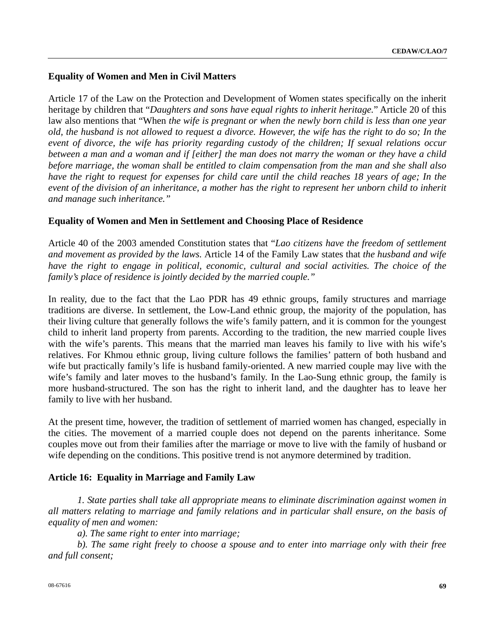### **Equality of Women and Men in Civil Matters**

Article 17 of the Law on the Protection and Development of Women states specifically on the inherit heritage by children that "*Daughters and sons have equal rights to inherit heritage.*" Article 20 of this law also mentions that "When *the wife is pregnant or when the newly born child is less than one year old, the husband is not allowed to request a divorce. However, the wife has the right to do so; In the event of divorce, the wife has priority regarding custody of the children; If sexual relations occur between a man and a woman and if [either] the man does not marry the woman or they have a child before marriage, the woman shall be entitled to claim compensation from the man and she shall also have the right to request for expenses for child care until the child reaches 18 years of age; In the event of the division of an inheritance, a mother has the right to represent her unborn child to inherit and manage such inheritance."* 

### **Equality of Women and Men in Settlement and Choosing Place of Residence**

Article 40 of the 2003 amended Constitution states that "*Lao citizens have the freedom of settlement and movement as provided by the laws.* Article 14 of the Family Law states that *the husband and wife have the right to engage in political, economic, cultural and social activities. The choice of the family's place of residence is jointly decided by the married couple."* 

In reality, due to the fact that the Lao PDR has 49 ethnic groups, family structures and marriage traditions are diverse. In settlement, the Low-Land ethnic group, the majority of the population, has their living culture that generally follows the wife's family pattern, and it is common for the youngest child to inherit land property from parents. According to the tradition, the new married couple lives with the wife's parents. This means that the married man leaves his family to live with his wife's relatives. For Khmou ethnic group, living culture follows the families' pattern of both husband and wife but practically family's life is husband family-oriented. A new married couple may live with the wife's family and later moves to the husband's family. In the Lao-Sung ethnic group, the family is more husband-structured. The son has the right to inherit land, and the daughter has to leave her family to live with her husband.

At the present time, however, the tradition of settlement of married women has changed, especially in the cities. The movement of a married couple does not depend on the parents inheritance. Some couples move out from their families after the marriage or move to live with the family of husband or wife depending on the conditions. This positive trend is not anymore determined by tradition.

#### **Article 16: Equality in Marriage and Family Law**

*1. State parties shall take all appropriate means to eliminate discrimination against women in all matters relating to marriage and family relations and in particular shall ensure, on the basis of equality of men and women:* 

*a). The same right to enter into marriage;* 

*b). The same right freely to choose a spouse and to enter into marriage only with their free and full consent;*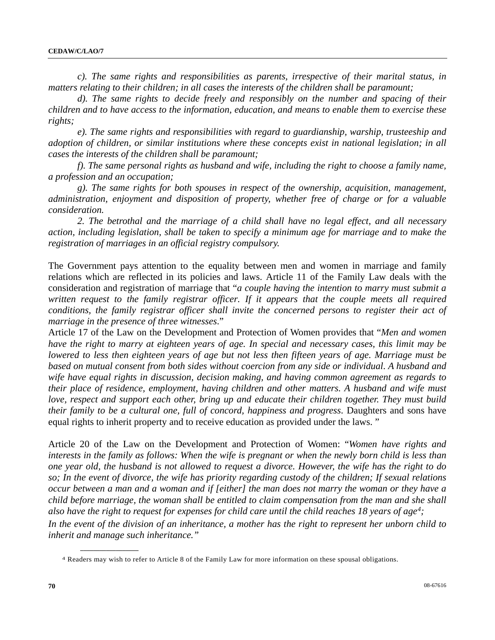*c). The same rights and responsibilities as parents, irrespective of their marital status, in matters relating to their children; in all cases the interests of the children shall be paramount;* 

*d). The same rights to decide freely and responsibly on the number and spacing of their children and to have access to the information, education, and means to enable them to exercise these rights;* 

*e). The same rights and responsibilities with regard to guardianship, warship, trusteeship and adoption of children, or similar institutions where these concepts exist in national legislation; in all cases the interests of the children shall be paramount;* 

*f). The same personal rights as husband and wife, including the right to choose a family name, a profession and an occupation;* 

*g). The same rights for both spouses in respect of the ownership, acquisition, management, administration, enjoyment and disposition of property, whether free of charge or for a valuable consideration.* 

*2. The betrothal and the marriage of a child shall have no legal effect, and all necessary action, including legislation, shall be taken to specify a minimum age for marriage and to make the registration of marriages in an official registry compulsory.* 

The Government pays attention to the equality between men and women in marriage and family relations which are reflected in its policies and laws. Article 11 of the Family Law deals with the consideration and registration of marriage that "*a couple having the intention to marry must submit a*  written request to the family registrar officer. If it appears that the couple meets all required *conditions, the family registrar officer shall invite the concerned persons to register their act of marriage in the presence of three witnesses*."

Article 17 of the Law on the Development and Protection of Women provides that "*Men and women have the right to marry at eighteen years of age. In special and necessary cases, this limit may be lowered to less then eighteen years of age but not less then fifteen years of age. Marriage must be based on mutual consent from both sides without coercion from any side or individual*. *A husband and wife have equal rights in discussion, decision making, and having common agreement as regards to their place of residence, employment, having children and other matters. A husband and wife must love, respect and support each other, bring up and educate their children together. They must build their family to be a cultural one, full of concord, happiness and progress*. Daughters and sons have equal rights to inherit property and to receive education as provided under the laws. "

Article 20 of the Law on the Development and Protection of Women: "*Women have rights and interests in the family as follows: When the wife is pregnant or when the newly born child is less than one year old, the husband is not allowed to request a divorce. However, the wife has the right to do so; In the event of divorce, the wife has priority regarding custody of the children; If sexual relations occur between a man and a woman and if [either] the man does not marry the woman or they have a child before marriage, the woman shall be entitled to claim compensation from the man and she shall also have the right to request for expenses for child care until the child reaches 18 years of age[4;](#page-69-0) In the event of the division of an inheritance, a mother has the right to represent her unborn child to inherit and manage such inheritance."* 

**\_\_\_\_\_\_\_\_\_\_\_\_\_\_\_\_\_\_** 

<span id="page-69-0"></span><sup>4</sup> Readers may wish to refer to Article 8 of the Family Law for more information on these spousal obligations.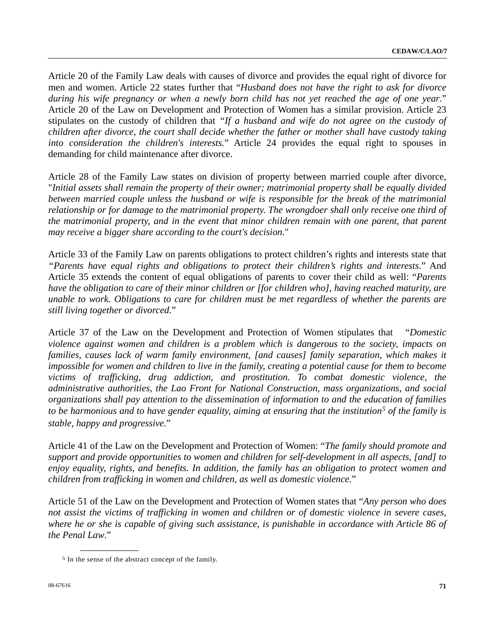Article 20 of the Family Law deals with causes of divorce and provides the equal right of divorce for men and women. Article 22 states further that "*Husband does not have the right to ask for divorce during his wife pregnancy or when a newly born child has not yet reached the age of one year*." Article 20 of the Law on Development and Protection of Women has a similar provision. Article 23 stipulates on the custody of children that *"If a husband and wife do not agree on the custody of children after divorce, the court shall decide whether the father or mother shall have custody taking into consideration the children's interests.*" Article 24 provides the equal right to spouses in demanding for child maintenance after divorce.

Article 28 of the Family Law states on division of property between married couple after divorce, "*Initial assets shall remain the property of their owner; matrimonial property shall be equally divided between married couple unless the husband or wife is responsible for the break of the matrimonial relationship or for damage to the matrimonial property. The wrongdoer shall only receive one third of the matrimonial property, and in the event that minor children remain with one parent, that parent may receive a bigger share according to the court's decision.*"

Article 33 of the Family Law on parents obligations to protect children's rights and interests state that *"Parents have equal rights and obligations to protect their children's rights and interests*." And Article 35 extends the content of equal obligations of parents to cover their child as well: "*Parents have the obligation to care of their minor children or [for children who], having reached maturity, are unable to work. Obligations to care for children must be met regardless of whether the parents are still living together or divorced*."

Article 37 of the Law on the Development and Protection of Women stipulates that "*Domestic violence against women and children is a problem which is dangerous to the society, impacts on families, causes lack of warm family environment, [and causes] family separation, which makes it impossible for women and children to live in the family, creating a potential cause for them to become victims of trafficking, drug addiction, and prostitution. To combat domestic violence, the administrative authorities, the Lao Front for National Construction, mass organizations, and social organizations shall pay attention to the dissemination of information to and the education of families to be harmonious and to have gender equality, aiming at ensuring that the institution[5](#page-70-0) of the family is stable, happy and progressive.*"

Article 41 of the Law on the Development and Protection of Women: "*The family should promote and support and provide opportunities to women and children for self-development in all aspects, [and] to enjoy equality, rights, and benefits. In addition, the family has an obligation to protect women and children from trafficking in women and children, as well as domestic violence.*"

Article 51 of the Law on the Development and Protection of Women states that "*Any person who does not assist the victims of trafficking in women and children or of domestic violence in severe cases, where he or she is capable of giving such assistance, is punishable in accordance with Article 86 of the Penal Law*."

**\_\_\_\_\_\_\_\_\_\_\_\_\_\_\_\_\_\_** 

<span id="page-70-0"></span><sup>5</sup> In the sense of the abstract concept of the family.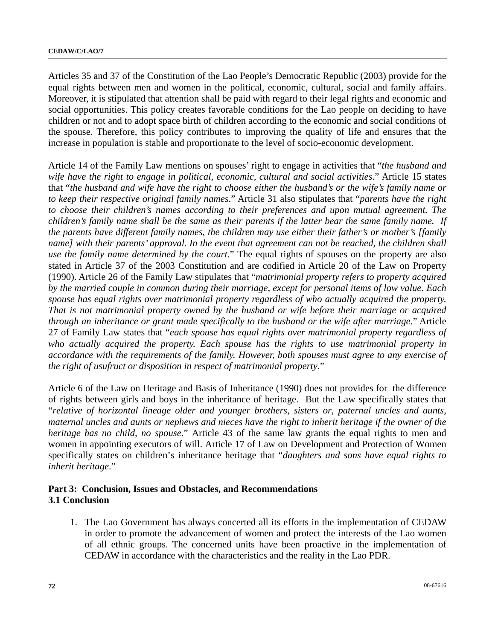Articles 35 and 37 of the Constitution of the Lao People's Democratic Republic (2003) provide for the equal rights between men and women in the political, economic, cultural, social and family affairs. Moreover, it is stipulated that attention shall be paid with regard to their legal rights and economic and social opportunities. This policy creates favorable conditions for the Lao people on deciding to have children or not and to adopt space birth of children according to the economic and social conditions of the spouse. Therefore, this policy contributes to improving the quality of life and ensures that the increase in population is stable and proportionate to the level of socio-economic development.

Article 14 of the Family Law mentions on spouses' right to engage in activities that "*the husband and wife have the right to engage in political, economic, cultural and social activities*." Article 15 states that "*the husband and wife have the right to choose either the husband's or the wife's family name or to keep their respective original family names*." Article 31 also stipulates that "*parents have the right to choose their children's names according to their preferences and upon mutual agreement. The children's family name shall be the same as their parents if the latter bear the same family name. If the parents have different family names, the children may use either their father's or mother's [family name]* with their parents' approval. In the event that agreement can not be reached, the children shall *use the family name determined by the court*." The equal rights of spouses on the property are also stated in Article 37 of the 2003 Constitution and are codified in Article 20 of the Law on Property (1990). Article 26 of the Family Law stipulates that "*matrimonial property refers to property acquired by the married couple in common during their marriage, except for personal items of low value. Each spouse has equal rights over matrimonial property regardless of who actually acquired the property. That is not matrimonial property owned by the husband or wife before their marriage or acquired through an inheritance or grant made specifically to the husband or the wife after marriage*." Article 27 of Family Law states that "*each spouse has equal rights over matrimonial property regardless of who actually acquired the property. Each spouse has the rights to use matrimonial property in accordance with the requirements of the family. However, both spouses must agree to any exercise of the right of usufruct or disposition in respect of matrimonial property*."

Article 6 of the Law on Heritage and Basis of Inheritance (1990) does not provides for the difference of rights between girls and boys in the inheritance of heritage. But the Law specifically states that "*relative of horizontal lineage older and younger brothers, sisters or, paternal uncles and aunts, maternal uncles and aunts or nephews and nieces have the right to inherit heritage if the owner of the heritage has no child, no spouse*." Article 43 of the same law grants the equal rights to men and women in appointing executors of will. Article 17 of Law on Development and Protection of Women specifically states on children's inheritance heritage that "*daughters and sons have equal rights to inherit heritage*."

## **Part 3: Conclusion, Issues and Obstacles, and Recommendations 3.1 Conclusion**

1. The Lao Government has always concerted all its efforts in the implementation of CEDAW in order to promote the advancement of women and protect the interests of the Lao women of all ethnic groups. The concerned units have been proactive in the implementation of CEDAW in accordance with the characteristics and the reality in the Lao PDR.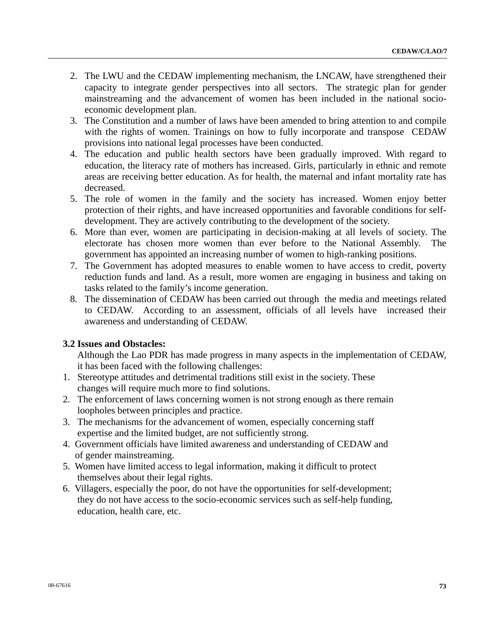- 2. The LWU and the CEDAW implementing mechanism, the LNCAW, have strengthened their capacity to integrate gender perspectives into all sectors. The strategic plan for gender mainstreaming and the advancement of women has been included in the national socioeconomic development plan.
- 3. The Constitution and a number of laws have been amended to bring attention to and compile with the rights of women. Trainings on how to fully incorporate and transpose CEDAW provisions into national legal processes have been conducted.
- 4. The education and public health sectors have been gradually improved. With regard to education, the literacy rate of mothers has increased. Girls, particularly in ethnic and remote areas are receiving better education. As for health, the maternal and infant mortality rate has decreased.
- 5. The role of women in the family and the society has increased. Women enjoy better protection of their rights, and have increased opportunities and favorable conditions for selfdevelopment. They are actively contributing to the development of the society.
- 6. More than ever, women are participating in decision-making at all levels of society. The electorate has chosen more women than ever before to the National Assembly. The government has appointed an increasing number of women to high-ranking positions.
- 7. The Government has adopted measures to enable women to have access to credit, poverty reduction funds and land. As a result, more women are engaging in business and taking on tasks related to the family's income generation.
- 8. The dissemination of CEDAW has been carried out through the media and meetings related to CEDAW. According to an assessment, officials of all levels have increased their awareness and understanding of CEDAW.

### **3.2 Issues and Obstacles:**

Although the Lao PDR has made progress in many aspects in the implementation of CEDAW, it has been faced with the following challenges:

- 1. Stereotype attitudes and detrimental traditions still exist in the society. These changes will require much more to find solutions.
- 2. The enforcement of laws concerning women is not strong enough as there remain loopholes between principles and practice.
- 3. The mechanisms for the advancement of women, especially concerning staff expertise and the limited budget, are not sufficiently strong.
- 4. Government officials have limited awareness and understanding of CEDAW and of gender mainstreaming.
- 5. Women have limited access to legal information, making it difficult to protect themselves about their legal rights.
- 6. Villagers, especially the poor, do not have the opportunities for self-development; they do not have access to the socio-economic services such as self-help funding, education, health care, etc.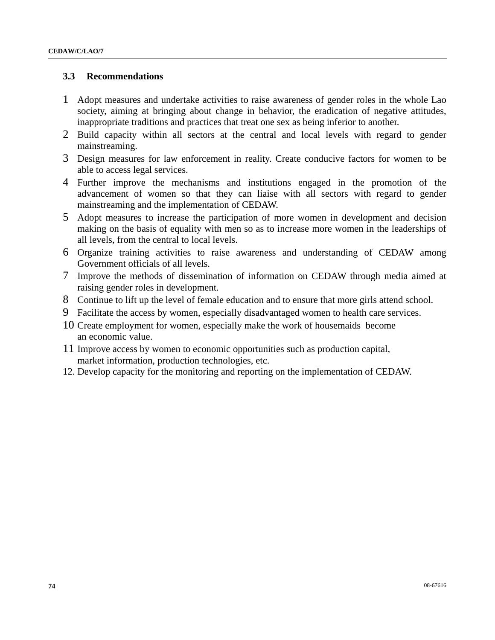#### **3.3 Recommendations**

- 1 Adopt measures and undertake activities to raise awareness of gender roles in the whole Lao society, aiming at bringing about change in behavior, the eradication of negative attitudes, inappropriate traditions and practices that treat one sex as being inferior to another.
- 2 Build capacity within all sectors at the central and local levels with regard to gender mainstreaming.
- 3 Design measures for law enforcement in reality. Create conducive factors for women to be able to access legal services.
- 4 Further improve the mechanisms and institutions engaged in the promotion of the advancement of women so that they can liaise with all sectors with regard to gender mainstreaming and the implementation of CEDAW.
- 5 Adopt measures to increase the participation of more women in development and decision making on the basis of equality with men so as to increase more women in the leaderships of all levels, from the central to local levels.
- 6 Organize training activities to raise awareness and understanding of CEDAW among Government officials of all levels.
- 7 Improve the methods of dissemination of information on CEDAW through media aimed at raising gender roles in development.
- 8 Continue to lift up the level of female education and to ensure that more girls attend school.
- 9 Facilitate the access by women, especially disadvantaged women to health care services.
- 10 Create employment for women, especially make the work of housemaids become an economic value.
- 11 Improve access by women to economic opportunities such as production capital, market information, production technologies, etc.
- 12. Develop capacity for the monitoring and reporting on the implementation of CEDAW.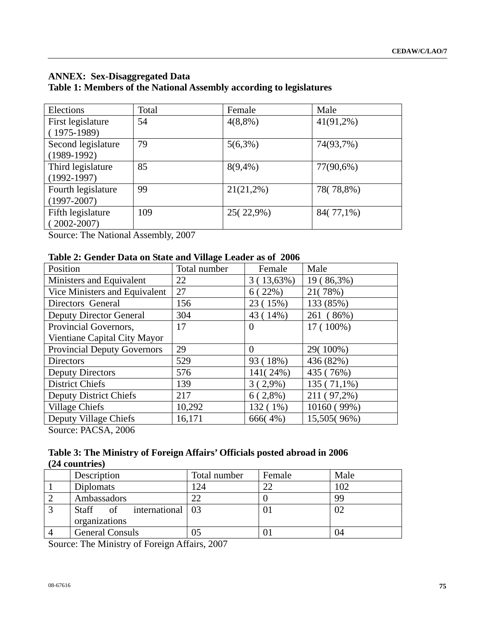## **ANNEX: Sex-Disaggregated Data**

**Table 1: Members of the National Assembly according to legislatures** 

| Elections                             | Total | Female       | Male         |
|---------------------------------------|-------|--------------|--------------|
| First legislature<br>$(1975-1989)$    | 54    | $4(8,8\%)$   | $41(91,2\%)$ |
| Second legislature<br>$(1989-1992)$   | 79    | $5(6,3\%)$   | 74(93,7%)    |
| Third legislature<br>$(1992-1997)$    | 85    | $8(9,4\%)$   | 77(90,6%)    |
| Fourth legislature<br>$(1997 - 2007)$ | 99    | $21(21,2\%)$ | 78(78,8%)    |
| Fifth legislature<br>$(2002-2007)$    | 109   | 25(22,9%)    | 84(77,1%)    |

Source: The National Assembly, 2007

### **Table 2: Gender Data on State and Village Leader as of 2006**

| Total number | Female       | Male          |
|--------------|--------------|---------------|
| 22           | $3(13,63\%)$ | 19 (86,3%)    |
| 27           | 6(22%)       | 21(78%)       |
| 156          | 23 (15%)     | 133 (85%)     |
| 304          | 43 (14%)     | 261 (86%)     |
| 17           | $\Omega$     | $17(100\%)$   |
|              |              |               |
| 29           | $\Omega$     | 29(100%)      |
| 529          | 93 (18%)     | 436 (82%)     |
| 576          | 141(24%)     | 435 (76%)     |
| 139          | $3(2,9\%)$   | $135(71,1\%)$ |
| 217          | $6(2,8\%)$   | 211 (97,2%)   |
| 10,292       | 132 (1%)     | 10160 (99%)   |
| 16,171       | 666(4%)      | 15,505(96%)   |
|              |              |               |

Source: PACSA, 2006

## **Table 3: The Ministry of Foreign Affairs' Officials posted abroad in 2006 (24 countries)**

| Description               | Total number | Female | Male |
|---------------------------|--------------|--------|------|
| <b>Diplomats</b>          | 124          | 22     | 102  |
| Ambassadors               | つつ           |        | 99   |
| Staff of international 03 |              | 01     | 02   |
| organizations             |              |        |      |
| <b>General Consuls</b>    |              | 01     | 04   |

Source: The Ministry of Foreign Affairs, 2007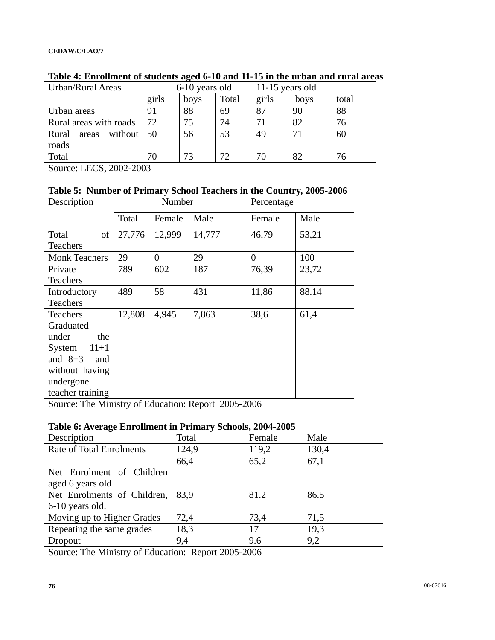| Urban/Rural Areas           |       | 6-10 years old |       | 11-15 years old |      |       |
|-----------------------------|-------|----------------|-------|-----------------|------|-------|
|                             | girls | boys           | Total | girls           | boys | total |
| Urban areas                 | 91    | 88             | 69    | 87              | 90   | 88    |
| Rural areas with roads      | 72    | 75             | 74    | 71              | 82   | 76    |
| without  <br>Rural<br>areas | 50    | 56             | 53    | 49              | 71   | 60    |
| roads                       |       |                |       |                 |      |       |
| Total                       | 7(,   | 73             | 72    | 70              | 82   | 76    |

## **Table 4: Enrollment of students aged 6-10 and 11-15 in the urban and rural areas**

Source: LECS, 2002-2003

### **Table 5: Number of Primary School Teachers in the Country, 2005-2006**

| Description          | Number |          |        | Percentage     |       |
|----------------------|--------|----------|--------|----------------|-------|
|                      | Total  | Female   | Male   | Female         | Male  |
| of<br>Total          | 27,776 | 12,999   | 14,777 | 46,79          | 53,21 |
| <b>Teachers</b>      |        |          |        |                |       |
| <b>Monk Teachers</b> | 29     | $\theta$ | 29     | $\overline{0}$ | 100   |
| Private              | 789    | 602      | 187    | 76,39          | 23,72 |
| <b>Teachers</b>      |        |          |        |                |       |
| Introductory         | 489    | 58       | 431    | 11,86          | 88.14 |
| <b>Teachers</b>      |        |          |        |                |       |
| <b>Teachers</b>      | 12,808 | 4,945    | 7,863  | 38,6           | 61,4  |
| Graduated            |        |          |        |                |       |
| under<br>the         |        |          |        |                |       |
| $11+1$<br>System     |        |          |        |                |       |
| and $8+3$<br>and     |        |          |        |                |       |
| without having       |        |          |        |                |       |
| undergone            |        |          |        |                |       |
| teacher training     |        |          |        |                |       |

Source: The Ministry of Education: Report 2005-2006

## **Table 6: Average Enrollment in Primary Schools, 2004-2005**

| Description                     | Total | Female | Male  |
|---------------------------------|-------|--------|-------|
| <b>Rate of Total Enrolments</b> | 124,9 | 119,2  | 130,4 |
|                                 | 66,4  | 65,2   | 67,1  |
| Net Enrolment of Children       |       |        |       |
| aged 6 years old                |       |        |       |
| Net Enrolments of Children,     | 83.9  | 81.2   | 86.5  |
| 6-10 years old.                 |       |        |       |
| Moving up to Higher Grades      | 72,4  | 73,4   | 71,5  |
| Repeating the same grades       | 18,3  | 17     | 19,3  |
| Dropout                         | 9,4   | 9.6    | 9,2   |

Source: The Ministry of Education: Report 2005-2006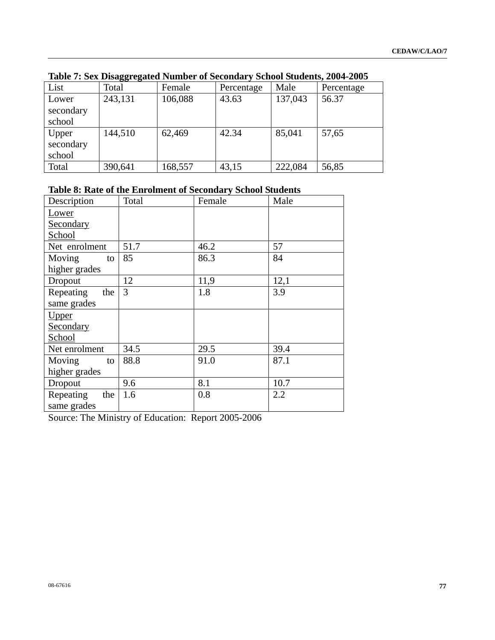| 56.37 |
|-------|
|       |
|       |
|       |
| 57,65 |
|       |
|       |
| 56,85 |
|       |

# **Table 7: Sex Disaggregated Number of Secondary School Students, 2004-2005**

# **Table 8: Rate of the Enrolment of Secondary School Students**

| Description      | Total | Female | Male |
|------------------|-------|--------|------|
| Lower            |       |        |      |
| Secondary        |       |        |      |
| School           |       |        |      |
| Net enrolment    | 51.7  | 46.2   | 57   |
| Moving<br>to     | 85    | 86.3   | 84   |
| higher grades    |       |        |      |
| Dropout          | 12    | 11,9   | 12,1 |
| Repeating<br>the | 3     | 1.8    | 3.9  |
| same grades      |       |        |      |
| Upper            |       |        |      |
| Secondary        |       |        |      |
| School           |       |        |      |
| Net enrolment    | 34.5  | 29.5   | 39.4 |
| Moving<br>to     | 88.8  | 91.0   | 87.1 |
| higher grades    |       |        |      |
| Dropout          | 9.6   | 8.1    | 10.7 |
| Repeating<br>the | 1.6   | 0.8    | 2.2  |
| same grades      |       |        |      |

Source: The Ministry of Education: Report 2005-2006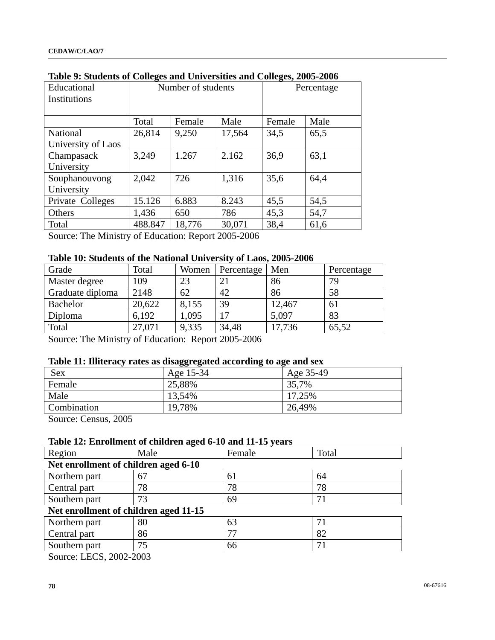| Tuble >+ Diduction of Concerts and Chrystolius and Concert, 4000 4000 |                    |        |        |        |            |
|-----------------------------------------------------------------------|--------------------|--------|--------|--------|------------|
| Educational                                                           | Number of students |        |        |        | Percentage |
| Institutions                                                          |                    |        |        |        |            |
|                                                                       |                    |        |        |        |            |
|                                                                       | Total              | Female | Male   | Female | Male       |
| National                                                              | 26,814             | 9,250  | 17,564 | 34,5   | 65,5       |
| University of Laos                                                    |                    |        |        |        |            |
| Champasack                                                            | 3,249              | 1.267  | 2.162  | 36,9   | 63,1       |
| University                                                            |                    |        |        |        |            |
| Souphanouvong                                                         | 2,042              | 726    | 1,316  | 35,6   | 64,4       |
| University                                                            |                    |        |        |        |            |
| Private Colleges                                                      | 15.126             | 6.883  | 8.243  | 45,5   | 54,5       |
| Others                                                                | 1,436              | 650    | 786    | 45,3   | 54,7       |
| Total                                                                 | 488.847            | 18,776 | 30,071 | 38,4   | 61,6       |

### **Table 9: Students of Colleges and Universities and Colleges, 2005-2006**

Source: The Ministry of Education: Report 2005-2006

#### **Table 10: Students of the National University of Laos, 2005-2006**

| Grade            | Total  | Women | Percentage | Men    | Percentage |
|------------------|--------|-------|------------|--------|------------|
| Master degree    | 109    | 23    |            | 86     | 79         |
| Graduate diploma | 2148   | 62    | 42         | 86     | 58         |
| Bachelor         | 20,622 | 8,155 | 39         | 12,467 | 61         |
| Diploma          | 6,192  | .095  | 17         | 5,097  | 83         |
| Total            | 27,071 | 9,335 | 34,48      | 7,736  | 65,52      |

Source: The Ministry of Education: Report 2005-2006

#### **Table 11: Illiteracy rates as disaggregated according to age and sex**

|             | $\overline{a}$ . Because the set of $\overline{a}$ |           |
|-------------|----------------------------------------------------|-----------|
| Sex         | Age 15-34                                          | Age 35-49 |
| Female      | 25,88%                                             | 35,7%     |
| Male        | 13,54%                                             | 17,25%    |
| Combination | 19,78%                                             | 26,49%    |

Source: Census, 2005

# **Table 12: Enrollment of children aged 6-10 and 11-15 years**

| Region                                       | Male                                 | Female | Total |  |  |  |  |
|----------------------------------------------|--------------------------------------|--------|-------|--|--|--|--|
|                                              | Net enrollment of children aged 6-10 |        |       |  |  |  |  |
| Northern part                                | 67                                   | 61     | 64    |  |  |  |  |
| Central part                                 | 78                                   | 78     | 78    |  |  |  |  |
| Southern part                                | 73                                   | 69     |       |  |  |  |  |
| Net enrollment of children aged 11-15        |                                      |        |       |  |  |  |  |
| Northern part                                | 80                                   | 63     |       |  |  |  |  |
| Central part                                 | 86                                   | 77     | 82    |  |  |  |  |
| Southern part                                | 75                                   | 66     |       |  |  |  |  |
| $\alpha$ $\alpha$ $\alpha$ $\alpha$ $\alpha$ |                                      |        |       |  |  |  |  |

Source: LECS, 2002-2003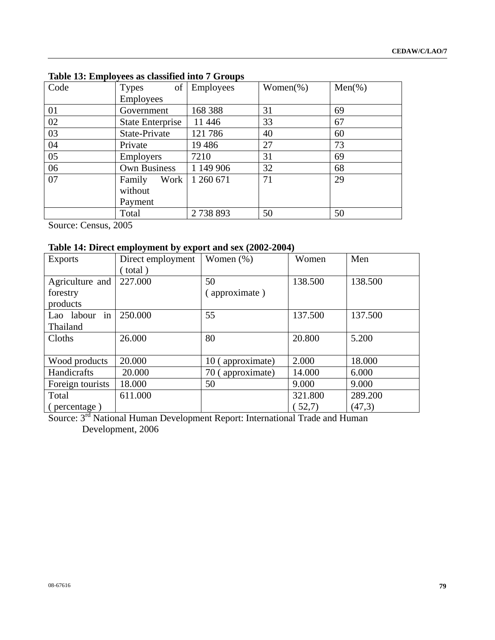| Code | of<br>Types             | <b>Employees</b> | Women $(\%)$ | $Men(\% )$ |
|------|-------------------------|------------------|--------------|------------|
|      | Employees               |                  |              |            |
| 01   | Government              | 168 388          | 31           | 69         |
| 02   | <b>State Enterprise</b> | 11 4 4 6         | 33           | 67         |
| 03   | State-Private           | 121 786          | 40           | 60         |
| 04   | Private                 | 19486            | 27           | 73         |
| 05   | <b>Employers</b>        | 7210             | 31           | 69         |
| 06   | <b>Own Business</b>     | 1 149 906        | 32           | 68         |
| 07   | Work<br>Family          | 1 260 671        | 71           | 29         |
|      | without                 |                  |              |            |
|      | Payment                 |                  |              |            |
|      | Total                   | 2738893          | 50           | 50         |

### **Table 13: Employees as classified into 7 Groups**

Source: Census, 2005

## **Table 14: Direct employment by export and sex (2002-2004)**

| <b>Exports</b>     | Direct employment | Women $(\%)$     | Women   | Men     |
|--------------------|-------------------|------------------|---------|---------|
|                    | total)            |                  |         |         |
| Agriculture and    | 227.000           | 50               | 138.500 | 138.500 |
| forestry           |                   | (approximate)    |         |         |
| products           |                   |                  |         |         |
| in<br>Lao labour   | 250.000           | 55               | 137.500 | 137.500 |
| Thailand           |                   |                  |         |         |
| Cloths             | 26.000            | 80               | 20.800  | 5.200   |
|                    |                   |                  |         |         |
| Wood products      | 20.000            | 10 (approximate) | 2.000   | 18.000  |
| Handicrafts        | 20.000            | 70 (approximate) | 14.000  | 6.000   |
| Foreign tourists   | 18.000            | 50               | 9.000   | 9.000   |
| Total              | 611.000           |                  | 321.800 | 289.200 |
| $($ percentage $)$ |                   |                  | 52,7)   | (47,3)  |

Source: 3<sup>rd</sup> National Human Development Report: International Trade and Human Development, 2006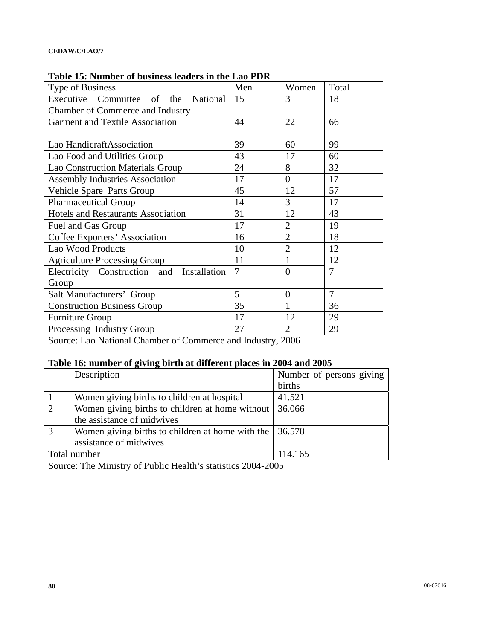| rabic 10; rumber of business icaucrs in the L |                |                |                |
|-----------------------------------------------|----------------|----------------|----------------|
| Type of Business                              | Men            | Women          | Total          |
| Executive Committee of the National           | 15             | 3              | 18             |
| Chamber of Commerce and Industry              |                |                |                |
| <b>Garment and Textile Association</b>        | 44             | 22             | 66             |
|                                               |                |                |                |
| Lao HandicraftAssociation                     | 39             | 60             | 99             |
| Lao Food and Utilities Group                  | 43             | 17             | 60             |
| Lao Construction Materials Group              | 24             | 8              | 32             |
| <b>Assembly Industries Association</b>        | 17             | $\overline{0}$ | 17             |
| Vehicle Spare Parts Group                     | 45             | 12             | 57             |
| <b>Pharmaceutical Group</b>                   | 14             | 3              | 17             |
| <b>Hotels and Restaurants Association</b>     | 31             | 12             | 43             |
| Fuel and Gas Group                            | 17             | $\overline{2}$ | 19             |
| Coffee Exporters' Association                 | 16             | $\overline{2}$ | 18             |
| Lao Wood Products                             | 10             | $\overline{2}$ | 12             |
| <b>Agriculture Processing Group</b>           | 11             | 1              | 12             |
| Electricity Construction and Installation     | $\overline{7}$ | $\theta$       | $\overline{7}$ |
| Group                                         |                |                |                |
| Salt Manufacturers' Group                     | 5              | $\Omega$       | $\overline{7}$ |
| <b>Construction Business Group</b>            | 35             | $\mathbf{1}$   | 36             |
| <b>Furniture Group</b>                        | 17             | 12             | 29             |
| Processing Industry Group                     | 27             | 2              | 29             |

**Table 15: Number of business leaders in the Lao PDR** 

Source: Lao National Chamber of Commerce and Industry, 2006

## **Table 16: number of giving birth at different places in 2004 and 2005**

|              | Description                                                     | Number of persons giving |
|--------------|-----------------------------------------------------------------|--------------------------|
|              |                                                                 | births                   |
|              | Women giving births to children at hospital                     | 41.521                   |
| 2            | Women giving births to children at home without                 | 36.066                   |
|              | the assistance of midwives                                      |                          |
| 3            | Women giving births to children at home with the $\vert$ 36.578 |                          |
|              | assistance of midwives                                          |                          |
| Total number |                                                                 | 114.165                  |

Source: The Ministry of Public Health's statistics 2004-2005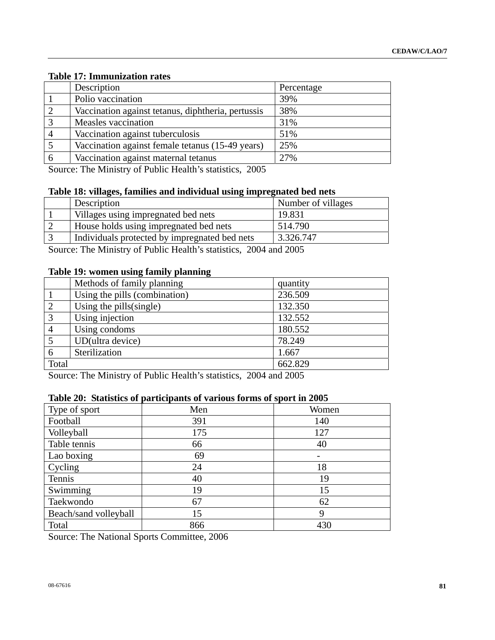|                | Table 17. Hilliumzativn rates                      |            |
|----------------|----------------------------------------------------|------------|
|                | Description                                        | Percentage |
|                | Polio vaccination                                  | 39%        |
| 2              | Vaccination against tetanus, diphtheria, pertussis | 38%        |
| $\overline{3}$ | Measles vaccination                                | 31%        |
| $\overline{4}$ | Vaccination against tuberculosis                   | 51%        |
|                | Vaccination against female tetanus (15-49 years)   | 25%        |
| 6              | Vaccination against maternal tetanus               | 27%        |

#### **Table 17: Immunization rates**

Source: The Ministry of Public Health's statistics, 2005

### **Table 18: villages, families and individual using impregnated bed nets**

| Description                                   | Number of villages |
|-----------------------------------------------|--------------------|
| Villages using impregnated bed nets           | 19.831             |
| House holds using impregnated bed nets        | 514.790            |
| Individuals protected by impregnated bed nets | 3.326.747          |

Source: The Ministry of Public Health's statistics, 2004 and 2005

#### **Table 19: women using family planning**

|                 | Methods of family planning    | quantity   |
|-----------------|-------------------------------|------------|
|                 | Using the pills (combination) | 236.509    |
| 2               | Using the pills $(single)$    | 132.350    |
| $\overline{3}$  | Using injection               | 132.552    |
| $\overline{4}$  | Using condoms                 | 180.552    |
| $5\overline{)}$ | UD(ultra device)              | 78.249     |
| 6               | Sterilization                 | 1.667      |
| Total           |                               | 662.829    |
|                 | ___                           | ---- ----- |

Source: The Ministry of Public Health's statistics, 2004 and 2005

## **Table 20: Statistics of participants of various forms of sport in 2005**

| Type of sport         | Men | Women |
|-----------------------|-----|-------|
| Football              | 391 | 140   |
| Volleyball            | 175 | 127   |
| Table tennis          | 66  | 40    |
| Lao boxing            | 69  |       |
| Cycling               | 24  | 18    |
| Tennis                | 40  | 19    |
| Swimming              | 19  | 15    |
| Taekwondo             | 67  | 62    |
| Beach/sand volleyball | 15  | 9     |
| Total                 | 866 | 430   |

Source: The National Sports Committee, 2006